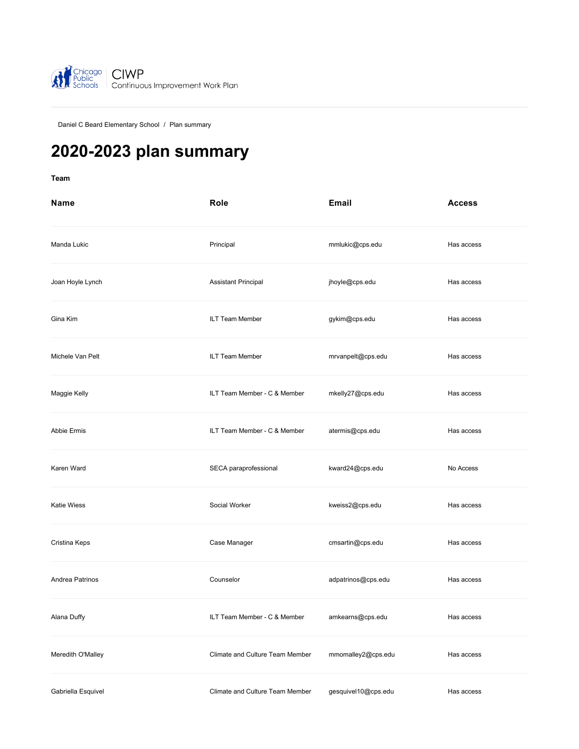

[Daniel C Beard Elementary School](https://ciwp.cps.edu/school/dashboard?schoolId=20) / Plan summary

# **2020-2023 plan summary**

**[Team](#page-0-0)**

<span id="page-0-0"></span>

| <b>Name</b>        | Role                            | <b>Email</b>        | <b>Access</b> |
|--------------------|---------------------------------|---------------------|---------------|
| Manda Lukic        | Principal                       | mmlukic@cps.edu     | Has access    |
| Joan Hoyle Lynch   | Assistant Principal             | jhoyle@cps.edu      | Has access    |
| Gina Kim           | ILT Team Member                 | gykim@cps.edu       | Has access    |
| Michele Van Pelt   | ILT Team Member                 | mrvanpelt@cps.edu   | Has access    |
| Maggie Kelly       | ILT Team Member - C & Member    | mkelly27@cps.edu    | Has access    |
| Abbie Ermis        | ILT Team Member - C & Member    | atermis@cps.edu     | Has access    |
| Karen Ward         | SECA paraprofessional           | kward24@cps.edu     | No Access     |
| <b>Katie Wiess</b> | Social Worker                   | kweiss2@cps.edu     | Has access    |
| Cristina Keps      | Case Manager                    | cmsartin@cps.edu    | Has access    |
| Andrea Patrinos    | Counselor                       | adpatrinos@cps.edu  | Has access    |
| Alana Duffy        | ILT Team Member - C & Member    | amkearns@cps.edu    | Has access    |
| Meredith O'Malley  | Climate and Culture Team Member | mmomalley2@cps.edu  | Has access    |
| Gabriella Esquivel | Climate and Culture Team Member | gesquivel10@cps.edu | Has access    |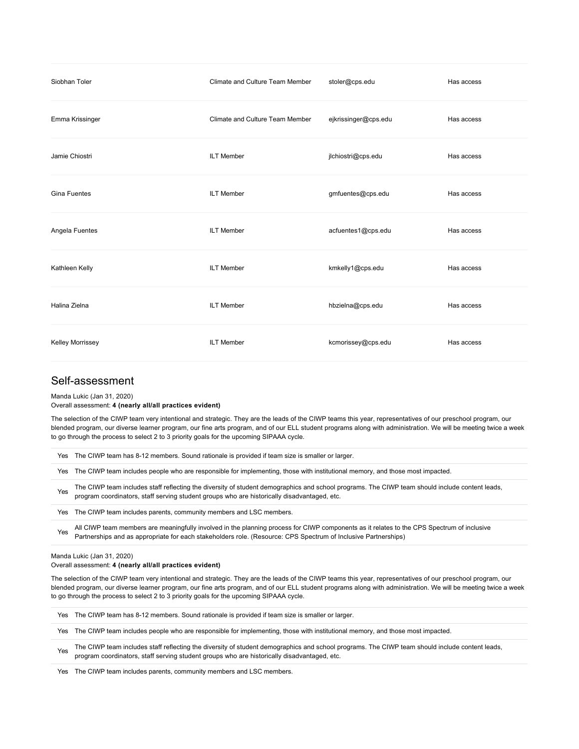| Siobhan Toler           | Climate and Culture Team Member | stoler@cps.edu       | Has access |
|-------------------------|---------------------------------|----------------------|------------|
| Emma Krissinger         | Climate and Culture Team Member | ejkrissinger@cps.edu | Has access |
| Jamie Chiostri          | <b>ILT Member</b>               | jlchiostri@cps.edu   | Has access |
| Gina Fuentes            | <b>ILT Member</b>               | gmfuentes@cps.edu    | Has access |
| Angela Fuentes          | <b>ILT Member</b>               | acfuentes1@cps.edu   | Has access |
| Kathleen Kelly          | <b>ILT Member</b>               | kmkelly1@cps.edu     | Has access |
| Halina Zielna           | <b>ILT Member</b>               | hbzielna@cps.edu     | Has access |
| <b>Kelley Morrissey</b> | <b>ILT Member</b>               | kcmorissey@cps.edu   | Has access |

# Self-assessment

Manda Lukic (Jan 31, 2020)

Overall assessment: **4 (nearly all/all practices evident)**

The selection of the CIWP team very intentional and strategic. They are the leads of the CIWP teams this year, representatives of our preschool program, our blended program, our diverse learner program, our fine arts program, and of our ELL student programs along with administration. We will be meeting twice a week to go through the process to select 2 to 3 priority goals for the upcoming SIPAAA cycle.

Yes The CIWP team has 8-12 members. Sound rationale is provided if team size is smaller or larger.

Yes The CIWP team includes people who are responsible for implementing, those with institutional memory, and those most impacted.

Yes The CIWP team includes staff reflecting the diversity of student demographics and school programs. The CIWP team should include content leads, program coordinators, staff serving student groups who are historically disadvantaged, etc.

Yes The CIWP team includes parents, community members and LSC members.

Yes All CIWP team members are meaningfully involved in the planning process for CIWP components as it relates to the CPS Spectrum of inclusive Partnerships and as appropriate for each stakeholders role. (Resource: CPS Spectrum of Inclusive Partnerships)

### Manda Lukic (Jan 31, 2020)

### Overall assessment: **4 (nearly all/all practices evident)**

The selection of the CIWP team very intentional and strategic. They are the leads of the CIWP teams this year, representatives of our preschool program, our blended program, our diverse learner program, our fine arts program, and of our ELL student programs along with administration. We will be meeting twice a week to go through the process to select 2 to 3 priority goals for the upcoming SIPAAA cycle.

Yes The CIWP team has 8-12 members. Sound rationale is provided if team size is smaller or larger.

Yes The CIWP team includes people who are responsible for implementing, those with institutional memory, and those most impacted.

Yes The CIWP team includes staff reflecting the diversity of student demographics and school programs. The CIWP team should include content leads, program coordinators, staff serving student groups who are historically disadvantaged, etc.

Yes The CIWP team includes parents, community members and LSC members.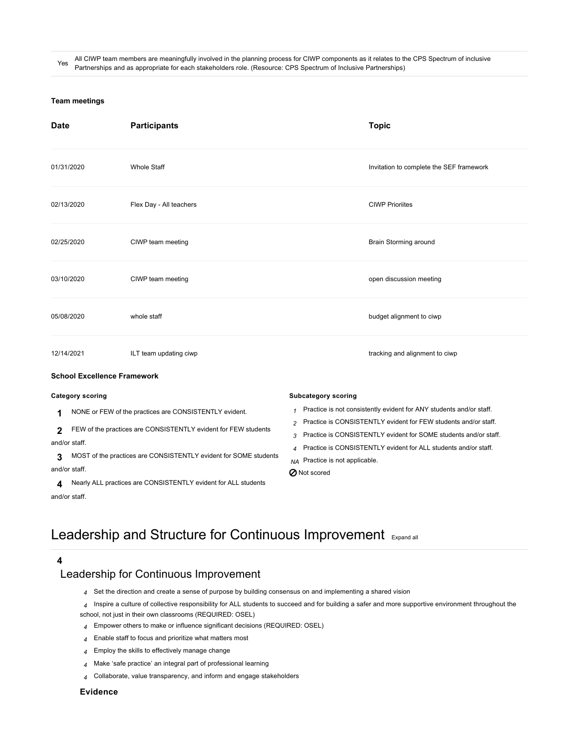All CIWP team members are meaningfully involved in the planning process for CIWP components as it relates to the CPS Spectrum of inclusive Partnerships and as appropriate for each stakeholders role. (Resource: CPS Spectrum of Inclusive Partnerships)

### **[Team meetings](#page-2-0)**

<span id="page-2-0"></span>

| <b>Date</b>                        | <b>Participants</b>                                                                                                                                                                          | <b>Topic</b>                                                                                                                                                                                                                                                                                 |
|------------------------------------|----------------------------------------------------------------------------------------------------------------------------------------------------------------------------------------------|----------------------------------------------------------------------------------------------------------------------------------------------------------------------------------------------------------------------------------------------------------------------------------------------|
| 01/31/2020                         | <b>Whole Staff</b>                                                                                                                                                                           | Invitation to complete the SEF framework                                                                                                                                                                                                                                                     |
| 02/13/2020                         | Flex Day - All teachers                                                                                                                                                                      | <b>CIWP Prioriites</b>                                                                                                                                                                                                                                                                       |
| 02/25/2020                         | CIWP team meeting                                                                                                                                                                            | Brain Storming around                                                                                                                                                                                                                                                                        |
| 03/10/2020                         | CIWP team meeting                                                                                                                                                                            | open discussion meeting                                                                                                                                                                                                                                                                      |
| 05/08/2020                         | whole staff                                                                                                                                                                                  | budget alignment to ciwp                                                                                                                                                                                                                                                                     |
| 12/14/2021                         | ILT team updating ciwp                                                                                                                                                                       | tracking and alignment to ciwp                                                                                                                                                                                                                                                               |
| <b>School Excellence Framework</b> |                                                                                                                                                                                              |                                                                                                                                                                                                                                                                                              |
| <b>Category scoring</b>            |                                                                                                                                                                                              | <b>Subcategory scoring</b>                                                                                                                                                                                                                                                                   |
| 1<br>2<br>and/or staff.            | NONE or FEW of the practices are CONSISTENTLY evident.<br>FEW of the practices are CONSISTENTLY evident for FEW students<br>MOST of the practices are CONSISTENTLY evident for SOME students | Practice is not consistently evident for ANY students and/or staff.<br>Practice is CONSISTENTLY evident for FEW students and/or staff.<br>2<br>Practice is CONSISTENTLY evident for SOME students and/or staff.<br>3<br>Practice is CONSISTENTLY evident for ALL students and/or staff.<br>4 |
| 3<br>and/or staff.<br>4            | Nearly ALL practices are CONSISTENTLY evident for ALL students                                                                                                                               | NA Practice is not applicable.<br><b>⊘</b> Not scored                                                                                                                                                                                                                                        |

# Leadership and Structure for Continuous Improvement [Expand all](https://ciwp.cps.edu/plan/pdfContent/2707?id=2707&actionPlanOnly=False&accessKey=hca339838bs46#)

**4**

<span id="page-2-1"></span>and/or staff.

# [Leadership for Continuous Improvement](https://ciwp.cps.edu/plan/pdfContent/2707?id=2707&actionPlanOnly=False&accessKey=hca339838bs46#)

- *4* Set the direction and create a sense of purpose by building consensus on and implementing a shared vision
- *4* Inspire a culture of collective responsibility for ALL students to succeed and for building a safer and more supportive environment throughout the school, not just in their own classrooms (REQUIRED: OSEL)
- *4* Empower others to make or influence significant decisions (REQUIRED: OSEL)
- *4* Enable staff to focus and prioritize what matters most
- *4* Employ the skills to effectively manage change
- *4* Make 'safe practice' an integral part of professional learning
- *4* Collaborate, value transparency, and inform and engage stakeholders

# **Evidence**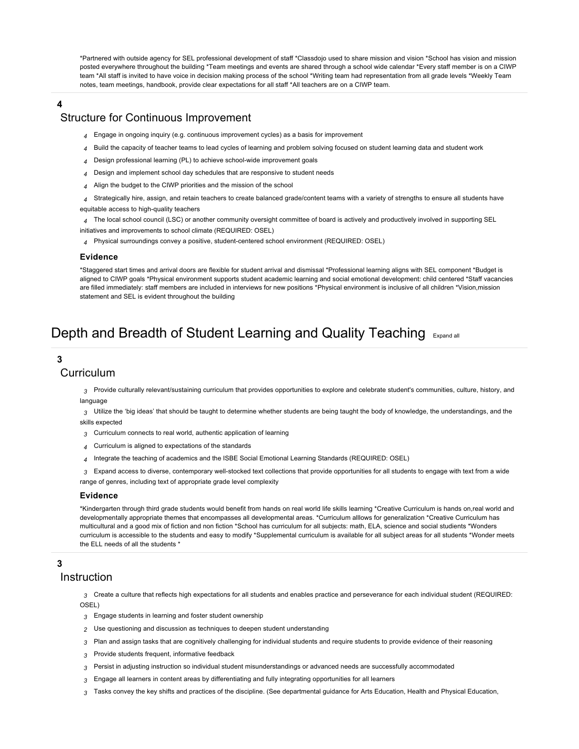\*Partnered with outside agency for SEL professional development of staff \*Classdojo used to share mission and vision \*School has vision and mission posted everywhere throughout the building \*Team meetings and events are shared through a school wide calendar \*Every staff member is on a CIWP team \*All staff is invited to have voice in decision making process of the school \*Writing team had representation from all grade levels \*Weekly Team notes, team meetings, handbook, provide clear expectations for all staff \*All teachers are on a CIWP team.

# **4** [Structure for Continuous Improvement](https://ciwp.cps.edu/plan/pdfContent/2707?id=2707&actionPlanOnly=False&accessKey=hca339838bs46#)

- *4* Engage in ongoing inquiry (e.g. continuous improvement cycles) as a basis for improvement
- *4* Build the capacity of teacher teams to lead cycles of learning and problem solving focused on student learning data and student work
- *4* Design professional learning (PL) to achieve school-wide improvement goals
- *4* Design and implement school day schedules that are responsive to student needs
- *4* Align the budget to the CIWP priorities and the mission of the school
- *4* Strategically hire, assign, and retain teachers to create balanced grade/content teams with a variety of strengths to ensure all students have equitable access to high-quality teachers

*4* The local school council (LSC) or another community oversight committee of board is actively and productively involved in supporting SEL initiatives and improvements to school climate (REQUIRED: OSEL)

*4* Physical surroundings convey a positive, student-centered school environment (REQUIRED: OSEL)

### **Evidence**

\*Staggered start times and arrival doors are flexible for student arrival and dismissal \*Professional learning aligns with SEL component \*Budget is aligned to CIWP goals \*Physical environment supports student academic learning and social emotional development: child centered \*Staff vacancies are filled immediately: staff members are included in interviews for new positions \*Physical environment is inclusive of all children \*Vision,mission statement and SEL is evident throughout the building

# Depth and Breadth of Student Learning and Quality Teaching [Expand all](https://ciwp.cps.edu/plan/pdfContent/2707?id=2707&actionPlanOnly=False&accessKey=hca339838bs46#)

# **3**

# [Curriculum](https://ciwp.cps.edu/plan/pdfContent/2707?id=2707&actionPlanOnly=False&accessKey=hca339838bs46#)

*3* Provide culturally relevant/sustaining curriculum that provides opportunities to explore and celebrate student's communities, culture, history, and language

*3* Utilize the 'big ideas' that should be taught to determine whether students are being taught the body of knowledge, the understandings, and the skills expected

- *3* Curriculum connects to real world, authentic application of learning
- *4* Curriculum is aligned to expectations of the standards
- *4* Integrate the teaching of academics and the ISBE Social Emotional Learning Standards (REQUIRED: OSEL)
- *3* Expand access to diverse, contemporary well-stocked text collections that provide opportunities for all students to engage with text from a wide

range of genres, including text of appropriate grade level complexity

### **Evidence**

\*Kindergarten through third grade students would benefit from hands on real world life skills learning \*Creative Curriculum is hands on,real world and developmentally appropriate themes that encompasses all developmental areas. \*Curriculum alllows for generalization \*Creative Curriculum has multicultural and a good mix of fiction and non fiction \*School has curriculum for all subjects: math, ELA, science and social studients \*Wonders curriculum is accessible to the students and easy to modify \*Supplemental curriculum is available for all subject areas for all students \*Wonder meets the ELL needs of all the students \*

# **3**

# [Instruction](https://ciwp.cps.edu/plan/pdfContent/2707?id=2707&actionPlanOnly=False&accessKey=hca339838bs46#)

*3* Create a culture that reflects high expectations for all students and enables practice and perseverance for each individual student (REQUIRED: OSEL)

- *3* Engage students in learning and foster student ownership
- *2* Use questioning and discussion as techniques to deepen student understanding
- *3* Plan and assign tasks that are cognitively challenging for individual students and require students to provide evidence of their reasoning
- *3* Provide students frequent, informative feedback
- *3* Persist in adjusting instruction so individual student misunderstandings or advanced needs are successfully accommodated
- *3* Engage all learners in content areas by differentiating and fully integrating opportunities for all learners
- *3* Tasks convey the key shifts and practices of the discipline. (See departmental guidance for Arts Education, Health and Physical Education,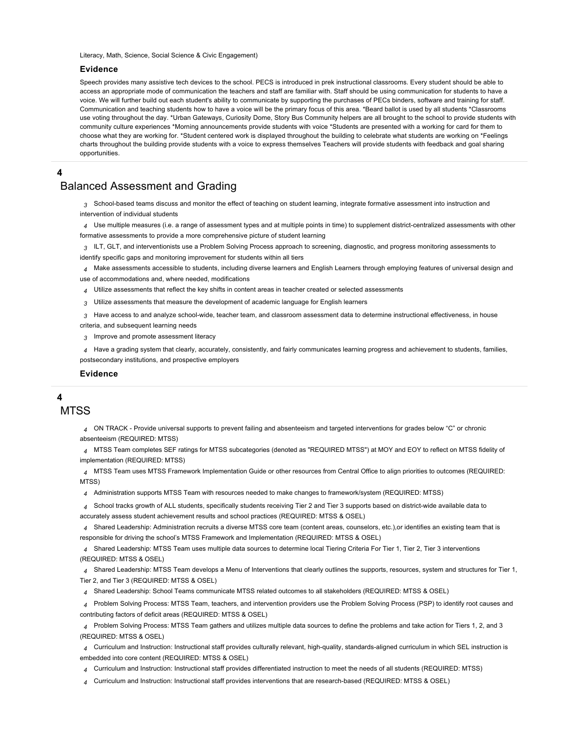Literacy, Math, Science, Social Science & Civic Engagement)

## **Evidence**

Speech provides many assistive tech devices to the school. PECS is introduced in prek instructional classrooms. Every student should be able to access an appropriate mode of communication the teachers and staff are familiar with. Staff should be using communication for students to have a voice. We will further build out each student's ability to communicate by supporting the purchases of PECs binders, software and training for staff. Communication and teaching students how to have a voice will be the primary focus of this area. \*Beard ballot is used by all students \*Classrooms use voting throughout the day. \*Urban Gateways, Curiosity Dome, Story Bus Community helpers are all brought to the school to provide students with community culture experiences \*Morning announcements provide students with voice \*Students are presented with a working for card for them to choose what they are working for. \*Student centered work is displayed throughout the building to celebrate what students are working on \*Feelings charts throughout the building provide students with a voice to express themselves Teachers will provide students with feedback and goal sharing opportunities.

**4**

# [Balanced Assessment and Grading](https://ciwp.cps.edu/plan/pdfContent/2707?id=2707&actionPlanOnly=False&accessKey=hca339838bs46#)

*3* School-based teams discuss and monitor the effect of teaching on student learning, integrate formative assessment into instruction and intervention of individual students

*4* Use multiple measures (i.e. a range of assessment types and at multiple points in time) to supplement district-centralized assessments with other formative assessments to provide a more comprehensive picture of student learning

*3* ILT, GLT, and interventionists use a Problem Solving Process approach to screening, diagnostic, and progress monitoring assessments to identify specific gaps and monitoring improvement for students within all tiers

*4* Make assessments accessible to students, including diverse learners and English Learners through employing features of universal design and

use of accommodations and, where needed, modifications

*4* Utilize assessments that reflect the key shifts in content areas in teacher created or selected assessments

*3* Utilize assessments that measure the development of academic language for English learners

*3* Have access to and analyze school-wide, teacher team, and classroom assessment data to determine instructional effectiveness, in house

criteria, and subsequent learning needs

*3* Improve and promote assessment literacy

*4* Have a grading system that clearly, accurately, consistently, and fairly communicates learning progress and achievement to students, families, postsecondary institutions, and prospective employers

### **Evidence**

# **4**

**[MTSS](https://ciwp.cps.edu/plan/pdfContent/2707?id=2707&actionPlanOnly=False&accessKey=hca339838bs46#)** 

*4* ON TRACK - Provide universal supports to prevent failing and absenteeism and targeted interventions for grades below "C" or chronic absenteeism (REQUIRED: MTSS)

*4* MTSS Team completes SEF ratings for MTSS subcategories (denoted as "REQUIRED MTSS") at MOY and EOY to reflect on MTSS fidelity of implementation (REQUIRED: MTSS)

*4* MTSS Team uses MTSS Framework Implementation Guide or other resources from Central Office to align priorities to outcomes (REQUIRED: MTSS)

*4* Administration supports MTSS Team with resources needed to make changes to framework/system (REQUIRED: MTSS)

*4* School tracks growth of ALL students, specifically students receiving Tier 2 and Tier 3 supports based on district-wide available data to

accurately assess student achievement results and school practices (REQUIRED: MTSS & OSEL)

*4* Shared Leadership: Administration recruits a diverse MTSS core team (content areas, counselors, etc.),or identifies an existing team that is responsible for driving the school's MTSS Framework and Implementation (REQUIRED: MTSS & OSEL)

*4* Shared Leadership: MTSS Team uses multiple data sources to determine local Tiering Criteria For Tier 1, Tier 2, Tier 3 interventions (REQUIRED: MTSS & OSEL)

*4* Shared Leadership: MTSS Team develops a Menu of Interventions that clearly outlines the supports, resources, system and structures for Tier 1, Tier 2, and Tier 3 (REQUIRED: MTSS & OSEL)

*4* Shared Leadership: School Teams communicate MTSS related outcomes to all stakeholders (REQUIRED: MTSS & OSEL)

*4* Problem Solving Process: MTSS Team, teachers, and intervention providers use the Problem Solving Process (PSP) to identify root causes and contributing factors of deficit areas (REQUIRED: MTSS & OSEL)

*4* Problem Solving Process: MTSS Team gathers and utilizes multiple data sources to define the problems and take action for Tiers 1, 2, and 3 (REQUIRED: MTSS & OSEL)

*4* Curriculum and Instruction: Instructional staff provides culturally relevant, high-quality, standards-aligned curriculum in which SEL instruction is embedded into core content (REQUIRED: MTSS & OSEL)

*4* Curriculum and Instruction: Instructional staff provides differentiated instruction to meet the needs of all students (REQUIRED: MTSS)

*4* Curriculum and Instruction: Instructional staff provides interventions that are research-based (REQUIRED: MTSS & OSEL)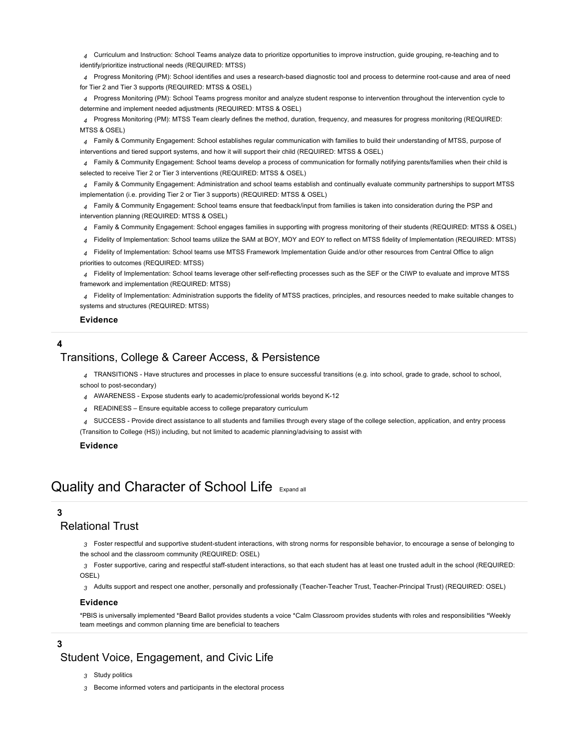*4* Curriculum and Instruction: School Teams analyze data to prioritize opportunities to improve instruction, guide grouping, re-teaching and to identify/prioritize instructional needs (REQUIRED: MTSS)

*4* Progress Monitoring (PM): School identifies and uses a research-based diagnostic tool and process to determine root-cause and area of need for Tier 2 and Tier 3 supports (REQUIRED: MTSS & OSEL)

*4* Progress Monitoring (PM): School Teams progress monitor and analyze student response to intervention throughout the intervention cycle to determine and implement needed adjustments (REQUIRED: MTSS & OSEL)

*4* Progress Monitoring (PM): MTSS Team clearly defines the method, duration, frequency, and measures for progress monitoring (REQUIRED: MTSS & OSEL)

*4* Family & Community Engagement: School establishes regular communication with families to build their understanding of MTSS, purpose of interventions and tiered support systems, and how it will support their child (REQUIRED: MTSS & OSEL)

*4* Family & Community Engagement: School teams develop a process of communication for formally notifying parents/families when their child is selected to receive Tier 2 or Tier 3 interventions (REQUIRED: MTSS & OSEL)

*4* Family & Community Engagement: Administration and school teams establish and continually evaluate community partnerships to support MTSS implementation (i.e. providing Tier 2 or Tier 3 supports) (REQUIRED: MTSS & OSEL)

*4* Family & Community Engagement: School teams ensure that feedback/input from families is taken into consideration during the PSP and intervention planning (REQUIRED: MTSS & OSEL)

*4* Family & Community Engagement: School engages families in supporting with progress monitoring of their students (REQUIRED: MTSS & OSEL)

*4* Fidelity of Implementation: School teams utilize the SAM at BOY, MOY and EOY to reflect on MTSS fidelity of Implementation (REQUIRED: MTSS)

*4* Fidelity of Implementation: School teams use MTSS Framework Implementation Guide and/or other resources from Central Office to align priorities to outcomes (REQUIRED: MTSS)

*4* Fidelity of Implementation: School teams leverage other self-reflecting processes such as the SEF or the CIWP to evaluate and improve MTSS framework and implementation (REQUIRED: MTSS)

*4* Fidelity of Implementation: Administration supports the fidelity of MTSS practices, principles, and resources needed to make suitable changes to systems and structures (REQUIRED: MTSS)

### **Evidence**

# **4**

# [Transitions, College & Career Access, & Persistence](https://ciwp.cps.edu/plan/pdfContent/2707?id=2707&actionPlanOnly=False&accessKey=hca339838bs46#)

*4* TRANSITIONS - Have structures and processes in place to ensure successful transitions (e.g. into school, grade to grade, school to school, school to post-secondary)

*4* AWARENESS - Expose students early to academic/professional worlds beyond K-12

- *4* READINESS Ensure equitable access to college preparatory curriculum
- *4* SUCCESS Provide direct assistance to all students and families through every stage of the college selection, application, and entry process

(Transition to College (HS)) including, but not limited to academic planning/advising to assist with

# **Evidence**

# Quality and Character of School Life [Expand all](https://ciwp.cps.edu/plan/pdfContent/2707?id=2707&actionPlanOnly=False&accessKey=hca339838bs46#)

# **3**

# [Relational Trust](https://ciwp.cps.edu/plan/pdfContent/2707?id=2707&actionPlanOnly=False&accessKey=hca339838bs46#)

*3* Foster respectful and supportive student-student interactions, with strong norms for responsible behavior, to encourage a sense of belonging to the school and the classroom community (REQUIRED: OSEL)

*3* Foster supportive, caring and respectful staff-student interactions, so that each student has at least one trusted adult in the school (REQUIRED: OSEL)

*3* Adults support and respect one another, personally and professionally (Teacher-Teacher Trust, Teacher-Principal Trust) (REQUIRED: OSEL)

# **Evidence**

\*PBIS is universally implemented \*Beard Ballot provides students a voice \*Calm Classroom provides students with roles and responsibilities \*Weekly team meetings and common planning time are beneficial to teachers

# **3**

[Student Voice, Engagement, and Civic Life](https://ciwp.cps.edu/plan/pdfContent/2707?id=2707&actionPlanOnly=False&accessKey=hca339838bs46#)

- *3* Study politics
- *3* Become informed voters and participants in the electoral process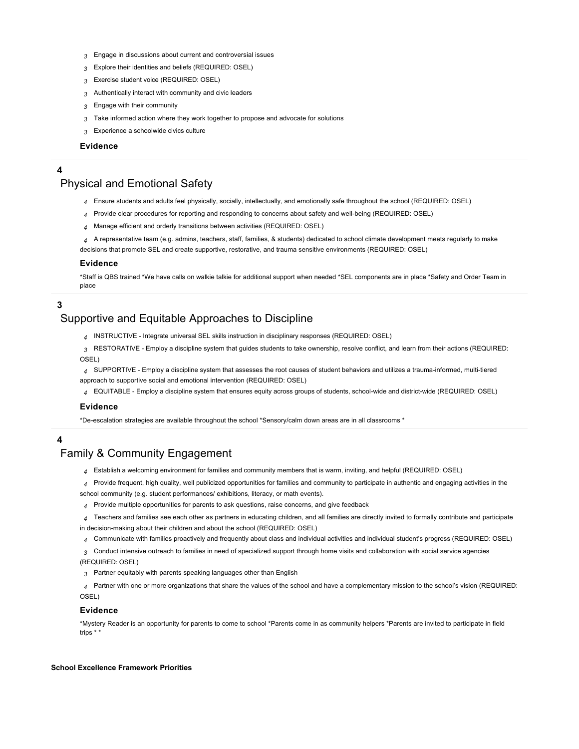- *3* Engage in discussions about current and controversial issues
- *3* Explore their identities and beliefs (REQUIRED: OSEL)
- *3* Exercise student voice (REQUIRED: OSEL)
- *3* Authentically interact with community and civic leaders
- *3* Engage with their community
- *3* Take informed action where they work together to propose and advocate for solutions
- *3* Experience a schoolwide civics culture

# **Evidence**

# **4**

# [Physical and Emotional Safety](https://ciwp.cps.edu/plan/pdfContent/2707?id=2707&actionPlanOnly=False&accessKey=hca339838bs46#)

- *4* Ensure students and adults feel physically, socially, intellectually, and emotionally safe throughout the school (REQUIRED: OSEL)
- *4* Provide clear procedures for reporting and responding to concerns about safety and well-being (REQUIRED: OSEL)
- *4* Manage efficient and orderly transitions between activities (REQUIRED: OSEL)
- *4* A representative team (e.g. admins, teachers, staff, families, & students) dedicated to school climate development meets regularly to make decisions that promote SEL and create supportive, restorative, and trauma sensitive environments (REQUIRED: OSEL)

# **Evidence**

\*Staff is QBS trained \*We have calls on walkie talkie for additional support when needed \*SEL components are in place \*Safety and Order Team in place

# **3**

# [Supportive and Equitable Approaches to Discipline](https://ciwp.cps.edu/plan/pdfContent/2707?id=2707&actionPlanOnly=False&accessKey=hca339838bs46#)

*4* INSTRUCTIVE - Integrate universal SEL skills instruction in disciplinary responses (REQUIRED: OSEL)

*3* RESTORATIVE - Employ a discipline system that guides students to take ownership, resolve conflict, and learn from their actions (REQUIRED: OSEL)

*4* SUPPORTIVE - Employ a discipline system that assesses the root causes of student behaviors and utilizes a trauma-informed, multi-tiered approach to supportive social and emotional intervention (REQUIRED: OSEL)

*4* EQUITABLE - Employ a discipline system that ensures equity across groups of students, school-wide and district-wide (REQUIRED: OSEL)

# **Evidence**

\*De-escalation strategies are available throughout the school \*Sensory/calm down areas are in all classrooms \*

# **4**

# [Family & Community Engagement](https://ciwp.cps.edu/plan/pdfContent/2707?id=2707&actionPlanOnly=False&accessKey=hca339838bs46#)

*4* Establish a welcoming environment for families and community members that is warm, inviting, and helpful (REQUIRED: OSEL)

*4* Provide frequent, high quality, well publicized opportunities for families and community to participate in authentic and engaging activities in the school community (e.g. student performances/ exhibitions, literacy, or math events).

- *4* Provide multiple opportunities for parents to ask questions, raise concerns, and give feedback
- *4* Teachers and families see each other as partners in educating children, and all families are directly invited to formally contribute and participate
- in decision-making about their children and about the school (REQUIRED: OSEL)
- *4* Communicate with families proactively and frequently about class and individual activities and individual student's progress (REQUIRED: OSEL)

*3* Conduct intensive outreach to families in need of specialized support through home visits and collaboration with social service agencies (REQUIRED: OSEL)

*3* Partner equitably with parents speaking languages other than English

*4* Partner with one or more organizations that share the values of the school and have a complementary mission to the school's vision (REQUIRED: OSEL)

# **Evidence**

\*Mystery Reader is an opportunity for parents to come to school \*Parents come in as community helpers \*Parents are invited to participate in field trips \* \*

### <span id="page-6-0"></span>**[School Excellence Framework Priorities](#page-6-0)**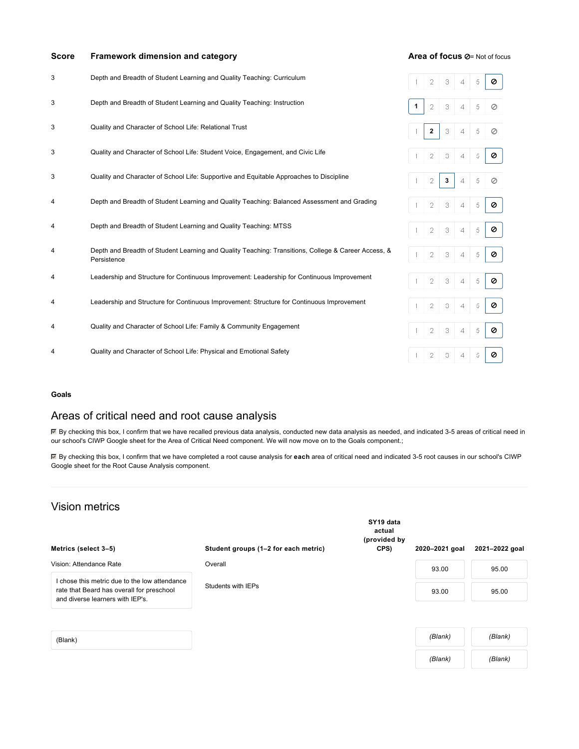| <b>Score</b> | Framework dimension and category                                                                                   |   | Area of focus Ø= Not of focus |   |   |   |   |
|--------------|--------------------------------------------------------------------------------------------------------------------|---|-------------------------------|---|---|---|---|
| 3            | Depth and Breadth of Student Learning and Quality Teaching: Curriculum                                             |   | 2                             | 3 | 4 | 5 | Ø |
| 3            | Depth and Breadth of Student Learning and Quality Teaching: Instruction                                            | 1 | 2                             | 3 | 4 | 5 | Ø |
| 3            | Quality and Character of School Life: Relational Trust                                                             |   | $\overline{2}$                | 3 | 4 | 5 | Ø |
| 3            | Quality and Character of School Life: Student Voice, Engagement, and Civic Life                                    |   | 2                             | 3 | 4 | 5 | ø |
| 3            | Quality and Character of School Life: Supportive and Equitable Approaches to Discipline                            |   | 2                             | 3 | 4 | 5 | Ø |
| 4            | Depth and Breadth of Student Learning and Quality Teaching: Balanced Assessment and Grading                        |   | 2                             | 3 | 4 | 5 | Ø |
| 4            | Depth and Breadth of Student Learning and Quality Teaching: MTSS                                                   |   |                               | 3 | 4 | 5 | ø |
| 4            | Depth and Breadth of Student Learning and Quality Teaching: Transitions, College & Career Access, &<br>Persistence |   | 2                             | 3 | 4 | 5 | ø |
| 4            | Leadership and Structure for Continuous Improvement: Leadership for Continuous Improvement                         |   | 2                             | 3 | 4 | 5 | ø |
| 4            | Leadership and Structure for Continuous Improvement: Structure for Continuous Improvement                          |   | 2                             | 3 | 4 | 5 | ø |
| 4            | Quality and Character of School Life: Family & Community Engagement                                                |   | 2                             | 3 | 4 | 5 | ø |
|              | Quality and Character of School Life: Physical and Emotional Safety                                                |   | 2                             | 3 | 4 | 5 | ø |
|              |                                                                                                                    |   |                               |   |   |   |   |

# **[Goals](#page-7-0)**

# <span id="page-7-0"></span>Areas of critical need and root cause analysis

■ By checking this box, I confirm that we have recalled previous data analysis, conducted new data analysis as needed, and indicated 3-5 areas of critical need in our school's CIWP Google sheet for the Area of Critical Need component. We will now move on to the Goals component.;

By checking this box, I confirm that we have completed a root cause analysis for **each** area of critical need and indicated 3-5 root causes in our school's CIWP Google sheet for the Root Cause Analysis component.

# Vision metrics

| Metrics (select 3-5)                                                                                                           | Student groups (1–2 for each metric) | SY19 data<br>actual<br>(provided by<br>CPS) | 2020-2021 goal | 2021-2022 goal |
|--------------------------------------------------------------------------------------------------------------------------------|--------------------------------------|---------------------------------------------|----------------|----------------|
| Vision: Attendance Rate                                                                                                        | Overall                              |                                             | 93.00          | 95.00          |
| I chose this metric due to the low attendance<br>rate that Beard has overall for preschool<br>and diverse learners with IEP's. | Students with IEPs                   |                                             | 93.00          | 95.00          |
|                                                                                                                                |                                      |                                             |                |                |
| (Blank)                                                                                                                        |                                      |                                             | (Blank)        | (Blank)        |

*(Blank) (Blank)*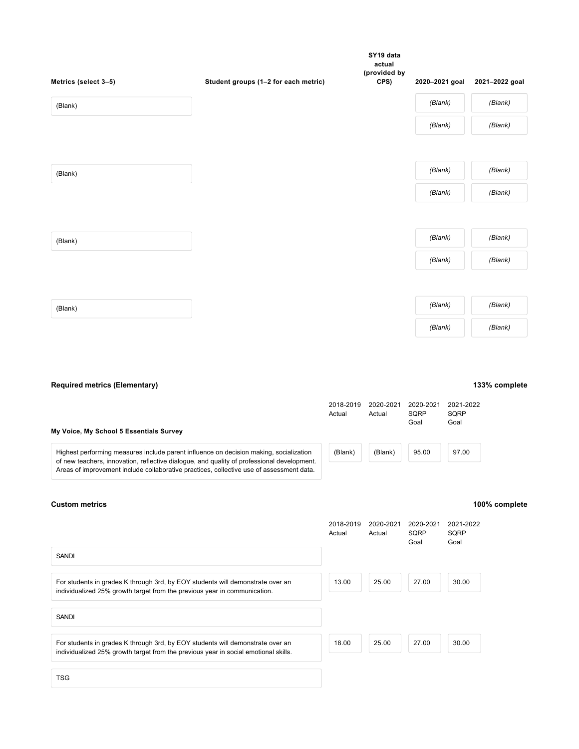| Metrics (select 3-5) | Student groups (1-2 for each metric) | SY19 data<br>actual<br>(provided by<br>CPS) | 2020-2021 goal | 2021-2022 goal |
|----------------------|--------------------------------------|---------------------------------------------|----------------|----------------|
| (Blank)              |                                      |                                             | (Blank)        | (Blank)        |
|                      |                                      |                                             | (Blank)        | (Blank)        |
|                      |                                      |                                             |                |                |
| (Blank)              |                                      |                                             | (Blank)        | (Blank)        |
|                      |                                      |                                             | (Blank)        | (Blank)        |
|                      |                                      |                                             |                |                |
| (Blank)              |                                      |                                             | (Blank)        | (Blank)        |
|                      |                                      |                                             | (Blank)        | (Blank)        |
|                      |                                      |                                             |                |                |
| (Blank)              |                                      |                                             | (Blank)        | (Blank)        |
|                      |                                      |                                             | (Blank)        | (Blank)        |

# **[Required metrics \(Elementary\)](#page-8-0)**

<span id="page-8-0"></span>

| My Voice, My School 5 Essentials Survey                                                                                                                                              | 2018-2019<br>Actual | 2020-2021<br>Actual | 2020-2021<br>SORP<br>Goal | 2021-2022<br>SQRP<br>Goal |
|--------------------------------------------------------------------------------------------------------------------------------------------------------------------------------------|---------------------|---------------------|---------------------------|---------------------------|
| Highest performing measures include parent influence on decision making, socialization<br>of new teachers, innovation, reflective dialogue, and quality of professional development. | (Blank)             | (Blank)             | 95.00                     | 97.00                     |
| Areas of improvement include collaborative practices, collective use of assessment data.                                                                                             |                     |                     |                           |                           |

# **[Custom metrics](#page-8-1)**

# **100% complete**

<span id="page-8-1"></span>

|                                                                                                                                                                       | 2018-2019<br>Actual | 2020-2021<br>Actual | 2020-2021<br>SQRP<br>Goal | 2021-2022<br><b>SQRP</b><br>Goal |
|-----------------------------------------------------------------------------------------------------------------------------------------------------------------------|---------------------|---------------------|---------------------------|----------------------------------|
| <b>SANDI</b>                                                                                                                                                          |                     |                     |                           |                                  |
| For students in grades K through 3rd, by EOY students will demonstrate over an<br>individualized 25% growth target from the previous year in communication.           | 13.00               | 25.00               | 27.00                     | 30.00                            |
| <b>SANDI</b>                                                                                                                                                          |                     |                     |                           |                                  |
| For students in grades K through 3rd, by EOY students will demonstrate over an<br>individualized 25% growth target from the previous year in social emotional skills. | 18.00               | 25.00               | 27.00                     | 30.00                            |
| TSG.                                                                                                                                                                  |                     |                     |                           |                                  |

# **133% complete**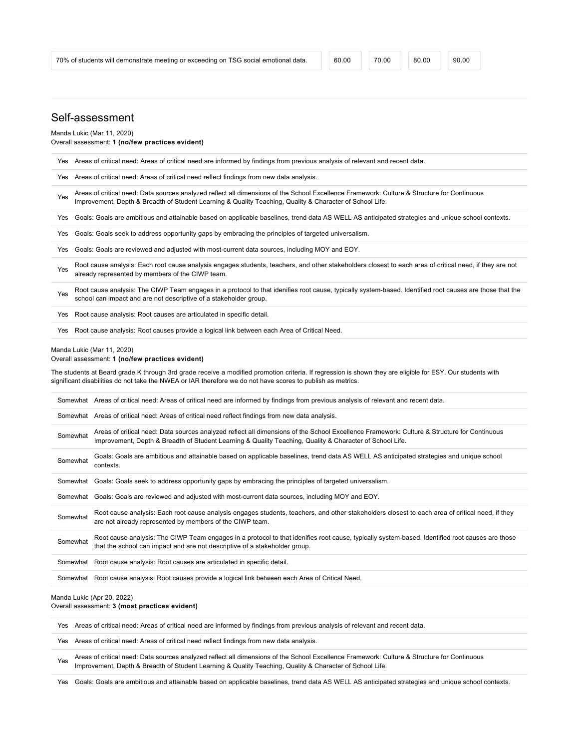# Self-assessment

Manda Lukic (Mar 11, 2020) Overall assessment: **1 (no/few practices evident)**

|     |          | Yes Areas of critical need: Areas of critical need are informed by findings from previous analysis of relevant and recent data.                                                                                                                                                                                               |
|-----|----------|-------------------------------------------------------------------------------------------------------------------------------------------------------------------------------------------------------------------------------------------------------------------------------------------------------------------------------|
| Yes |          | Areas of critical need: Areas of critical need reflect findings from new data analysis.                                                                                                                                                                                                                                       |
| Yes |          | Areas of critical need: Data sources analyzed reflect all dimensions of the School Excellence Framework: Culture & Structure for Continuous<br>Improvement, Depth & Breadth of Student Learning & Quality Teaching, Quality & Character of School Life.                                                                       |
| Yes |          | Goals: Goals are ambitious and attainable based on applicable baselines, trend data AS WELL AS anticipated strategies and unique school contexts.                                                                                                                                                                             |
| Yes |          | Goals: Goals seek to address opportunity gaps by embracing the principles of targeted universalism.                                                                                                                                                                                                                           |
| Yes |          | Goals: Goals are reviewed and adjusted with most-current data sources, including MOY and EOY.                                                                                                                                                                                                                                 |
| Yes |          | Root cause analysis: Each root cause analysis engages students, teachers, and other stakeholders closest to each area of critical need, if they are not<br>already represented by members of the CIWP team.                                                                                                                   |
| Yes |          | Root cause analysis: The CIWP Team engages in a protocol to that idenifies root cause, typically system-based. Identified root causes are those that the<br>school can impact and are not descriptive of a stakeholder group.                                                                                                 |
| Yes |          | Root cause analysis: Root causes are articulated in specific detail.                                                                                                                                                                                                                                                          |
| Yes |          | Root cause analysis: Root causes provide a logical link between each Area of Critical Need.                                                                                                                                                                                                                                   |
|     |          | Overall assessment: 1 (no/few practices evident)<br>The students at Beard grade K through 3rd grade receive a modified promotion criteria. If regression is shown they are eligible for ESY. Our students with<br>significant disabilities do not take the NWEA or IAR therefore we do not have scores to publish as metrics. |
|     |          | Somewhat Areas of critical need: Areas of critical need are informed by findings from previous analysis of relevant and recent data.                                                                                                                                                                                          |
|     |          | Somewhat Areas of critical need: Areas of critical need reflect findings from new data analysis.                                                                                                                                                                                                                              |
|     | Somewhat | Areas of critical need: Data sources analyzed reflect all dimensions of the School Excellence Framework: Culture & Structure for Continuous<br>Improvement, Depth & Breadth of Student Learning & Quality Teaching, Quality & Character of School Life.                                                                       |
|     | Somewhat | Goals: Goals are ambitious and attainable based on applicable baselines, trend data AS WELL AS anticipated strategies and unique school<br>contexts.                                                                                                                                                                          |
|     | Somewhat | Goals: Goals seek to address opportunity gaps by embracing the principles of targeted universalism.                                                                                                                                                                                                                           |
|     | Somewhat | Goals: Goals are reviewed and adjusted with most-current data sources, including MOY and EOY.                                                                                                                                                                                                                                 |
|     | Somewhat | Root cause analysis: Each root cause analysis engages students, teachers, and other stakeholders closest to each area of critical need, if they<br>are not already represented by members of the CIWP team.                                                                                                                   |
|     | Somewhat | Root cause analysis: The CIWP Team engages in a protocol to that idenifies root cause, typically system-based. Identified root causes are those<br>that the school can impact and are not descriptive of a stakeholder group.                                                                                                 |
|     | Somewhat | Root cause analysis: Root causes are articulated in specific detail.                                                                                                                                                                                                                                                          |
|     |          | Somewhat Root cause analysis: Root causes provide a logical link between each Area of Critical Need.                                                                                                                                                                                                                          |
|     |          |                                                                                                                                                                                                                                                                                                                               |

Overall assessment: **3 (most practices evident)**

Yes Areas of critical need: Areas of critical need are informed by findings from previous analysis of relevant and recent data.

Yes Areas of critical need: Areas of critical need reflect findings from new data analysis.

Areas of critical need: Data sources analyzed reflect all dimensions of the School Excellence Framework: Culture & Structure for Continuous<br>
New Jersey Structure for Continuous<br>
Structure of Cabel Life Improvement, Depth & Breadth of Student Learning & Quality Teaching, Quality & Character of School Life.

Yes Goals: Goals are ambitious and attainable based on applicable baselines, trend data AS WELL AS anticipated strategies and unique school contexts.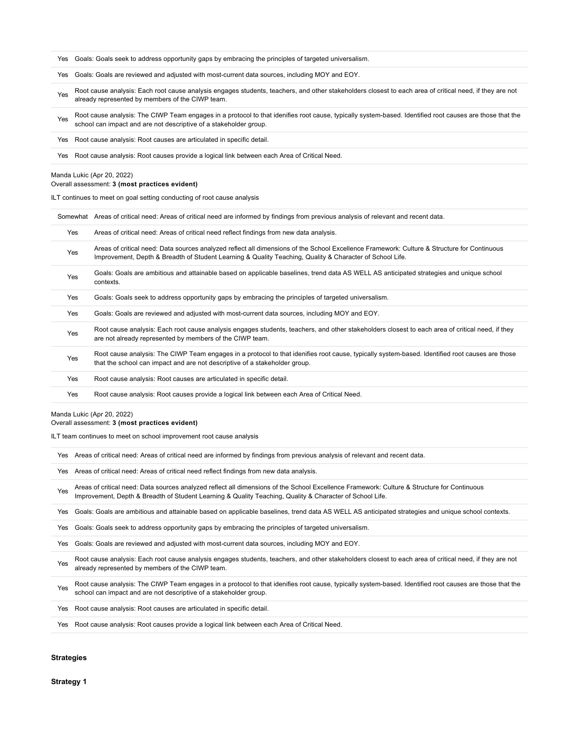| Yes |                                                                                                                                                                                                                                                                                         |  |  |  |  |  |
|-----|-----------------------------------------------------------------------------------------------------------------------------------------------------------------------------------------------------------------------------------------------------------------------------------------|--|--|--|--|--|
|     | Goals: Goals seek to address opportunity gaps by embracing the principles of targeted universalism.                                                                                                                                                                                     |  |  |  |  |  |
| Yes | Goals: Goals are reviewed and adjusted with most-current data sources, including MOY and EOY.                                                                                                                                                                                           |  |  |  |  |  |
| Yes | Root cause analysis: Each root cause analysis engages students, teachers, and other stakeholders closest to each area of critical need, if they are not<br>already represented by members of the CIWP team.                                                                             |  |  |  |  |  |
| Yes | Root cause analysis: The CIWP Team engages in a protocol to that idenifies root cause, typically system-based. Identified root causes are those that the<br>school can impact and are not descriptive of a stakeholder group.                                                           |  |  |  |  |  |
| Yes | Root cause analysis: Root causes are articulated in specific detail.                                                                                                                                                                                                                    |  |  |  |  |  |
| Yes | Root cause analysis: Root causes provide a logical link between each Area of Critical Need.                                                                                                                                                                                             |  |  |  |  |  |
|     | Manda Lukic (Apr 20, 2022)<br>Overall assessment: 3 (most practices evident)                                                                                                                                                                                                            |  |  |  |  |  |
|     | ILT continues to meet on goal setting conducting of root cause analysis                                                                                                                                                                                                                 |  |  |  |  |  |
|     | Somewhat Areas of critical need: Areas of critical need are informed by findings from previous analysis of relevant and recent data.                                                                                                                                                    |  |  |  |  |  |
| Yes | Areas of critical need: Areas of critical need reflect findings from new data analysis.                                                                                                                                                                                                 |  |  |  |  |  |
| Yes | Areas of critical need: Data sources analyzed reflect all dimensions of the School Excellence Framework: Culture & Structure for Continuous<br>Improvement, Depth & Breadth of Student Learning & Quality Teaching, Quality & Character of School Life.                                 |  |  |  |  |  |
| Yes | Goals: Goals are ambitious and attainable based on applicable baselines, trend data AS WELL AS anticipated strategies and unique school<br>contexts.                                                                                                                                    |  |  |  |  |  |
| Yes | Goals: Goals seek to address opportunity gaps by embracing the principles of targeted universalism.                                                                                                                                                                                     |  |  |  |  |  |
| Yes | Goals: Goals are reviewed and adjusted with most-current data sources, including MOY and EOY.                                                                                                                                                                                           |  |  |  |  |  |
| Yes | Root cause analysis: Each root cause analysis engages students, teachers, and other stakeholders closest to each area of critical need, if they<br>are not already represented by members of the CIWP team.                                                                             |  |  |  |  |  |
|     |                                                                                                                                                                                                                                                                                         |  |  |  |  |  |
| Yes | Root cause analysis: The CIWP Team engages in a protocol to that idenifies root cause, typically system-based. Identified root causes are those<br>that the school can impact and are not descriptive of a stakeholder group.                                                           |  |  |  |  |  |
| Yes | Root cause analysis: Root causes are articulated in specific detail.                                                                                                                                                                                                                    |  |  |  |  |  |
| Yes | Root cause analysis: Root causes provide a logical link between each Area of Critical Need.                                                                                                                                                                                             |  |  |  |  |  |
|     | Manda Lukic (Apr 20, 2022)<br>Overall assessment: 3 (most practices evident)<br>ILT team continues to meet on school improvement root cause analysis<br>Yes Areas of critical need: Areas of critical need are informed by findings from previous analysis of relevant and recent data. |  |  |  |  |  |
|     | Areas of critical need: Areas of critical need reflect findings from new data analysis.                                                                                                                                                                                                 |  |  |  |  |  |
| Yes | Areas of critical need: Data sources analyzed reflect all dimensions of the School Excellence Framework: Culture & Structure for Continuous<br>Improvement, Depth & Breadth of Student Learning & Quality Teaching, Quality & Character of School Life.                                 |  |  |  |  |  |
| Yes | Goals: Goals are ambitious and attainable based on applicable baselines, trend data AS WELL AS anticipated strategies and unique school contexts.                                                                                                                                       |  |  |  |  |  |
| Yes | Goals: Goals seek to address opportunity gaps by embracing the principles of targeted universalism.                                                                                                                                                                                     |  |  |  |  |  |
| Yes | Goals: Goals are reviewed and adjusted with most-current data sources, including MOY and EOY.                                                                                                                                                                                           |  |  |  |  |  |
| Yes | Root cause analysis: Each root cause analysis engages students, teachers, and other stakeholders closest to each area of critical need, if they are not<br>already represented by members of the CIWP team.                                                                             |  |  |  |  |  |
| Yes | Root cause analysis: The CIWP Team engages in a protocol to that idenifies root cause, typically system-based. Identified root causes are those that the<br>school can impact and are not descriptive of a stakeholder group.                                                           |  |  |  |  |  |
| Yes | Root cause analysis: Root causes are articulated in specific detail.                                                                                                                                                                                                                    |  |  |  |  |  |

**[Strategies](#page-10-0)**

<span id="page-10-1"></span><span id="page-10-0"></span>**[Strategy 1](#page-10-1)**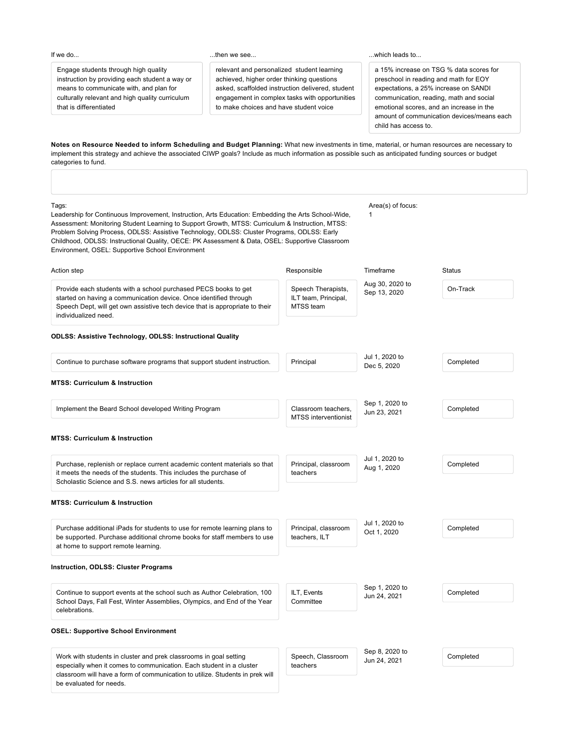### If we do...

...then we see...

Engage students through high quality instruction by providing each student a way or means to communicate with, and plan for culturally relevant and high quality curriculum that is differentiated

relevant and personalized student learning achieved, higher order thinking questions asked, scaffolded instruction delivered, student engagement in complex tasks with opportunities to make choices and have student voice

...which leads to...

a 15% increase on TSG % data scores for preschool in reading and math for EOY expectations, a 25% increase on SANDI communication, reading, math and social emotional scores, and an increase in the amount of communication devices/means each child has access to.

**Notes on Resource Needed to inform Scheduling and Budget Planning:** What new investments in time, material, or human resources are necessary to [implement this strategy and achieve the associated CIWP goals? Include as much information as possible such as anticipated funding sources or budget](https://docs.google.com/document/d/17eqe9rWfMOOwbJLw12e7hXBteKzgm5PeSAbN0g00IA8/edit?usp=sharing) categories to fund.

| Tags:<br>Leadership for Continuous Improvement, Instruction, Arts Education: Embedding the Arts School-Wide,<br>Assessment: Monitoring Student Learning to Support Growth, MTSS: Curriculum & Instruction, MTSS:<br>Problem Solving Process, ODLSS: Assistive Technology, ODLSS: Cluster Programs, ODLSS: Early<br>Childhood, ODLSS: Instructional Quality, OECE: PK Assessment & Data, OSEL: Supportive Classroom<br>Environment, OSEL: Supportive School Environment |                                                         | Area(s) of focus:<br>1          |               |
|------------------------------------------------------------------------------------------------------------------------------------------------------------------------------------------------------------------------------------------------------------------------------------------------------------------------------------------------------------------------------------------------------------------------------------------------------------------------|---------------------------------------------------------|---------------------------------|---------------|
| Action step                                                                                                                                                                                                                                                                                                                                                                                                                                                            | Responsible                                             | Timeframe                       | <b>Status</b> |
| Provide each students with a school purchased PECS books to get<br>started on having a communication device. Once identified through<br>Speech Dept, will get own assistive tech device that is appropriate to their<br>individualized need.                                                                                                                                                                                                                           | Speech Therapists,<br>ILT team, Principal,<br>MTSS team | Aug 30, 2020 to<br>Sep 13, 2020 | On-Track      |
| <b>ODLSS: Assistive Technology, ODLSS: Instructional Quality</b>                                                                                                                                                                                                                                                                                                                                                                                                       |                                                         |                                 |               |
| Continue to purchase software programs that support student instruction.                                                                                                                                                                                                                                                                                                                                                                                               | Principal                                               | Jul 1, 2020 to<br>Dec 5, 2020   | Completed     |
| <b>MTSS: Curriculum &amp; Instruction</b>                                                                                                                                                                                                                                                                                                                                                                                                                              |                                                         |                                 |               |
| Implement the Beard School developed Writing Program                                                                                                                                                                                                                                                                                                                                                                                                                   | Classroom teachers.<br><b>MTSS</b> interventionist      | Sep 1, 2020 to<br>Jun 23, 2021  | Completed     |
| <b>MTSS: Curriculum &amp; Instruction</b>                                                                                                                                                                                                                                                                                                                                                                                                                              |                                                         |                                 |               |
| Purchase, replenish or replace current academic content materials so that<br>it meets the needs of the students. This includes the purchase of<br>Scholastic Science and S.S. news articles for all students.                                                                                                                                                                                                                                                          | Principal, classroom<br>teachers                        | Jul 1, 2020 to<br>Aug 1, 2020   | Completed     |
| <b>MTSS: Curriculum &amp; Instruction</b>                                                                                                                                                                                                                                                                                                                                                                                                                              |                                                         |                                 |               |
| Purchase additional iPads for students to use for remote learning plans to<br>be supported. Purchase additional chrome books for staff members to use<br>at home to support remote learning.                                                                                                                                                                                                                                                                           | Principal, classroom<br>teachers, ILT                   | Jul 1, 2020 to<br>Oct 1, 2020   | Completed     |
| <b>Instruction, ODLSS: Cluster Programs</b>                                                                                                                                                                                                                                                                                                                                                                                                                            |                                                         |                                 |               |
| Continue to support events at the school such as Author Celebration, 100<br>School Days, Fall Fest, Winter Assemblies, Olympics, and End of the Year<br>celebrations.                                                                                                                                                                                                                                                                                                  | ILT, Events<br>Committee                                | Sep 1, 2020 to<br>Jun 24, 2021  | Completed     |
| <b>OSEL: Supportive School Environment</b>                                                                                                                                                                                                                                                                                                                                                                                                                             |                                                         |                                 |               |
| Work with students in cluster and prek classrooms in goal setting<br>especially when it comes to communication. Each student in a cluster<br>classroom will have a form of communication to utilize. Students in prek will<br>be evaluated for needs.                                                                                                                                                                                                                  | Speech, Classroom<br>teachers                           | Sep 8, 2020 to<br>Jun 24, 2021  | Completed     |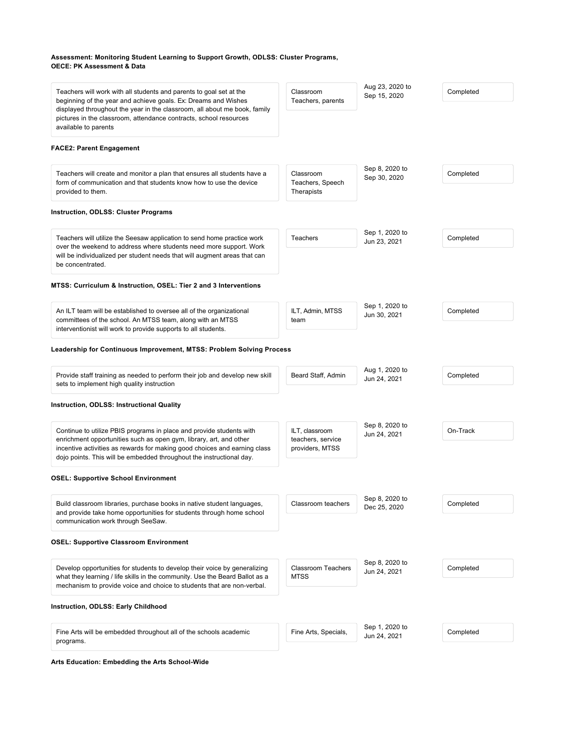# **Assessment: Monitoring Student Learning to Support Growth, ODLSS: Cluster Programs, OECE: PK Assessment & Data**

| Teachers will work with all students and parents to goal set at the<br>beginning of the year and achieve goals. Ex: Dreams and Wishes<br>displayed throughout the year in the classroom, all about me book, family                                                                              | Classroom<br>Teachers, parents                         | Aug 23, 2020 to<br>Sep 15, 2020 | Completed |
|-------------------------------------------------------------------------------------------------------------------------------------------------------------------------------------------------------------------------------------------------------------------------------------------------|--------------------------------------------------------|---------------------------------|-----------|
| pictures in the classroom, attendance contracts, school resources<br>available to parents                                                                                                                                                                                                       |                                                        |                                 |           |
| <b>FACE2: Parent Engagement</b>                                                                                                                                                                                                                                                                 |                                                        |                                 |           |
| Teachers will create and monitor a plan that ensures all students have a<br>form of communication and that students know how to use the device<br>provided to them.                                                                                                                             | Classroom<br>Teachers, Speech<br>Therapists            | Sep 8, 2020 to<br>Sep 30, 2020  | Completed |
| <b>Instruction, ODLSS: Cluster Programs</b>                                                                                                                                                                                                                                                     |                                                        |                                 |           |
| Teachers will utilize the Seesaw application to send home practice work<br>over the weekend to address where students need more support. Work<br>will be individualized per student needs that will augment areas that can<br>be concentrated.                                                  | Teachers                                               | Sep 1, 2020 to<br>Jun 23, 2021  | Completed |
| MTSS: Curriculum & Instruction, OSEL: Tier 2 and 3 Interventions                                                                                                                                                                                                                                |                                                        |                                 |           |
| An ILT team will be established to oversee all of the organizational<br>committees of the school. An MTSS team, along with an MTSS<br>interventionist will work to provide supports to all students.                                                                                            | ILT, Admin, MTSS<br>team                               | Sep 1, 2020 to<br>Jun 30, 2021  | Completed |
| Leadership for Continuous Improvement, MTSS: Problem Solving Process                                                                                                                                                                                                                            |                                                        |                                 |           |
| Provide staff training as needed to perform their job and develop new skill<br>sets to implement high quality instruction                                                                                                                                                                       | Beard Staff, Admin                                     | Aug 1, 2020 to<br>Jun 24, 2021  | Completed |
| <b>Instruction, ODLSS: Instructional Quality</b>                                                                                                                                                                                                                                                |                                                        |                                 |           |
| Continue to utilize PBIS programs in place and provide students with<br>enrichment opportunities such as open gym, library, art, and other<br>incentive activities as rewards for making good choices and earning class<br>dojo points. This will be embedded throughout the instructional day. | ILT, classroom<br>teachers, service<br>providers, MTSS | Sep 8, 2020 to<br>Jun 24, 2021  | On-Track  |
| <b>OSEL: Supportive School Environment</b>                                                                                                                                                                                                                                                      |                                                        |                                 |           |
| Build classroom libraries, purchase books in native student languages,<br>and provide take home opportunities for students through home school<br>communication work through SeeSaw.                                                                                                            | Classroom teachers                                     | Sep 8, 2020 to<br>Dec 25, 2020  | Completed |
| <b>OSEL: Supportive Classroom Environment</b>                                                                                                                                                                                                                                                   |                                                        |                                 |           |
| Develop opportunities for students to develop their voice by generalizing<br>what they learning / life skills in the community. Use the Beard Ballot as a<br>mechanism to provide voice and choice to students that are non-verbal.                                                             | <b>Classroom Teachers</b><br>MTSS                      | Sep 8, 2020 to<br>Jun 24, 2021  | Completed |
| Instruction, ODLSS: Early Childhood                                                                                                                                                                                                                                                             |                                                        |                                 |           |
| Fine Arts will be embedded throughout all of the schools academic<br>programs.                                                                                                                                                                                                                  | Fine Arts, Specials,                                   | Sep 1, 2020 to<br>Jun 24, 2021  | Completed |
|                                                                                                                                                                                                                                                                                                 |                                                        |                                 |           |

**Arts Education: Embedding the Arts School-Wide**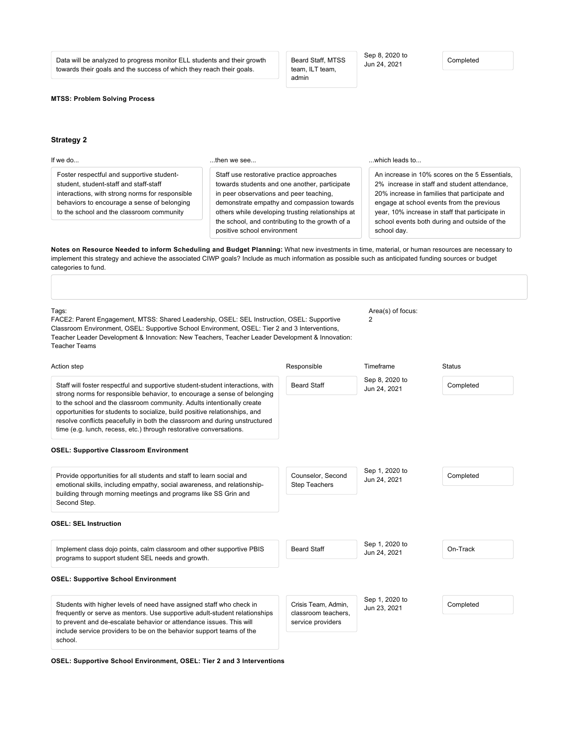Data will be analyzed to progress monitor ELL students and their growth towards their goals and the success of which they reach their goals.

Beard Staff, MTSS team, ILT team, admin

Sep 8, 2020 to Sep 6, 2020 to<br>Jun 24, 2021 Completed

# **MTSS: Problem Solving Process**

# **[Strategy 2](#page-13-0)**

<span id="page-13-0"></span>

| If we do                                                                                                                                                                                                                           | then we see                                                                                                                                                                                                                                                                                                                | which leads to                                                                                                                                                                                                                                                                                                 |
|------------------------------------------------------------------------------------------------------------------------------------------------------------------------------------------------------------------------------------|----------------------------------------------------------------------------------------------------------------------------------------------------------------------------------------------------------------------------------------------------------------------------------------------------------------------------|----------------------------------------------------------------------------------------------------------------------------------------------------------------------------------------------------------------------------------------------------------------------------------------------------------------|
| Foster respectful and supportive student-<br>student, student-staff and staff-staff<br>interactions, with strong norms for responsible<br>behaviors to encourage a sense of belonging<br>to the school and the classroom community | Staff use restorative practice approaches<br>towards students and one another, participate<br>in peer observations and peer teaching,<br>demonstrate empathy and compassion towards<br>others while developing trusting relationships at<br>the school, and contributing to the growth of a<br>positive school environment | An increase in 10% scores on the 5 Essentials.<br>2% increase in staff and student attendance.<br>20% increase in families that participate and<br>engage at school events from the previous<br>year, 10% increase in staff that participate in<br>school events both during and outside of the<br>school day. |
| categories to fund.                                                                                                                                                                                                                | Notes on Resource Needed to inform Scheduling and Budget Planning: What new investments in time, material, or human resources are necessary to<br>implement this strategy and achieve the associated CIWP goals? Include as much information as possible such as anticipated funding sources or budget                     |                                                                                                                                                                                                                                                                                                                |

| Tags:<br>FACE2: Parent Engagement, MTSS: Shared Leadership, OSEL: SEL Instruction, OSEL: Supportive<br>Classroom Environment, OSEL: Supportive School Environment, OSEL: Tier 2 and 3 Interventions,<br>Teacher Leader Development & Innovation: New Teachers, Teacher Leader Development & Innovation:<br><b>Teacher Teams</b> |                                                                 | Area(s) of focus:<br>2         |               |
|---------------------------------------------------------------------------------------------------------------------------------------------------------------------------------------------------------------------------------------------------------------------------------------------------------------------------------|-----------------------------------------------------------------|--------------------------------|---------------|
| Action step                                                                                                                                                                                                                                                                                                                     | Responsible                                                     | Timeframe                      | <b>Status</b> |
| Staff will foster respectful and supportive student-student interactions, with<br>strong norms for responsible behavior, to encourage a sense of belonging                                                                                                                                                                      | <b>Beard Staff</b>                                              | Sep 8, 2020 to<br>Jun 24, 2021 | Completed     |
| to the school and the classroom community. Adults intentionally create<br>opportunities for students to socialize, build positive relationships, and<br>resolve conflicts peacefully in both the classroom and during unstructured<br>time (e.g. lunch, recess, etc.) through restorative conversations.                        |                                                                 |                                |               |
| <b>OSEL: Supportive Classroom Environment</b>                                                                                                                                                                                                                                                                                   |                                                                 |                                |               |
| Provide opportunities for all students and staff to learn social and<br>emotional skills, including empathy, social awareness, and relationship-<br>building through morning meetings and programs like SS Grin and<br>Second Step.                                                                                             | Counselor, Second<br><b>Step Teachers</b>                       | Sep 1, 2020 to<br>Jun 24, 2021 | Completed     |
| <b>OSEL: SEL Instruction</b>                                                                                                                                                                                                                                                                                                    |                                                                 |                                |               |
| Implement class dojo points, calm classroom and other supportive PBIS<br>programs to support student SEL needs and growth.                                                                                                                                                                                                      | <b>Beard Staff</b>                                              | Sep 1, 2020 to<br>Jun 24, 2021 | On-Track      |
| <b>OSEL: Supportive School Environment</b>                                                                                                                                                                                                                                                                                      |                                                                 |                                |               |
| Students with higher levels of need have assigned staff who check in<br>frequently or serve as mentors. Use supportive adult-student relationships<br>to prevent and de-escalate behavior or attendance issues. This will                                                                                                       | Crisis Team, Admin,<br>classroom teachers.<br>service providers | Sep 1, 2020 to<br>Jun 23, 2021 | Completed     |
| include service providers to be on the behavior support teams of the<br>school.                                                                                                                                                                                                                                                 |                                                                 |                                |               |

**OSEL: Supportive School Environment, OSEL: Tier 2 and 3 Interventions**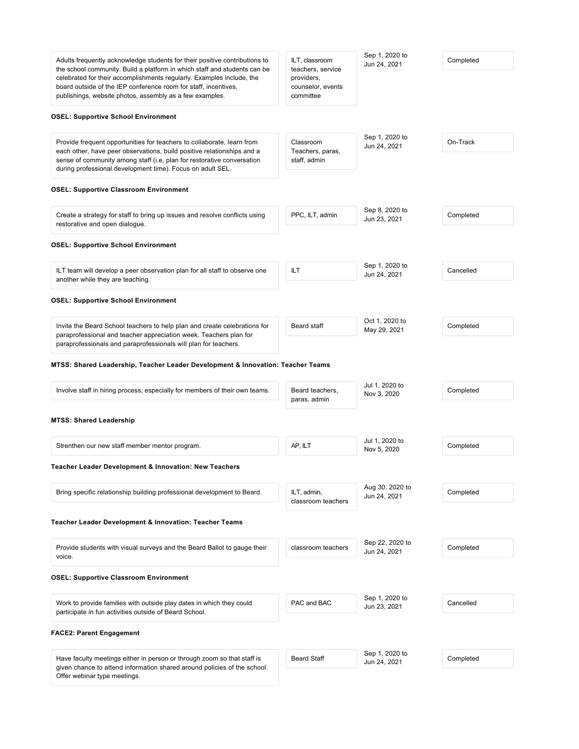| Adults frequently acknowledge students for their positive contributions to<br>the school community. Build a platform in which staff and students can be<br>celebrated for their accomplishments regularly. Examples include, the<br>board outside of the IEP conference room for staff, incentives,<br>publishings, website photos, assembly as a few examples. | ILT, classroom<br>teachers, service<br>providers,<br>counselor, events<br>committee | Sep 1, 2020 to<br>Jun 24, 2021  | Completed |
|-----------------------------------------------------------------------------------------------------------------------------------------------------------------------------------------------------------------------------------------------------------------------------------------------------------------------------------------------------------------|-------------------------------------------------------------------------------------|---------------------------------|-----------|
| <b>OSEL: Supportive School Environment</b>                                                                                                                                                                                                                                                                                                                      |                                                                                     |                                 |           |
| Provide frequent opportunities for teachers to collaborate, learn from<br>each other, have peer observations, build positive relationships and a<br>sense of community among staff (i.e. plan for restorative conversation<br>during professional development time). Focus on adult SEL.                                                                        | Classroom<br>Teachers, paras,<br>staff, admin                                       | Sep 1, 2020 to<br>Jun 24, 2021  | On-Track  |
| <b>OSEL: Supportive Classroom Environment</b>                                                                                                                                                                                                                                                                                                                   |                                                                                     |                                 |           |
| Create a strategy for staff to bring up issues and resolve conflicts using<br>restorative and open dialogue.                                                                                                                                                                                                                                                    | PPC, ILT, admin                                                                     | Sep 8, 2020 to<br>Jun 23, 2021  | Completed |
| <b>OSEL: Supportive School Environment</b>                                                                                                                                                                                                                                                                                                                      |                                                                                     |                                 |           |
| ILT team will develop a peer observation plan for all staff to observe one<br>another while they are teaching.                                                                                                                                                                                                                                                  | ILT                                                                                 | Sep 1, 2020 to<br>Jun 24, 2021  | Cancelled |
| <b>OSEL: Supportive School Environment</b>                                                                                                                                                                                                                                                                                                                      |                                                                                     |                                 |           |
| Invite the Beard School teachers to help plan and create celebrations for<br>paraprofessional and teacher appreciation week. Teachers plan for<br>paraprofessionals and paraprofessionals will plan for teachers.                                                                                                                                               | Beard staff                                                                         | Oct 1, 2020 to<br>May 29, 2021  | Completed |
| MTSS: Shared Leadership, Teacher Leader Development & Innovation: Teacher Teams<br>Involve staff in hiring process, especially for members of their own teams.                                                                                                                                                                                                  | Beard teachers,<br>paras, admin                                                     | Jul 1, 2020 to<br>Nov 3, 2020   | Completed |
| <b>MTSS: Shared Leadership</b>                                                                                                                                                                                                                                                                                                                                  |                                                                                     |                                 |           |
| Strenthen our new staff member mentor program.                                                                                                                                                                                                                                                                                                                  | AP, ILT                                                                             | Jul 1, 2020 to<br>Nov 5, 2020   | Completed |
| Teacher Leader Development & Innovation: New Teachers                                                                                                                                                                                                                                                                                                           |                                                                                     |                                 |           |
| Bring specific relationship building professional development to Beard.                                                                                                                                                                                                                                                                                         | ILT, admin,<br>classroom teachers                                                   | Aug 30, 2020 to<br>Jun 24, 2021 | Completed |
| Teacher Leader Development & Innovation: Teacher Teams                                                                                                                                                                                                                                                                                                          |                                                                                     |                                 |           |
| Provide students with visual surveys and the Beard Ballot to gauge their<br>voice.                                                                                                                                                                                                                                                                              | classroom teachers                                                                  | Sep 22, 2020 to<br>Jun 24, 2021 | Completed |
|                                                                                                                                                                                                                                                                                                                                                                 |                                                                                     |                                 |           |
|                                                                                                                                                                                                                                                                                                                                                                 |                                                                                     |                                 |           |
| Work to provide families with outside play dates in which they could<br>participate in fun activities outside of Beard School.                                                                                                                                                                                                                                  | PAC and BAC                                                                         | Sep 1, 2020 to<br>Jun 23, 2021  | Cancelled |
| <b>OSEL: Supportive Classroom Environment</b><br><b>FACE2: Parent Engagement</b>                                                                                                                                                                                                                                                                                |                                                                                     |                                 |           |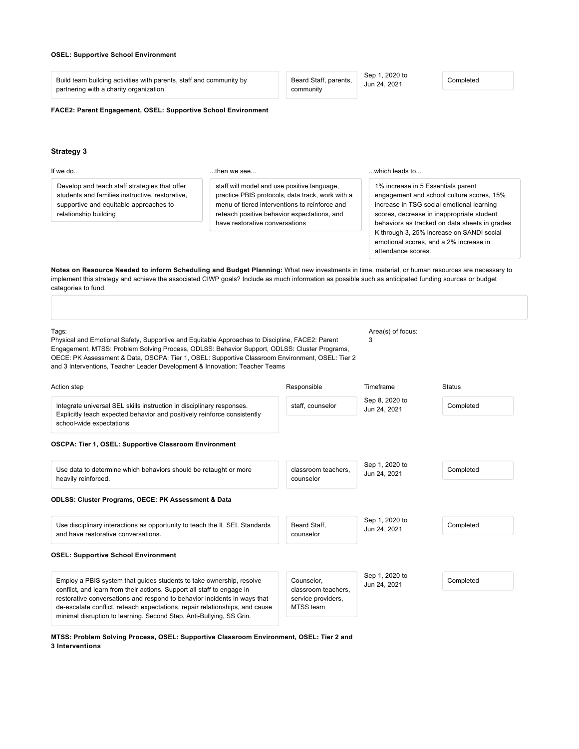### **OSEL: Supportive School Environment**

Build team building activities with parents, staff and community by partnering with a charity organization.

Beard Staff, parents, community

Sep 1, 2020 to Jun 24, 2021 Completed

**FACE2: Parent Engagement, OSEL: Supportive School Environment**

### **[Strategy 3](#page-15-0)**

<span id="page-15-0"></span>

| If we do                                                                                                                                                            | then we see                                                                                                                                                                                                                                                                                            | which leads to                                                                                                                                                                                                                                                                                                                          |
|---------------------------------------------------------------------------------------------------------------------------------------------------------------------|--------------------------------------------------------------------------------------------------------------------------------------------------------------------------------------------------------------------------------------------------------------------------------------------------------|-----------------------------------------------------------------------------------------------------------------------------------------------------------------------------------------------------------------------------------------------------------------------------------------------------------------------------------------|
| Develop and teach staff strategies that offer<br>students and families instructive, restorative,<br>supportive and equitable approaches to<br>relationship building | staff will model and use positive language,<br>practice PBIS protocols, data track, work with a<br>menu of tiered interventions to reinforce and<br>reteach positive behavior expectations, and<br>have restorative conversations                                                                      | 1% increase in 5 Essentials parent<br>engagement and school culture scores, 15%<br>increase in TSG social emotional learning<br>scores, decrease in inappropriate student<br>behaviors as tracked on data sheets in grades<br>K through 3, 25% increase on SANDI social<br>emotional scores, and a 2% increase in<br>attendance scores. |
| categories to fund.                                                                                                                                                 | Notes on Resource Needed to inform Scheduling and Budget Planning: What new investments in time, material, or human resources are necessary to<br>implement this strategy and achieve the associated CIWP goals? Include as much information as possible such as anticipated funding sources or budget |                                                                                                                                                                                                                                                                                                                                         |
|                                                                                                                                                                     |                                                                                                                                                                                                                                                                                                        |                                                                                                                                                                                                                                                                                                                                         |

Tags: Physical and Emotional Safety, Supportive and Equitable Approaches to Discipline, FACE2: Parent Engagement, MTSS: Problem Solving Process, ODLSS: Behavior Support, ODLSS: Cluster Programs, OECE: PK Assessment & Data, OSCPA: Tier 1, OSEL: Supportive Classroom Environment, OSEL: Tier 2 and 3 Interventions, Teacher Leader Development & Innovation: Teacher Teams Area(s) of focus: 3 Action step Responsible Timeframe Status

Integrate universal SEL skills instruction in disciplinary responses. Explicitly teach expected behavior and positively reinforce consistently school-wide expectations staff, counselor Sep 8, 2020 to Jun 24, 2021 Completed **OSCPA: Tier 1, OSEL: Supportive Classroom Environment** Use data to determine which behaviors should be retaught or more heavily reinforced. classroom teachers, counselor Sep 1, 2020 to Jun 24, 2021 Completed **ODLSS: Cluster Programs, OECE: PK Assessment & Data** Use disciplinary interactions as opportunity to teach the IL SEL Standards and have restorative conversations. Beard Staff, counselor Sep 1, 2020 to Jun 24, 2021 Completed **OSEL: Supportive School Environment** Counselor, Sep 1, 2020 to Jun 24, 2021 Completed

Employ a PBIS system that guides students to take ownership, resolve conflict, and learn from their actions. Support all staff to engage in restorative conversations and respond to behavior incidents in ways that de-escalate conflict, reteach expectations, repair relationships, and cause minimal disruption to learning. Second Step, Anti-Bullying, SS Grin.

classroom teachers, service providers, MTSS team

**MTSS: Problem Solving Process, OSEL: Supportive Classroom Environment, OSEL: Tier 2 and 3 Interventions**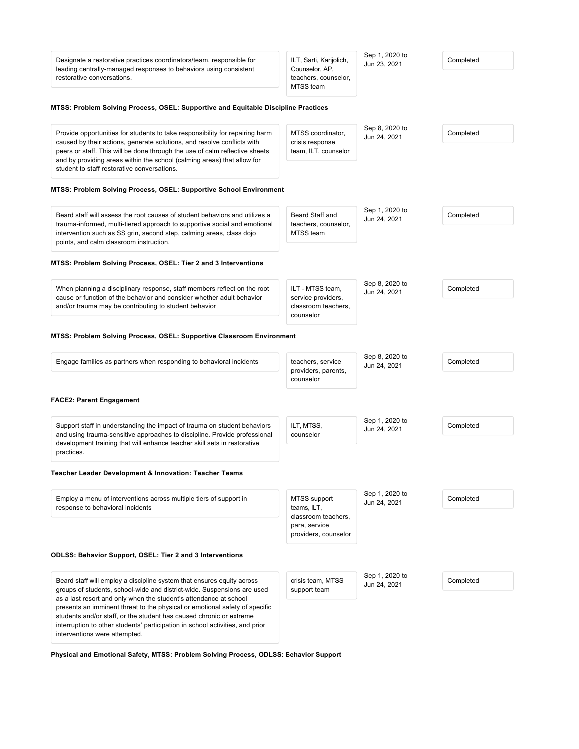| Designate a restorative practices coordinators/team, responsible for<br>leading centrally-managed responses to behaviors using consistent<br>restorative conversations.                                                                                                                                                                                                      | ILT, Sarti, Karijolich,<br>Counselor, AP,<br>teachers, counselor,<br>MTSS team              | Sep 1, 2020 to<br>Jun 23, 2021 | Completed |
|------------------------------------------------------------------------------------------------------------------------------------------------------------------------------------------------------------------------------------------------------------------------------------------------------------------------------------------------------------------------------|---------------------------------------------------------------------------------------------|--------------------------------|-----------|
| MTSS: Problem Solving Process, OSEL: Supportive and Equitable Discipline Practices                                                                                                                                                                                                                                                                                           |                                                                                             |                                |           |
| Provide opportunities for students to take responsibility for repairing harm<br>caused by their actions, generate solutions, and resolve conflicts with<br>peers or staff. This will be done through the use of calm reflective sheets<br>and by providing areas within the school (calming areas) that allow for<br>student to staff restorative conversations.             | MTSS coordinator.<br>crisis response<br>team, ILT, counselor                                | Sep 8, 2020 to<br>Jun 24, 2021 | Completed |
| <b>MTSS: Problem Solving Process, OSEL: Supportive School Environment</b>                                                                                                                                                                                                                                                                                                    |                                                                                             |                                |           |
| Beard staff will assess the root causes of student behaviors and utilizes a<br>trauma-informed, multi-tiered approach to supportive social and emotional<br>intervention such as SS grin, second step, calming areas, class dojo<br>points, and calm classroom instruction.                                                                                                  | Beard Staff and<br>teachers, counselor,<br>MTSS team                                        | Sep 1, 2020 to<br>Jun 24, 2021 | Completed |
| MTSS: Problem Solving Process, OSEL: Tier 2 and 3 Interventions                                                                                                                                                                                                                                                                                                              |                                                                                             |                                |           |
| When planning a disciplinary response, staff members reflect on the root<br>cause or function of the behavior and consider whether adult behavior<br>and/or trauma may be contributing to student behavior                                                                                                                                                                   | ILT - MTSS team,<br>service providers,<br>classroom teachers.<br>counselor                  | Sep 8, 2020 to<br>Jun 24, 2021 | Completed |
| <b>MTSS: Problem Solving Process, OSEL: Supportive Classroom Environment</b>                                                                                                                                                                                                                                                                                                 |                                                                                             |                                |           |
| Engage families as partners when responding to behavioral incidents                                                                                                                                                                                                                                                                                                          | teachers, service<br>providers, parents,<br>counselor                                       | Sep 8, 2020 to<br>Jun 24, 2021 | Completed |
| <b>FACE2: Parent Engagement</b>                                                                                                                                                                                                                                                                                                                                              |                                                                                             |                                |           |
| Support staff in understanding the impact of trauma on student behaviors<br>and using trauma-sensitive approaches to discipline. Provide professional<br>development training that will enhance teacher skill sets in restorative                                                                                                                                            | ILT, MTSS,<br>counselor                                                                     | Sep 1, 2020 to<br>Jun 24, 2021 | Completed |
| practices.<br>Teacher Leader Development & Innovation: Teacher Teams                                                                                                                                                                                                                                                                                                         |                                                                                             |                                |           |
| Employ a menu of interventions across multiple tiers of support in<br>response to behavioral incidents                                                                                                                                                                                                                                                                       | MTSS support<br>teams, ILT,<br>classroom teachers,<br>para, service<br>providers, counselor | Sep 1, 2020 to<br>Jun 24, 2021 | Completed |
| <b>ODLSS: Behavior Support, OSEL: Tier 2 and 3 Interventions</b>                                                                                                                                                                                                                                                                                                             |                                                                                             |                                |           |
| Beard staff will employ a discipline system that ensures equity across<br>groups of students, school-wide and district-wide. Suspensions are used<br>as a last resort and only when the student's attendance at school<br>presents an imminent threat to the physical or emotional safety of specific<br>students and/or staff, or the student has caused chronic or extreme | crisis team, MTSS<br>support team                                                           | Sep 1, 2020 to<br>Jun 24, 2021 | Completed |
| interruption to other students' participation in school activities, and prior<br>interventions were attempted.                                                                                                                                                                                                                                                               |                                                                                             |                                |           |

**Physical and Emotional Safety, MTSS: Problem Solving Process, ODLSS: Behavior Support**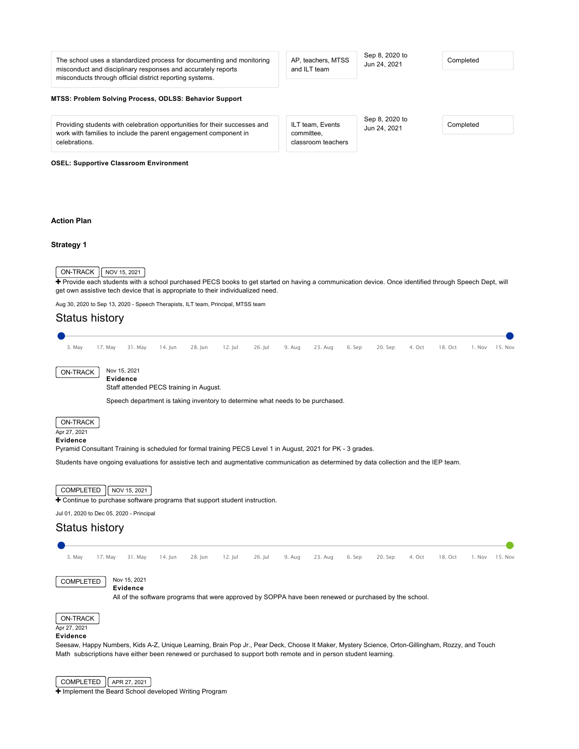<span id="page-17-1"></span><span id="page-17-0"></span>

| The school uses a standardized process for documenting and monitoring<br>misconduct and disciplinary responses and accurately reports<br>misconducts through official district reporting systems. | AP, teachers, MTSS<br>and ILT team                   | Sep 8, 2020 to<br>Jun 24, 2021 | Completed                    |
|---------------------------------------------------------------------------------------------------------------------------------------------------------------------------------------------------|------------------------------------------------------|--------------------------------|------------------------------|
| MTSS: Problem Solving Process, ODLSS: Behavior Support                                                                                                                                            |                                                      |                                |                              |
| Providing students with celebration opportunities for their successes and<br>work with families to include the parent engagement component in<br>celebrations.                                    | ILT team, Events<br>committee,<br>classroom teachers | Sep 8, 2020 to<br>Jun 24, 2021 | Completed                    |
| <b>OSEL: Supportive Classroom Environment</b>                                                                                                                                                     |                                                      |                                |                              |
|                                                                                                                                                                                                   |                                                      |                                |                              |
|                                                                                                                                                                                                   |                                                      |                                |                              |
| <b>Action Plan</b>                                                                                                                                                                                |                                                      |                                |                              |
| Strategy 1                                                                                                                                                                                        |                                                      |                                |                              |
|                                                                                                                                                                                                   |                                                      |                                |                              |
| ON-TRACK<br>NOV 15, 2021                                                                                                                                                                          |                                                      |                                |                              |
| + Provide each students with a school purchased PECS books to get started on having a communication device. Once identified through Speech Dept, will                                             |                                                      |                                |                              |
| get own assistive tech device that is appropriate to their individualized need.<br>Aug 30, 2020 to Sep 13, 2020 - Speech Therapists, ILT team, Principal, MTSS team                               |                                                      |                                |                              |
| <b>Status history</b>                                                                                                                                                                             |                                                      |                                |                              |
|                                                                                                                                                                                                   |                                                      |                                |                              |
| 3. May<br>28. Jun<br>$12.$ Jul<br>26. Jul<br>17. May<br>31. May<br>14. Jun                                                                                                                        | 9. Aug<br>23. Aug                                    | 6. Sep<br>20. Sep<br>4. Oct    | 18. Oct<br>1. Nov<br>15. Nov |
| Nov 15, 2021<br><b>ON-TRACK</b>                                                                                                                                                                   |                                                      |                                |                              |
| <b>Evidence</b><br>Staff attended PECS training in August.                                                                                                                                        |                                                      |                                |                              |
| Speech department is taking inventory to determine what needs to be purchased.                                                                                                                    |                                                      |                                |                              |
|                                                                                                                                                                                                   |                                                      |                                |                              |
| ON-TRACK<br>Apr 27, 2021                                                                                                                                                                          |                                                      |                                |                              |
| <b>Evidence</b><br>Pyramid Consultant Training is scheduled for formal training PECS Level 1 in August, 2021 for PK - 3 grades.                                                                   |                                                      |                                |                              |
| Students have ongoing evaluations for assistive tech and augmentative communication as determined by data collection and the IEP team.                                                            |                                                      |                                |                              |
|                                                                                                                                                                                                   |                                                      |                                |                              |
| COMPLETED<br>NOV 15, 2021<br>+ Continue to purchase software programs that support student instruction.                                                                                           |                                                      |                                |                              |
| Jul 01, 2020 to Dec 05, 2020 - Principal                                                                                                                                                          |                                                      |                                |                              |

# Status history



Seesaw, Happy Numbers, Kids A-Z, Unique Learning, Brain Pop Jr., Pear Deck, Choose It Maker, Mystery Science, Orton-Gillingham, Rozzy, and Touch Math subscriptions have either been renewed or purchased to support both remote and in person student learning.

**Evidence**

COMPLETED | APR 27, 2021

 $\overline{\text{H}}$  [Implement the Beard School developed Writing Program](https://ciwp.cps.edu/plan/pdfContent/2707?id=2707&actionPlanOnly=False&accessKey=hca339838bs46#)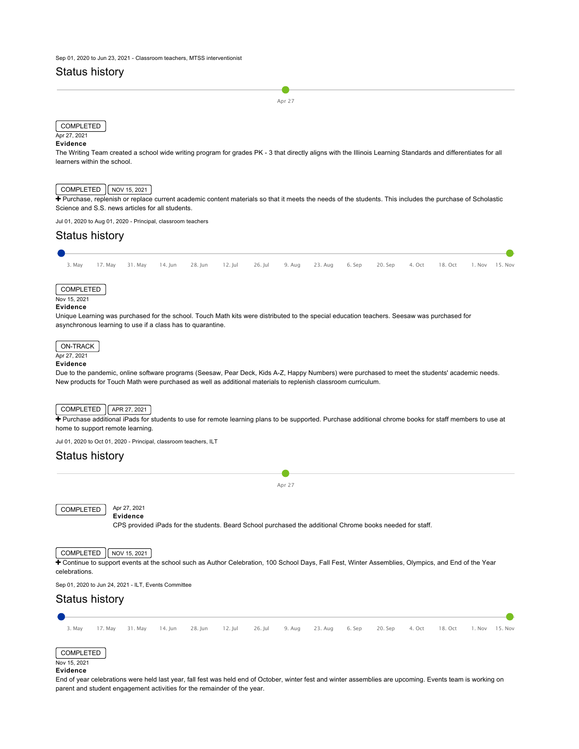# Status history

Apr 27

# **COMPLETED**

### Apr 27, 2021 **Evidence**

The Writing Team created a school wide writing program for grades PK - 3 that directly aligns with the Illinois Learning Standards and differentiates for all learners within the school.

# $\boxed{\text{COMPLETED}}$  NOV 15, 2021

+ [Purchase, replenish or replace current academic content materials so that it meets the needs of the students. This includes the purchase of Scholastic](https://ciwp.cps.edu/plan/pdfContent/2707?id=2707&actionPlanOnly=False&accessKey=hca339838bs46#) Science and S.S. news articles for all students.

Jul 01, 2020 to Aug 01, 2020 - Principal, classroom teachers

# Status history 3. May 17. May 31. May 14. Jun 28. Jun 12. Jul 26. Jul 9. Aug 23. Aug 6. Sep 20. Sep 4. Oct 18. Oct 1. Nov 15. Nov COMPLETED Nov 15, 2021 **Evidence** Unique Learning was purchased for the school. Touch Math kits were distributed to the special education teachers. Seesaw was purchased for asynchronous learning to use if a class has to quarantine.

### ON-TRACK Apr 27, 2021

# **Evidence**

Due to the pandemic, online software programs (Seesaw, Pear Deck, Kids A-Z, Happy Numbers) were purchased to meet the students' academic needs. New products for Touch Math were purchased as well as additional materials to replenish classroom curriculum.

## $COMPLETED$   $AR 27, 2021$

+ [Purchase additional iPads for students to use for remote learning plans to be supported. Purchase additional chrome books for staff members to use at](https://ciwp.cps.edu/plan/pdfContent/2707?id=2707&actionPlanOnly=False&accessKey=hca339838bs46#) home to support remote learning.

Jul 01, 2020 to Oct 01, 2020 - Principal, classroom teachers, ILT

# Status history



COMPLETED Nov 15, 2021

### **Evidence**

End of year celebrations were held last year, fall fest was held end of October, winter fest and winter assemblies are upcoming. Events team is working on parent and student engagement activities for the remainder of the year.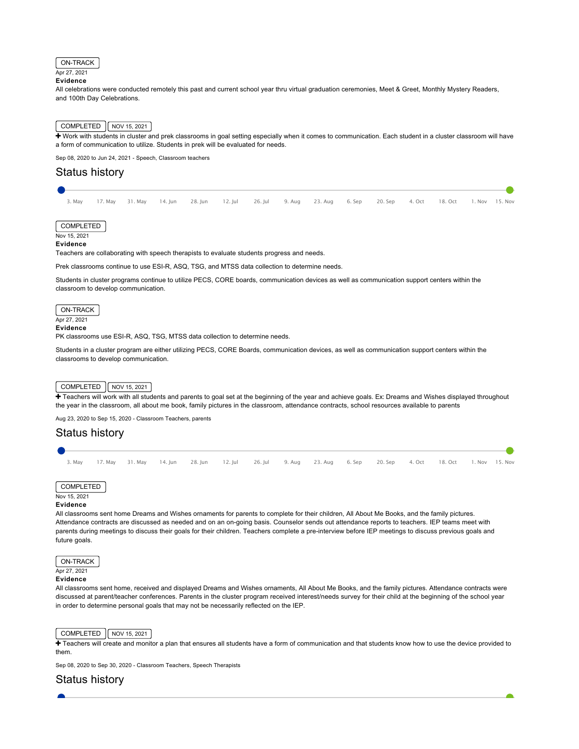

**Evidence**

All celebrations were conducted remotely this past and current school year thru virtual graduation ceremonies, Meet & Greet, Monthly Mystery Readers, and 100th Day Celebrations.

# COMPLETED NOV 15, 2021

+ [Work with students in cluster and prek classrooms in goal setting especially when it comes to communication. Each student in a cluster classroom will have](https://ciwp.cps.edu/plan/pdfContent/2707?id=2707&actionPlanOnly=False&accessKey=hca339838bs46#) a form of communication to utilize. Students in prek will be evaluated for needs.

Sep 08, 2020 to Jun 24, 2021 - Speech, Classroom teachers

# Status history

|  |  |  |  | 3. May 17. May 31. May 14. Jun 28. Jun 12. Jul 26. Jul 9. Aug 23. Aug 6. Sep 20. Sep 4. Oct 18. Oct 1. Nov 15. Nov |  |  |  |
|--|--|--|--|--------------------------------------------------------------------------------------------------------------------|--|--|--|

COMPLETED

Nov 15, 2021

**Evidence**

Teachers are collaborating with speech therapists to evaluate students progress and needs.

Prek classrooms continue to use ESI-R, ASQ, TSG, and MTSS data collection to determine needs.

Students in cluster programs continue to utilize PECS, CORE boards, communication devices as well as communication support centers within the classroom to develop communication.

ON-TRACK Apr 27, 2021 **Evidence**

PK classrooms use ESI-R, ASQ, TSG, MTSS data collection to determine needs.

Students in a cluster program are either utilizing PECS, CORE Boards, communication devices, as well as communication support centers within the classrooms to develop communication.

### $\vert$  COMPLETED  $\vert$  NOV 15, 2021

+ [Teachers will work with all students and parents to goal set at the beginning of the year and achieve goals. Ex: Dreams and Wishes displayed throughout](https://ciwp.cps.edu/plan/pdfContent/2707?id=2707&actionPlanOnly=False&accessKey=hca339838bs46#) the year in the classroom, all about me book, family pictures in the classroom, attendance contracts, school resources available to parents

Aug 23, 2020 to Sep 15, 2020 - Classroom Teachers, parents

# Status history



COMPLETED Nov 15, 2021

### **Evidence**

All classrooms sent home Dreams and Wishes ornaments for parents to complete for their children, All About Me Books, and the family pictures. Attendance contracts are discussed as needed and on an on-going basis. Counselor sends out attendance reports to teachers. IEP teams meet with parents during meetings to discuss their goals for their children. Teachers complete a pre-interview before IEP meetings to discuss previous goals and future goals.

ON-TRACK Apr 27, 2021 **Evidence**

All classrooms sent home, received and displayed Dreams and Wishes ornaments, All About Me Books, and the family pictures. Attendance contracts were discussed at parent/teacher conferences. Parents in the cluster program received interest/needs survey for their child at the beginning of the school year in order to determine personal goals that may not be necessarily reflected on the IEP.

### COMPLETED  $\sqrt{\phantom{a}}$  NOV 15, 2021

[Teachers will create and monitor a plan that ensures all students have a form of communication and that students know how to use the device provided to](https://ciwp.cps.edu/plan/pdfContent/2707?id=2707&actionPlanOnly=False&accessKey=hca339838bs46#) them.

Sep 08, 2020 to Sep 30, 2020 - Classroom Teachers, Speech Therapists

# Status history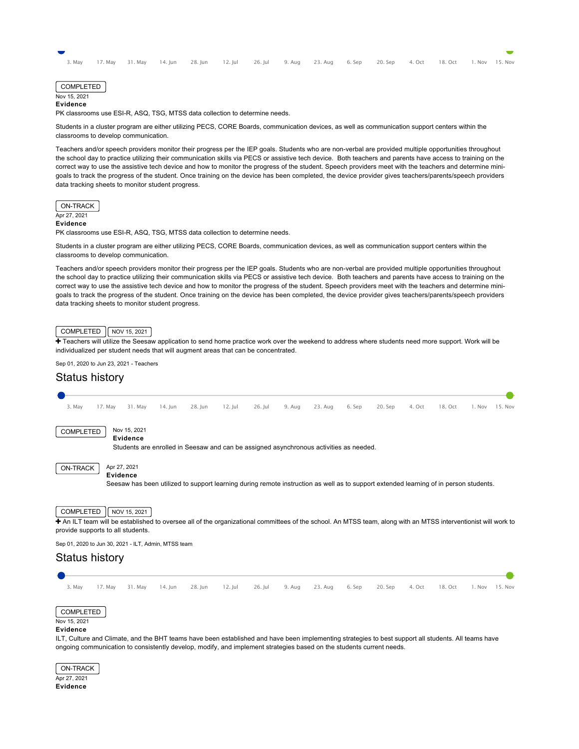|  |  |  |  | 3. May 17. May 31. May 14. Jun 28. Jun 12. Jul 26. Jul 9. Aug 23. Aug 6. Sep 20. Sep 4. Oct 18. Oct 1. Nov 15. Nov |  |  |  |
|--|--|--|--|--------------------------------------------------------------------------------------------------------------------|--|--|--|

| <b>COMPLETED</b> |  |
|------------------|--|
| Nov 15, 2021     |  |
| Evidence         |  |

PK classrooms use ESI-R, ASQ, TSG, MTSS data collection to determine needs.

Students in a cluster program are either utilizing PECS, CORE Boards, communication devices, as well as communication support centers within the classrooms to develop communication.

Teachers and/or speech providers monitor their progress per the IEP goals. Students who are non-verbal are provided multiple opportunities throughout the school day to practice utilizing their communication skills via PECS or assistive tech device. Both teachers and parents have access to training on the correct way to use the assistive tech device and how to monitor the progress of the student. Speech providers meet with the teachers and determine minigoals to track the progress of the student. Once training on the device has been completed, the device provider gives teachers/parents/speech providers data tracking sheets to monitor student progress.

ON-TRACK Apr 27, 2021

### **Evidence**

PK classrooms use ESI-R, ASQ, TSG, MTSS data collection to determine needs.

Students in a cluster program are either utilizing PECS, CORE Boards, communication devices, as well as communication support centers within the classrooms to develop communication.

Teachers and/or speech providers monitor their progress per the IEP goals. Students who are non-verbal are provided multiple opportunities throughout the school day to practice utilizing their communication skills via PECS or assistive tech device. Both teachers and parents have access to training on the correct way to use the assistive tech device and how to monitor the progress of the student. Speech providers meet with the teachers and determine minigoals to track the progress of the student. Once training on the device has been completed, the device provider gives teachers/parents/speech providers data tracking sheets to monitor student progress.

# $\boxed{\text{COMPLETED}}$   $\boxed{\sqrt{\text{NOV} 15, 2021}}$

[Teachers will utilize the Seesaw application to send home practice work over the weekend to address where students need more support. Work will be](https://ciwp.cps.edu/plan/pdfContent/2707?id=2707&actionPlanOnly=False&accessKey=hca339838bs46#) individualized per student needs that will augment areas that can be concentrated.

Sep 01, 2020 to Jun 23, 2021 - Teachers

# Status history

| 3. May                                                                                                                                                                                                           | 17. May | 31. May                  | $14.$ Jun | 28. Jun | $12.$ Jul | 26. Jul | 9. Aug | 23. Aug                                                                                                                               | 6. Sep | 20. Sep | 4. Oct | 18. Oct | 1. Nov | 15. Nov |
|------------------------------------------------------------------------------------------------------------------------------------------------------------------------------------------------------------------|---------|--------------------------|-----------|---------|-----------|---------|--------|---------------------------------------------------------------------------------------------------------------------------------------|--------|---------|--------|---------|--------|---------|
| COMPLETED                                                                                                                                                                                                        |         | Nov 15, 2021<br>Evidence |           |         |           |         |        | Students are enrolled in Seesaw and can be assigned asynchronous activities as needed.                                                |        |         |        |         |        |         |
| <b>ON-TRACK</b>                                                                                                                                                                                                  |         | Apr 27, 2021<br>Evidence |           |         |           |         |        | Seesaw has been utilized to support learning during remote instruction as well as to support extended learning of in person students. |        |         |        |         |        |         |
| COMPLETED<br>+ An ILT team will be established to oversee all of the organizational committees of the school. An MTSS team, along with an MTSS interventionist will work to<br>provide supports to all students. |         | NOV 15, 2021             |           |         |           |         |        |                                                                                                                                       |        |         |        |         |        |         |
| Sep 01, 2020 to Jun 30, 2021 - ILT, Admin, MTSS team                                                                                                                                                             |         |                          |           |         |           |         |        |                                                                                                                                       |        |         |        |         |        |         |
| <b>Status history</b>                                                                                                                                                                                            |         |                          |           |         |           |         |        |                                                                                                                                       |        |         |        |         |        |         |
| 3. May                                                                                                                                                                                                           | 17. May | 31. May                  | $14.$ Jun | 28. Jun | $12.$ Jul | 26. Jul | 9. Aug | 23. Aug                                                                                                                               | 6. Sep | 20. Sep | 4. Oct | 18. Oct | 1. Nov | 15. Nov |
| COMPLETED<br>Nov 15, 2021<br><b>Evidence</b>                                                                                                                                                                     |         |                          |           |         |           |         |        |                                                                                                                                       |        |         |        |         |        |         |

ILT, Culture and Climate, and the BHT teams have been established and have been implementing strategies to best support all students. All teams have ongoing communication to consistently develop, modify, and implement strategies based on the students current needs.

ON-TRACK Apr 27, 2021 **Evidence**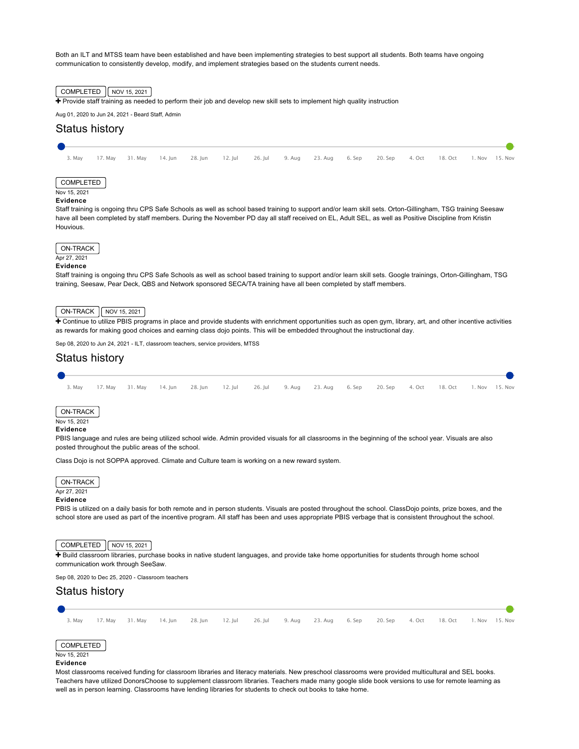Both an ILT and MTSS team have been established and have been implementing strategies to best support all students. Both teams have ongoing communication to consistently develop, modify, and implement strategies based on the students current needs.



+ [Provide staff training as needed to perform their job and develop new skill sets to implement high quality instruction](https://ciwp.cps.edu/plan/pdfContent/2707?id=2707&actionPlanOnly=False&accessKey=hca339838bs46#)

Aug 01, 2020 to Jun 24, 2021 - Beard Staff, Admin

# Status history

|  |  |  |  | 3. May 17. May 31. May 14. Jun 28. Jun 12. Jul 26. Jul 9. Aug 23. Aug 6. Sep 20. Sep 4. Oct 18. Oct 1. Nov 15. Nov |  |  |  |
|--|--|--|--|--------------------------------------------------------------------------------------------------------------------|--|--|--|

## COMPLETED

Nov 15, 2021

### **Evidence**

Staff training is ongoing thru CPS Safe Schools as well as school based training to support and/or learn skill sets. Orton-Gillingham, TSG training Seesaw have all been completed by staff members. During the November PD day all staff received on EL, Adult SEL, as well as Positive Discipline from Kristin Houvious.



# **Evidence**

Staff training is ongoing thru CPS Safe Schools as well as school based training to support and/or learn skill sets. Google trainings, Orton-Gillingham, TSG training, Seesaw, Pear Deck, QBS and Network sponsored SECA/TA training have all been completed by staff members.

### $\sqrt{N-TRACK}$   $\sqrt{NOV 15, 2021}$

 [Continue to utilize PBIS programs in place and provide students with enrichment opportunities such as open gym, library, art, and other incentive activities](https://ciwp.cps.edu/plan/pdfContent/2707?id=2707&actionPlanOnly=False&accessKey=hca339838bs46#) as rewards for making good choices and earning class dojo points. This will be embedded throughout the instructional day.

Sep 08, 2020 to Jun 24, 2021 - ILT, classroom teachers, service providers, MTSS



# Apr 27, 2021

# **Evidence**

PBIS is utilized on a daily basis for both remote and in person students. Visuals are posted throughout the school. ClassDojo points, prize boxes, and the school store are used as part of the incentive program. All staff has been and uses appropriate PBIS verbage that is consistent throughout the school.

# $COMPLETED$   $\sqrt{\text{NOV} 15, 2021}$

+ [Build classroom libraries, purchase books in native student languages, and provide take home opportunities for students through home school](https://ciwp.cps.edu/plan/pdfContent/2707?id=2707&actionPlanOnly=False&accessKey=hca339838bs46#) communication work through SeeSaw.

Sep 08, 2020 to Dec 25, 2020 - Classroom teachers

# Status history

| 3. Mav |  |  |  | 17. May 31. May 14. Jun 28. Jun 12. Jul 26. Jul 9. Aug 23. Aug 6. Sep 20. Sep 4. Oct 18. Oct 1. Nov 15. Nov |  |  |  |
|--------|--|--|--|-------------------------------------------------------------------------------------------------------------|--|--|--|
|        |  |  |  |                                                                                                             |  |  |  |
|        |  |  |  |                                                                                                             |  |  |  |

### COMPLETED Nov 15, 2021

### **Evidence**

Most classrooms received funding for classroom libraries and literacy materials. New preschool classrooms were provided multicultural and SEL books. Teachers have utilized DonorsChoose to supplement classroom libraries. Teachers made many google slide book versions to use for remote learning as well as in person learning. Classrooms have lending libraries for students to check out books to take home.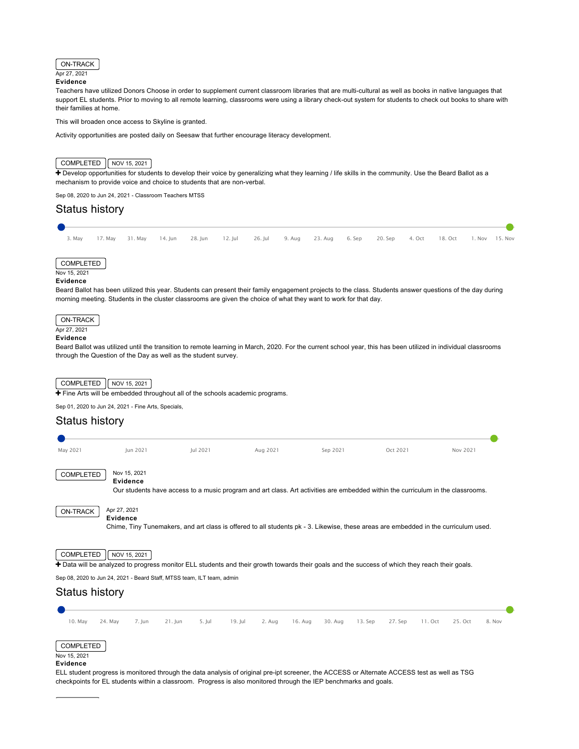

### **Evidence**

Teachers have utilized Donors Choose in order to supplement current classroom libraries that are multi-cultural as well as books in native languages that support EL students. Prior to moving to all remote learning, classrooms were using a library check-out system for students to check out books to share with their families at home.

This will broaden once access to Skyline is granted.

Activity opportunities are posted daily on Seesaw that further encourage literacy development.

# $COMPLETED$   $NOV 15, 2021$

Thevelop opportunities for students to develop their voice by generalizing what they learning / life skills in the community. Use the Beard Ballot as a mechanism to provide voice and choice to students that are non-verbal.

Sep 08, 2020 to Jun 24, 2021 - Classroom Teachers MTSS

# Status history 3. May 17. May 31. May 14. Jun 28. Jun 12. Jul 26. Jul 9. Aug 23. Aug 6. Sep 20. Sep 4. Oct 18. Oct 1. Nov 15. Nov COMPLETED Nov 15, 2021 **Evidence** Beard Ballot has been utilized this year. Students can present their family engagement projects to the class. Students answer questions of the day during morning meeting. Students in the cluster classrooms are given the choice of what they want to work for that day. ON-TRACK Apr 27, 2021 **Evidence** Beard Ballot was utilized until the transition to remote learning in March, 2020. For the current school year, this has been utilized in individual classrooms through the Question of the Day as well as the student survey. COMPLETED  $\sqrt{\sqrt{2021}}$ [Fine Arts will be embedded throughout all of the schools academic programs.](https://ciwp.cps.edu/plan/pdfContent/2707?id=2707&actionPlanOnly=False&accessKey=hca339838bs46#)

Sep 01, 2020 to Jun 24, 2021 - Fine Arts, Specials,

# Status history

| May 2021         | Jun 2021                 | Jul 2021 | Aug 2021                                                                                                                            | Sep 2021 | Oct 2021 | Nov 2021 |
|------------------|--------------------------|----------|-------------------------------------------------------------------------------------------------------------------------------------|----------|----------|----------|
| COMPLETED        | Nov 15, 2021<br>Evidence |          | Our students have access to a music program and art class. Art activities are embedded within the curriculum in the classrooms.     |          |          |          |
| <b>ON-TRACK</b>  | Apr 27, 2021<br>Evidence |          | Chime, Tiny Tunemakers, and art class is offered to all students pk - 3. Likewise, these areas are embedded in the curriculum used. |          |          |          |
| <b>COMPLETED</b> | NOV 15, 2021             |          |                                                                                                                                     |          |          |          |

+ [Data will be analyzed to progress monitor ELL students and their growth towards their goals and the success of which they reach their goals.](https://ciwp.cps.edu/plan/pdfContent/2707?id=2707&actionPlanOnly=False&accessKey=hca339838bs46#)

Sep 08, 2020 to Jun 24, 2021 - Beard Staff, MTSS team, ILT team, admin

# Status history



ELL student progress is monitored through the data analysis of original pre-ipt screener, the ACCESS or Alternate ACCESS test as well as TSG checkpoints for EL students within a classroom. Progress is also monitored through the IEP benchmarks and goals.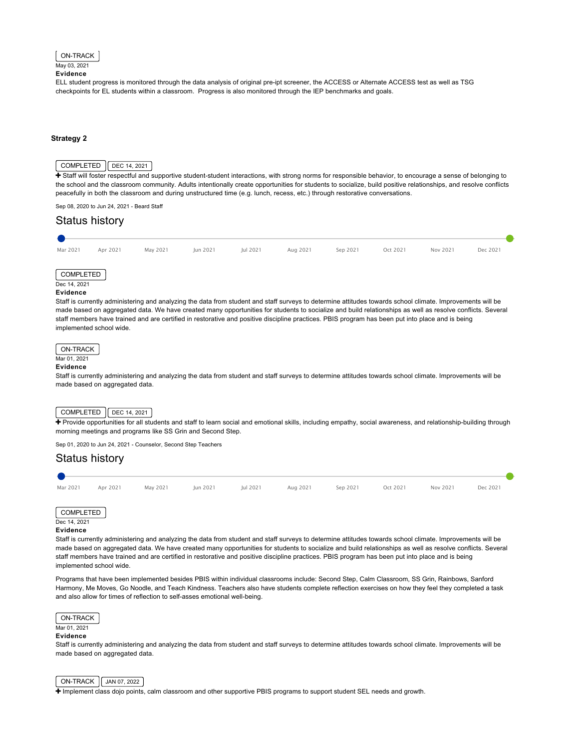### ON-TRACK

May 03, 2021 **Evidence**

ELL student progress is monitored through the data analysis of original pre-ipt screener, the ACCESS or Alternate ACCESS test as well as TSG checkpoints for EL students within a classroom. Progress is also monitored through the IEP benchmarks and goals.

### **[Strategy 2](#page-23-0)**

# <span id="page-23-0"></span> $COMPLETED$   $DEC 14, 2021$

F Staff will foster respectful and supportive student-student interactions, with strong norms for responsible behavior, to encourage a sense of belonging to [the school and the classroom community. Adults intentionally create opportunities for students to socialize, build positive relationships, and resolve conflicts](https://ciwp.cps.edu/plan/pdfContent/2707?id=2707&actionPlanOnly=False&accessKey=hca339838bs46#) peacefully in both the classroom and during unstructured time (e.g. lunch, recess, etc.) through restorative conversations.

Sep 08, 2020 to Jun 24, 2021 - Beard Staff

# Status history

| Mar 2021     | Apr 2021 | May 2021 | Jun 2021 | Jul 2021 | Aug 2021 | Sep 2021 | Oct 2021 | Nov 2021 | Dec 2021 |
|--------------|----------|----------|----------|----------|----------|----------|----------|----------|----------|
|              |          |          |          |          |          |          |          |          |          |
| COMPLETED    |          |          |          |          |          |          |          |          |          |
| Dec 14, 2021 |          |          |          |          |          |          |          |          |          |
| Evidence     |          |          |          |          |          |          |          |          |          |

Staff is currently administering and analyzing the data from student and staff surveys to determine attitudes towards school climate. Improvements will be made based on aggregated data. We have created many opportunities for students to socialize and build relationships as well as resolve conflicts. Several staff members have trained and are certified in restorative and positive discipline practices. PBIS program has been put into place and is being implemented school wide.

# ON-TRACK

# Mar 01, 2021

# **Evidence**

Staff is currently administering and analyzing the data from student and staff surveys to determine attitudes towards school climate. Improvements will be made based on aggregated data.

### $\big\vert$  COMPLETED  $\big\vert$  DEC 14, 2021

[Provide opportunities for all students and staff to learn social and emotional skills, including empathy, social awareness, and relationship-building through](https://ciwp.cps.edu/plan/pdfContent/2707?id=2707&actionPlanOnly=False&accessKey=hca339838bs46#) morning meetings and programs like SS Grin and Second Step.

Sep 01, 2020 to Jun 24, 2021 - Counselor, Second Step Teachers

# Status history



### **Evidence**

Staff is currently administering and analyzing the data from student and staff surveys to determine attitudes towards school climate. Improvements will be made based on aggregated data. We have created many opportunities for students to socialize and build relationships as well as resolve conflicts. Several staff members have trained and are certified in restorative and positive discipline practices. PBIS program has been put into place and is being implemented school wide.

Programs that have been implemented besides PBIS within individual classrooms include: Second Step, Calm Classroom, SS Grin, Rainbows, Sanford Harmony, Me Moves, Go Noodle, and Teach Kindness. Teachers also have students complete reflection exercises on how they feel they completed a task and also allow for times of reflection to self-asses emotional well-being.



# Mar 01, 2021

# **Evidence**

Staff is currently administering and analyzing the data from student and staff surveys to determine attitudes towards school climate. Improvements will be made based on aggregated data.



[Implement class dojo points, calm classroom and other supportive PBIS programs to support student SEL needs and growth.](https://ciwp.cps.edu/plan/pdfContent/2707?id=2707&actionPlanOnly=False&accessKey=hca339838bs46#)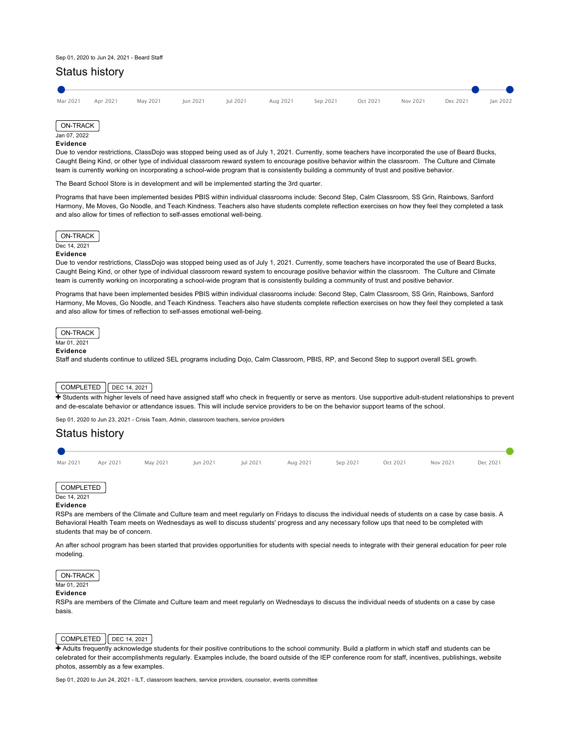### Sep 01, 2020 to Jun 24, 2021 - Beard Staff

# Status history





### **Evidence**

Due to vendor restrictions, ClassDojo was stopped being used as of July 1, 2021. Currently, some teachers have incorporated the use of Beard Bucks, Caught Being Kind, or other type of individual classroom reward system to encourage positive behavior within the classroom. The Culture and Climate team is currently working on incorporating a school-wide program that is consistently building a community of trust and positive behavior.

The Beard School Store is in development and will be implemented starting the 3rd quarter.

Programs that have been implemented besides PBIS within individual classrooms include: Second Step, Calm Classroom, SS Grin, Rainbows, Sanford Harmony, Me Moves, Go Noodle, and Teach Kindness. Teachers also have students complete reflection exercises on how they feel they completed a task and also allow for times of reflection to self-asses emotional well-being.



### **Evidence**

Due to vendor restrictions, ClassDojo was stopped being used as of July 1, 2021. Currently, some teachers have incorporated the use of Beard Bucks, Caught Being Kind, or other type of individual classroom reward system to encourage positive behavior within the classroom. The Culture and Climate team is currently working on incorporating a school-wide program that is consistently building a community of trust and positive behavior.

Programs that have been implemented besides PBIS within individual classrooms include: Second Step, Calm Classroom, SS Grin, Rainbows, Sanford Harmony, Me Moves, Go Noodle, and Teach Kindness. Teachers also have students complete reflection exercises on how they feel they completed a task and also allow for times of reflection to self-asses emotional well-being.

ON-TRACK

# Mar 01, 2021

**Evidence**

Staff and students continue to utilized SEL programs including Dojo, Calm Classroom, PBIS, RP, and Second Step to support overall SEL growth.

# $COMPLETED$   $\bigcap$  DEC 14, 2021

+ [Students with higher levels of need have assigned staff who check in frequently or serve as mentors. Use supportive adult-student relationships to prevent](https://ciwp.cps.edu/plan/pdfContent/2707?id=2707&actionPlanOnly=False&accessKey=hca339838bs46#) and de-escalate behavior or attendance issues. This will include service providers to be on the behavior support teams of the school.

Sep 01, 2020 to Jun 23, 2021 - Crisis Team, Admin, classroom teachers, service providers



### COMPLETED Dec 14, 2021

### **Evidence**

RSPs are members of the Climate and Culture team and meet regularly on Fridays to discuss the individual needs of students on a case by case basis. A Behavioral Health Team meets on Wednesdays as well to discuss students' progress and any necessary follow ups that need to be completed with students that may be of concern.

An after school program has been started that provides opportunities for students with special needs to integrate with their general education for peer role modeling.

# ON-TRACK

Mar 01, 2021

### **Evidence**

RSPs are members of the Climate and Culture team and meet regularly on Wednesdays to discuss the individual needs of students on a case by case basis.

### $COMPLETED$   $DEC 14, 2021$

+ Adults frequently acknowledge students for their positive contributions to the school community. Build a platform in which staff and students can be [celebrated for their accomplishments regularly. Examples include, the board outside of the IEP conference room for staff, incentives, publishings, website](https://ciwp.cps.edu/plan/pdfContent/2707?id=2707&actionPlanOnly=False&accessKey=hca339838bs46#) photos, assembly as a few examples.

Sep 01, 2020 to Jun 24, 2021 - ILT, classroom teachers, service providers, counselor, events committee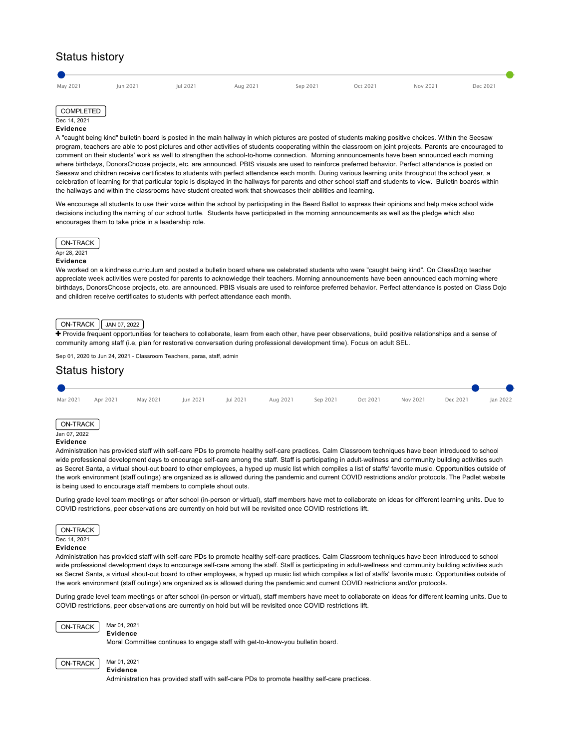# Status history

# COMPLETED

# Dec 14, 2021

# **Evidence**

A "caught being kind" bulletin board is posted in the main hallway in which pictures are posted of students making positive choices. Within the Seesaw program, teachers are able to post pictures and other activities of students cooperating within the classroom on joint projects. Parents are encouraged to comment on their students' work as well to strengthen the school-to-home connection. Morning announcements have been announced each morning where birthdays, DonorsChoose projects, etc. are announced. PBIS visuals are used to reinforce preferred behavior. Perfect attendance is posted on Seesaw and children receive certificates to students with perfect attendance each month. During various learning units throughout the school year, a celebration of learning for that particular topic is displayed in the hallways for parents and other school staff and students to view. Bulletin boards within the hallways and within the classrooms have student created work that showcases their abilities and learning.

We encourage all students to use their voice within the school by participating in the Beard Ballot to express their opinions and help make school wide decisions including the naming of our school turtle. Students have participated in the morning announcements as well as the pledge which also encourages them to take pride in a leadership role.



### **Evidence**

We worked on a kindness curriculum and posted a bulletin board where we celebrated students who were "caught being kind". On ClassDojo teacher appreciate week activities were posted for parents to acknowledge their teachers. Morning announcements have been announced each morning where birthdays, DonorsChoose projects, etc. are announced. PBIS visuals are used to reinforce preferred behavior. Perfect attendance is posted on Class Dojo and children receive certificates to students with perfect attendance each month.

### ON-TRACK | JAN 07, 2022

+ [Provide frequent opportunities for teachers to collaborate, learn from each other, have peer observations, build positive relationships and a sense of](https://ciwp.cps.edu/plan/pdfContent/2707?id=2707&actionPlanOnly=False&accessKey=hca339838bs46#) community among staff (i.e, plan for restorative conversation during professional development time). Focus on adult SEL.

Sep 01, 2020 to Jun 24, 2021 - Classroom Teachers, paras, staff, admin

# Status history Mar 2021 Apr 2021 May 2021 Jun 2021 Jul 2021 Aug 2021 Sep 2021 Oct 2021 Nov 2021 Dec 2021 Jan 2022 ON-TRACK Jan 07, 2022 **Evidence**

Administration has provided staff with self-care PDs to promote healthy self-care practices. Calm Classroom techniques have been introduced to school wide professional development days to encourage self-care among the staff. Staff is participating in adult-wellness and community building activities such as Secret Santa, a virtual shout-out board to other employees, a hyped up music list which compiles a list of staffs' favorite music. Opportunities outside of the work environment (staff outings) are organized as is allowed during the pandemic and current COVID restrictions and/or protocols. The Padlet website is being used to encourage staff members to complete shout outs.

During grade level team meetings or after school (in-person or virtual), staff members have met to collaborate on ideas for different learning units. Due to COVID restrictions, peer observations are currently on hold but will be revisited once COVID restrictions lift.



Administration has provided staff with self-care PDs to promote healthy self-care practices. Calm Classroom techniques have been introduced to school wide professional development days to encourage self-care among the staff. Staff is participating in adult-wellness and community building activities such as Secret Santa, a virtual shout-out board to other employees, a hyped up music list which compiles a list of staffs' favorite music. Opportunities outside of the work environment (staff outings) are organized as is allowed during the pandemic and current COVID restrictions and/or protocols.

During grade level team meetings or after school (in-person or virtual), staff members have meet to collaborate on ideas for different learning units. Due to COVID restrictions, peer observations are currently on hold but will be revisited once COVID restrictions lift.



# **Evidence**

**Evidence**

Moral Committee continues to engage staff with get-to-know-you bulletin board.

ON-TRACK Mar 01, 2021

Administration has provided staff with self-care PDs to promote healthy self-care practices.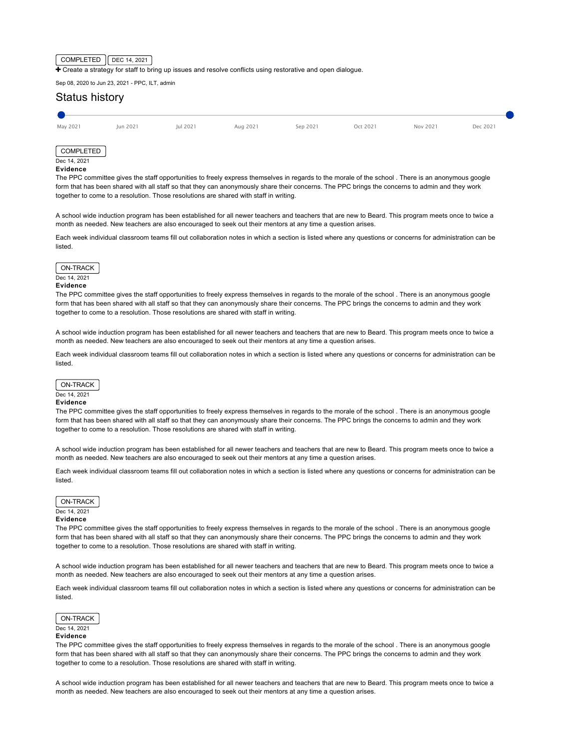### $COMPLETED$   $DEC 14, 2021$

The [Create a strategy for staff to bring up issues and resolve conflicts using restorative and open dialogue.](https://ciwp.cps.edu/plan/pdfContent/2707?id=2707&actionPlanOnly=False&accessKey=hca339838bs46#)

Sep 08, 2020 to Jun 23, 2021 - PPC, ILT, admin

# Status history



# **Evidence**

The PPC committee gives the staff opportunities to freely express themselves in regards to the morale of the school . There is an anonymous google form that has been shared with all staff so that they can anonymously share their concerns. The PPC brings the concerns to admin and they work together to come to a resolution. Those resolutions are shared with staff in writing.

A school wide induction program has been established for all newer teachers and teachers that are new to Beard. This program meets once to twice a month as needed. New teachers are also encouraged to seek out their mentors at any time a question arises.

Each week individual classroom teams fill out collaboration notes in which a section is listed where any questions or concerns for administration can be listed.



### **Evidence**

The PPC committee gives the staff opportunities to freely express themselves in regards to the morale of the school . There is an anonymous google form that has been shared with all staff so that they can anonymously share their concerns. The PPC brings the concerns to admin and they work together to come to a resolution. Those resolutions are shared with staff in writing.

A school wide induction program has been established for all newer teachers and teachers that are new to Beard. This program meets once to twice a month as needed. New teachers are also encouraged to seek out their mentors at any time a question arises.

Each week individual classroom teams fill out collaboration notes in which a section is listed where any questions or concerns for administration can be listed.



# Dec 14, 2021

### **Evidence**

The PPC committee gives the staff opportunities to freely express themselves in regards to the morale of the school . There is an anonymous google form that has been shared with all staff so that they can anonymously share their concerns. The PPC brings the concerns to admin and they work together to come to a resolution. Those resolutions are shared with staff in writing.

A school wide induction program has been established for all newer teachers and teachers that are new to Beard. This program meets once to twice a month as needed. New teachers are also encouraged to seek out their mentors at any time a question arises.

Each week individual classroom teams fill out collaboration notes in which a section is listed where any questions or concerns for administration can be listed.

# ON-TRACK

## Dec 14, 2021

# **Evidence**

The PPC committee gives the staff opportunities to freely express themselves in regards to the morale of the school . There is an anonymous google form that has been shared with all staff so that they can anonymously share their concerns. The PPC brings the concerns to admin and they work together to come to a resolution. Those resolutions are shared with staff in writing.

A school wide induction program has been established for all newer teachers and teachers that are new to Beard. This program meets once to twice a month as needed. New teachers are also encouraged to seek out their mentors at any time a question arises.

Each week individual classroom teams fill out collaboration notes in which a section is listed where any questions or concerns for administration can be listed.



# **Evidence**

The PPC committee gives the staff opportunities to freely express themselves in regards to the morale of the school . There is an anonymous google form that has been shared with all staff so that they can anonymously share their concerns. The PPC brings the concerns to admin and they work together to come to a resolution. Those resolutions are shared with staff in writing.

A school wide induction program has been established for all newer teachers and teachers that are new to Beard. This program meets once to twice a month as needed. New teachers are also encouraged to seek out their mentors at any time a question arises.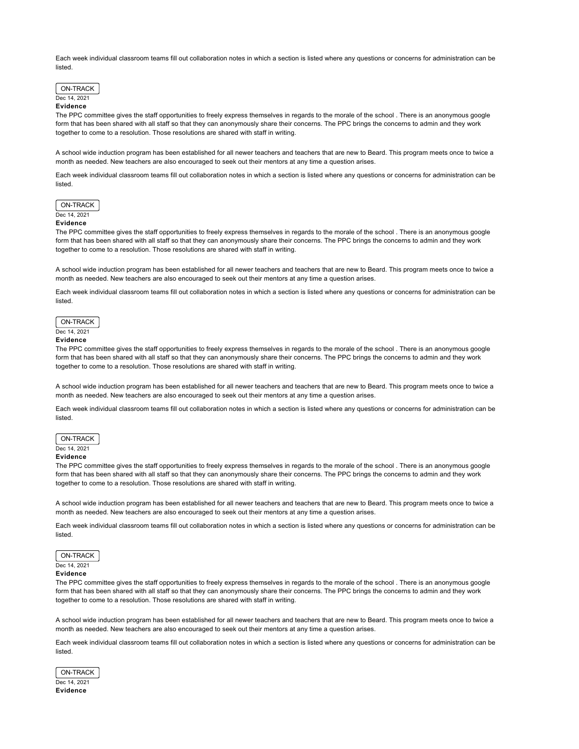Each week individual classroom teams fill out collaboration notes in which a section is listed where any questions or concerns for administration can be listed.



### **Evidence**

The PPC committee gives the staff opportunities to freely express themselves in regards to the morale of the school . There is an anonymous google form that has been shared with all staff so that they can anonymously share their concerns. The PPC brings the concerns to admin and they work together to come to a resolution. Those resolutions are shared with staff in writing.

A school wide induction program has been established for all newer teachers and teachers that are new to Beard. This program meets once to twice a month as needed. New teachers are also encouraged to seek out their mentors at any time a question arises.

Each week individual classroom teams fill out collaboration notes in which a section is listed where any questions or concerns for administration can be listed.



### **Evidence**

The PPC committee gives the staff opportunities to freely express themselves in regards to the morale of the school . There is an anonymous google form that has been shared with all staff so that they can anonymously share their concerns. The PPC brings the concerns to admin and they work together to come to a resolution. Those resolutions are shared with staff in writing.

A school wide induction program has been established for all newer teachers and teachers that are new to Beard. This program meets once to twice a month as needed. New teachers are also encouraged to seek out their mentors at any time a question arises.

Each week individual classroom teams fill out collaboration notes in which a section is listed where any questions or concerns for administration can be listed.

### ON-TRACK

# Dec 14, 2021

# **Evidence**

The PPC committee gives the staff opportunities to freely express themselves in regards to the morale of the school . There is an anonymous google form that has been shared with all staff so that they can anonymously share their concerns. The PPC brings the concerns to admin and they work together to come to a resolution. Those resolutions are shared with staff in writing.

A school wide induction program has been established for all newer teachers and teachers that are new to Beard. This program meets once to twice a month as needed. New teachers are also encouraged to seek out their mentors at any time a question arises.

Each week individual classroom teams fill out collaboration notes in which a section is listed where any questions or concerns for administration can be listed.

# ON-TRACK

# Dec 14, 2021

**Evidence**

The PPC committee gives the staff opportunities to freely express themselves in regards to the morale of the school . There is an anonymous google form that has been shared with all staff so that they can anonymously share their concerns. The PPC brings the concerns to admin and they work together to come to a resolution. Those resolutions are shared with staff in writing.

A school wide induction program has been established for all newer teachers and teachers that are new to Beard. This program meets once to twice a month as needed. New teachers are also encouraged to seek out their mentors at any time a question arises.

Each week individual classroom teams fill out collaboration notes in which a section is listed where any questions or concerns for administration can be listed.

ON-TRACK Dec 14, 2021

# **Evidence**

The PPC committee gives the staff opportunities to freely express themselves in regards to the morale of the school . There is an anonymous google form that has been shared with all staff so that they can anonymously share their concerns. The PPC brings the concerns to admin and they work together to come to a resolution. Those resolutions are shared with staff in writing.

A school wide induction program has been established for all newer teachers and teachers that are new to Beard. This program meets once to twice a month as needed. New teachers are also encouraged to seek out their mentors at any time a question arises.

Each week individual classroom teams fill out collaboration notes in which a section is listed where any questions or concerns for administration can be listed.

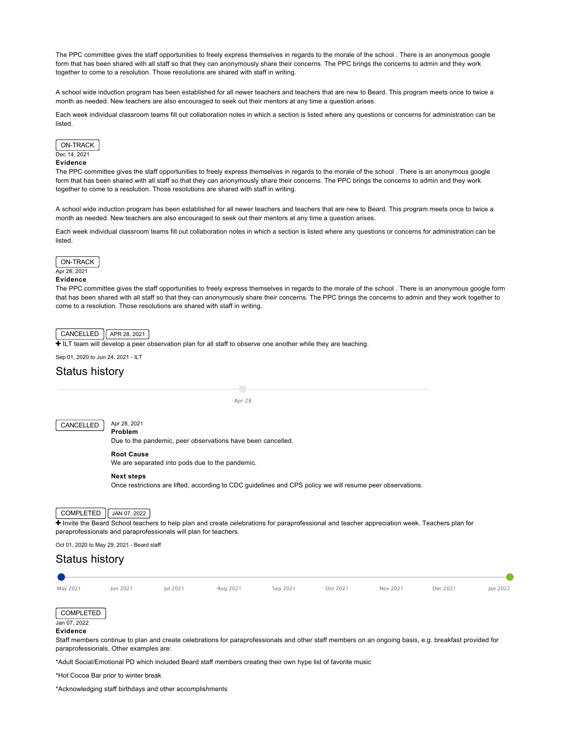The PPC committee gives the staff opportunities to freely express themselves in regards to the morale of the school . There is an anonymous google form that has been shared with all staff so that they can anonymously share their concerns. The PPC brings the concerns to admin and they work together to come to a resolution. Those resolutions are shared with staff in writing.

A school wide induction program has been established for all newer teachers and teachers that are new to Beard. This program meets once to twice a month as needed. New teachers are also encouraged to seek out their mentors at any time a question arises.

Each week individual classroom teams fill out collaboration notes in which a section is listed where any questions or concerns for administration can be listed.



# **Evidence**

The PPC committee gives the staff opportunities to freely express themselves in regards to the morale of the school . There is an anonymous google form that has been shared with all staff so that they can anonymously share their concerns. The PPC brings the concerns to admin and they work together to come to a resolution. Those resolutions are shared with staff in writing.

A school wide induction program has been established for all newer teachers and teachers that are new to Beard. This program meets once to twice a month as needed. New teachers are also encouraged to seek out their mentors at any time a question arises.

Each week individual classroom teams fill out collaboration notes in which a section is listed where any questions or concerns for administration can be listed.



### Apr 28, 2021 **Evidence**

The PPC committee gives the staff opportunities to freely express themselves in regards to the morale of the school . There is an anonymous google form that has been shared with all staff so that they can anonymously share their concerns. The PPC brings the concerns to admin and they work together to come to a resolution. Those resolutions are shared with staff in writing.

# $CANCELLED$   $APR 28, 2021$

[ILT team will develop a peer observation plan for all staff to observe one another while they are teaching.](https://ciwp.cps.edu/plan/pdfContent/2707?id=2707&actionPlanOnly=False&accessKey=hca339838bs46#)

Sep 01, 2020 to Jun 24, 2021 - ILT

# Status history

Apr 28

# CANCELLED | Apr 28, 2021

**Problem**

Due to the pandemic, peer observations have been cancelled.

### **Root Cause**

We are separated into pods due to the pandemic.

### **Next steps**

Once restrictions are lifted, according to CDC guidelines and CPS policy we will resume peer observations.

# COMPLETED  $\int$  JAN 07, 2022

[Invite the Beard School teachers to help plan and create celebrations for paraprofessional and teacher appreciation week. Teachers plan for](https://ciwp.cps.edu/plan/pdfContent/2707?id=2707&actionPlanOnly=False&accessKey=hca339838bs46#) paraprofessionals and paraprofessionals will plan for teachers.

Oct 01, 2020 to May 29, 2021 - Beard staff

# Status history

May 2021 Jun 2021 Jul 2021 Aug 2021 Sep 2021 Oct 2021 Nov 2021 Dec 2021 Jan 2022

COMPLETED Jan 07, 2022

# **Evidence**

Staff members continue to plan and create celebrations for paraprofessionals and other staff members on an ongoing basis, e.g. breakfast provided for paraprofessionals. Other examples are:

\*Adult Social/Emotional PD which included Beard staff members creating their own hype list of favorite music

\*Hot Cocoa Bar prior to winter break

\*Acknowledging staff birthdays and other accomplishments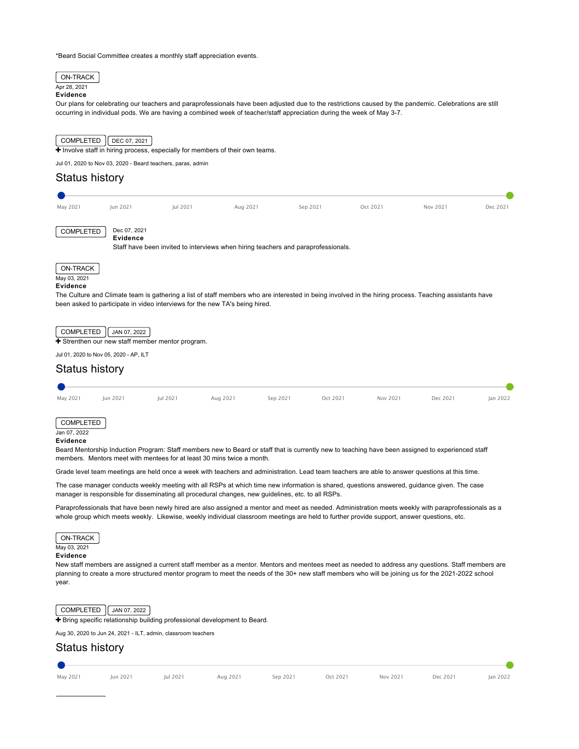\*Beard Social Committee creates a monthly staff appreciation events.



[Bring specific relationship building professional development to Beard.](https://ciwp.cps.edu/plan/pdfContent/2707?id=2707&actionPlanOnly=False&accessKey=hca339838bs46#)

Aug 30, 2020 to Jun 24, 2021 - ILT, admin, classroom teachers

# Status history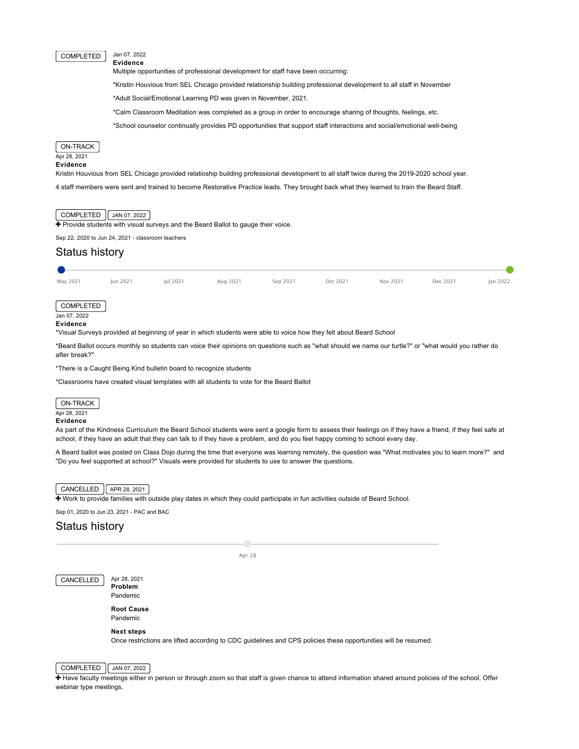### COMPLETED Jan 07, 2022 **Evidence**

Multiple opportunities of professional development for staff have been occurring:

\*Kristin Houvious from SEL Chicago provided relationship building professional development to all staff in November

\*Adult Social/Emotional Learning PD was given in November, 2021.

\*Calm Classroom Meditation was completed as a group in order to encourage sharing of thoughts, feelings, etc.

\*School counselor continually provides PD opportunities that support staff interactions and social/emotional well-being



# **Evidence**

Kristin Houvious from SEL Chicago provided relatioship building professional development to all staff twice during the 2019-2020 school year.

4 staff members were sent and trained to become Restorative Practice leads. They brought back what they learned to train the Beard Staff.

## COMPLETED JAN 07, 2022

[Provide students with visual surveys and the Beard Ballot to gauge their voice.](https://ciwp.cps.edu/plan/pdfContent/2707?id=2707&actionPlanOnly=False&accessKey=hca339838bs46#)

Sep 22, 2020 to Jun 24, 2021 - classroom teachers

# Status history

| May 2021                              | Jun 2021 | Jul 2021 | Aug 2021 | Sep 2021 | Oct 2021 | Nov 2021 | Dec 2021 | Jan 2022 |
|---------------------------------------|----------|----------|----------|----------|----------|----------|----------|----------|
| COMPLETED<br>Jan 07, 2022<br>Evidence |          |          |          |          |          |          |          |          |

\*Visual Surveys provided at beginning of year in which students were able to voice how they felt about Beard School

\*Beard Ballot occurs monthly so students can voice their opinions on questions such as "what should we name our turtle?" or "what would you rather do after break?"

\*There is a Caught Being Kind bulletin board to recognize students

\*Classrooms have created visual templates with all students to vote for the Beard Ballot

# ON-TRACK

Apr 28, 2021

### **Evidence**

As part of the Kindness Curriculum the Beard School students were sent a google form to assess their feelings on if they have a friend, if they feel safe at school, if they have an adult that they can talk to if they have a problem, and do you feel happy coming to school every day.

A Beard ballot was posted on Class Dojo during the time that everyone was learning remotely, the question was "What motivates you to learn more?" and "Do you feel supported at school?" Visuals were provided for students to use to answer the questions.

### $CANCELLED$   $APR 28, 2021$

[Work to provide families with outside play dates in which they could participate in fun activities outside of Beard School.](https://ciwp.cps.edu/plan/pdfContent/2707?id=2707&actionPlanOnly=False&accessKey=hca339838bs46#)

Sep 01, 2020 to Jun 23, 2021 - PAC and BAC

# Status history

Apr 28

CANCELLED Apr 28, 2021

**Problem**

Pandemic **Root Cause**

Pandemic

### **Next steps**

Once restrictions are lifted according to CDC guidelines and CPS policies these opportunities will be resumed.

# COMPLETED JAN 07, 2022

+ [Have faculty meetings either in person or through zoom so that staff is given chance to attend information shared around policies of the school. Offer](https://ciwp.cps.edu/plan/pdfContent/2707?id=2707&actionPlanOnly=False&accessKey=hca339838bs46#) webinar type meetings.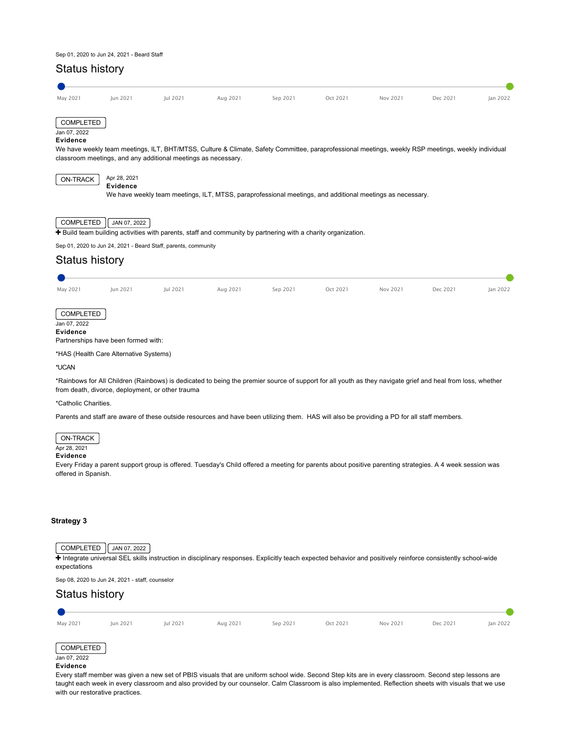### Sep 01, 2020 to Jun 24, 2021 - Beard Staff

# Status history May 2021 Jun 2021 Jul 2021 Aug 2021 Sep 2021 Oct 2021 Nov 2021 Dec 2021 Jan 2022 COMPLETED Jan 07, 2022 **Evidence** We have weekly team meetings, ILT, BHT/MTSS, Culture & Climate, Safety Committee, paraprofessional meetings, weekly RSP meetings, weekly individual classroom meetings, and any additional meetings as necessary.  $\overline{ON-TRACK}$  Apr 28, 2021 **Evidence** We have weekly team meetings, ILT, MTSS, paraprofessional meetings, and additional meetings as necessary. COMPLETED  $\sqrt{\frac{\text{JAN }07, 2022}}$  $\overline{+}$  [Build team building activities with parents, staff and community by partnering with a charity organization.](https://ciwp.cps.edu/plan/pdfContent/2707?id=2707&actionPlanOnly=False&accessKey=hca339838bs46#) Sep 01, 2020 to Jun 24, 2021 - Beard Staff, parents, community Status history May 2021 Jun 2021 Jul 2021 Aug 2021 Sep 2021 Oct 2021 Nov 2021 Dec 2021 Jan 2022 **COMPLETED** Jan 07, 2022 **Evidence** Partnerships have been formed with: \*HAS (Health Care Alternative Systems) \*UCAN \*Rainbows for All Children (Rainbows) is dedicated to being the premier source of support for all youth as they navigate grief and heal from loss, whether from death, divorce, deployment, or other trauma \*Catholic Charities. Parents and staff are aware of these outside resources and have been utilizing them. HAS will also be providing a PD for all staff members. ON-TRACK Apr 28, 2021

### **Evidence**

Every Friday a parent support group is offered. Tuesday's Child offered a meeting for parents about positive parenting strategies. A 4 week session was offered in Spanish.

### **[Strategy 3](#page-31-0)**

# <span id="page-31-0"></span> $COMPLETED$   $JAN 07, 2022$

[Integrate universal SEL skills instruction in disciplinary responses. Explicitly teach expected behavior and positively reinforce consistently school-wide](https://ciwp.cps.edu/plan/pdfContent/2707?id=2707&actionPlanOnly=False&accessKey=hca339838bs46#) expectations

Sep 08, 2020 to Jun 24, 2021 - staff, counselor

# Status history

| May 2021                              | Jun 2021 | Jul 2021 | Aug 2021 | Sep 2021 | Oct 2021 | Nov 2021 | Dec 2021 | Jan 2022 |
|---------------------------------------|----------|----------|----------|----------|----------|----------|----------|----------|
| COMPLETED<br>Jan 07, 2022<br>Evidence |          |          |          |          |          |          |          |          |

Every staff member was given a new set of PBIS visuals that are uniform school wide. Second Step kits are in every classroom. Second step lessons are taught each week in every classroom and also provided by our counselor. Calm Classroom is also implemented. Reflection sheets with visuals that we use with our restorative practices.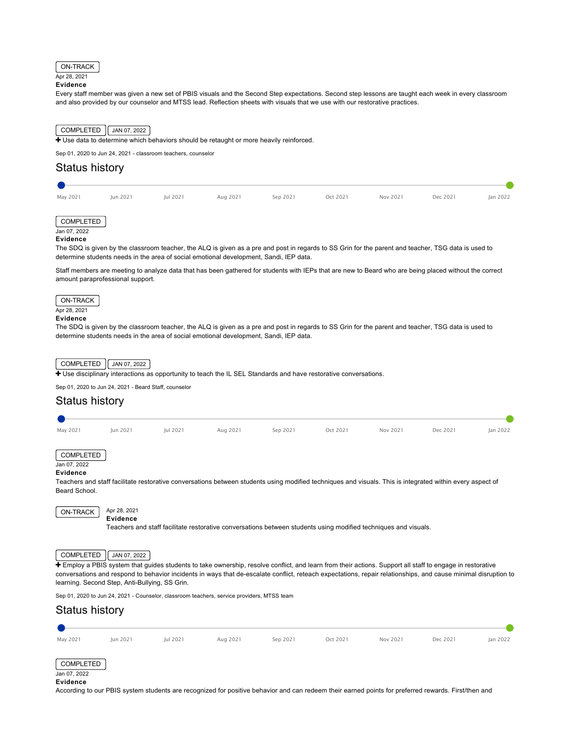

# Apr 28, 2021

**Evidence**

Every staff member was given a new set of PBIS visuals and the Second Step expectations. Second step lessons are taught each week in every classroom and also provided by our counselor and MTSS lead. Reflection sheets with visuals that we use with our restorative practices.



# Status history

| May 2021 | Jun 2021 | Jul 2021 | Aug 2021 | Sep 2021 | Oct 2021 | Nov 2021 | Dec 2021 | Jan 2022 |
|----------|----------|----------|----------|----------|----------|----------|----------|----------|
|          |          |          |          |          |          |          |          |          |



### **Evidence**

The SDQ is given by the classroom teacher, the ALQ is given as a pre and post in regards to SS Grin for the parent and teacher, TSG data is used to determine students needs in the area of social emotional development, Sandi, IEP data.

Staff members are meeting to analyze data that has been gathered for students with IEPs that are new to Beard who are being placed without the correct amount paraprofessional support.



# **Evidence**

The SDQ is given by the classroom teacher, the ALQ is given as a pre and post in regards to SS Grin for the parent and teacher, TSG data is used to determine students needs in the area of social emotional development, Sandi, IEP data.



[Use disciplinary interactions as opportunity to teach the IL SEL Standards and have restorative conversations.](https://ciwp.cps.edu/plan/pdfContent/2707?id=2707&actionPlanOnly=False&accessKey=hca339838bs46#)

Sep 01, 2020 to Jun 24, 2021 - Beard Staff, counselor

# Status history

| May 2021                                     | Jun 2021                                       | Jul 2021 | Aug 2021                                                                                                        | Sep 2021 | Oct 2021 | Nov 2021 | Dec 2021                                                                                                                                                       | Jan 2022 |
|----------------------------------------------|------------------------------------------------|----------|-----------------------------------------------------------------------------------------------------------------|----------|----------|----------|----------------------------------------------------------------------------------------------------------------------------------------------------------------|----------|
| <b>COMPLETED</b><br>Jan 07, 2022<br>Evidence |                                                |          |                                                                                                                 |          |          |          |                                                                                                                                                                |          |
|                                              |                                                |          |                                                                                                                 |          |          |          | Teachers and staff facilitate restorative conversations between students using modified techniques and visuals. This is integrated within every aspect of      |          |
| Beard School.                                |                                                |          |                                                                                                                 |          |          |          |                                                                                                                                                                |          |
| ON-TRACK                                     | Apr 28, 2021<br>Evidence                       |          | Teachers and staff facilitate restorative conversations between students using modified techniques and visuals. |          |          |          |                                                                                                                                                                |          |
| COMPLETED                                    | JAN 07, 2022                                   |          |                                                                                                                 |          |          |          | + Employ a PBIS system that guides students to take ownership, resolve conflict, and learn from their actions. Support all staff to engage in restorative      |          |
|                                              |                                                |          |                                                                                                                 |          |          |          | conversations and respond to behavior incidents in ways that de-escalate conflict, reteach expectations, repair relationships, and cause minimal disruption to |          |
|                                              | learning. Second Step, Anti-Bullying, SS Grin. |          |                                                                                                                 |          |          |          |                                                                                                                                                                |          |

Sep 01, 2020 to Jun 24, 2021 - Counselor, classroom teachers, service providers, MTSS team



### **Evidence**

According to our PBIS system students are recognized for positive behavior and can redeem their earned points for preferred rewards. First/then and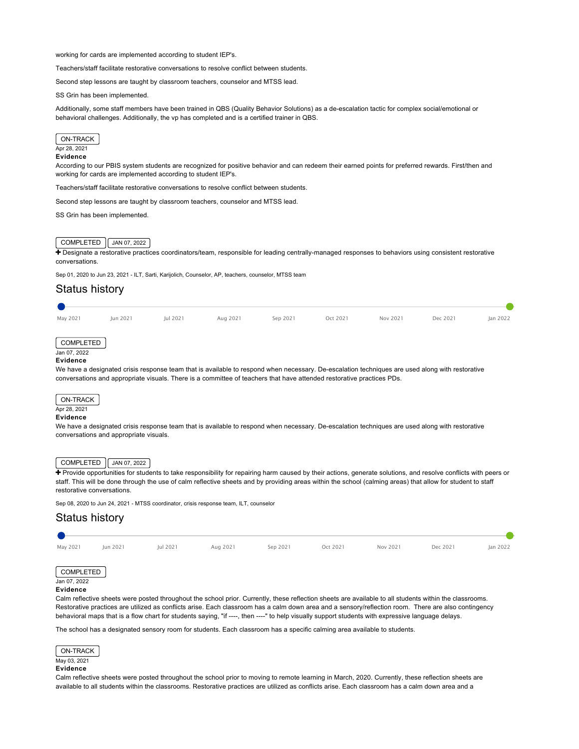working for cards are implemented according to student IEP's.

Teachers/staff facilitate restorative conversations to resolve conflict between students.

Second step lessons are taught by classroom teachers, counselor and MTSS lead.

SS Grin has been implemented.

Additionally, some staff members have been trained in QBS (Quality Behavior Solutions) as a de-escalation tactic for complex social/emotional or behavioral challenges. Additionally, the vp has completed and is a certified trainer in QBS.



### Apr 28, 2021

### **Evidence**

According to our PBIS system students are recognized for positive behavior and can redeem their earned points for preferred rewards. First/then and working for cards are implemented according to student IEP's.

Teachers/staff facilitate restorative conversations to resolve conflict between students.

Second step lessons are taught by classroom teachers, counselor and MTSS lead.

SS Grin has been implemented.

### COMPLETED  $\sqrt{$  JAN 07, 2022

+ [Designate a restorative practices coordinators/team, responsible for leading centrally-managed responses to behaviors using consistent restorative](https://ciwp.cps.edu/plan/pdfContent/2707?id=2707&actionPlanOnly=False&accessKey=hca339838bs46#) conversations.

Sep 01, 2020 to Jun 23, 2021 - ILT, Sarti, Karijolich, Counselor, AP, teachers, counselor, MTSS team

# Status history

| May 2021 | Jun 2021 | Jul 2021 | Aug 2021 | Sep 2021 | Oct 2021 | Nov 2021 | Dec 2021 | Jan 2022 |
|----------|----------|----------|----------|----------|----------|----------|----------|----------|
|          |          |          |          |          |          |          |          |          |

# COMPLETED

# Jan 07, 2022

### **Evidence**

We have a designated crisis response team that is available to respond when necessary. De-escalation techniques are used along with restorative conversations and appropriate visuals. There is a committee of teachers that have attended restorative practices PDs.

### ON-TRACK

# Apr 28, 2021

# **Evidence**

We have a designated crisis response team that is available to respond when necessary. De-escalation techniques are used along with restorative conversations and appropriate visuals.

# COMPLETED | JAN 07, 2022 |

[Provide opportunities for students to take responsibility for repairing harm caused by their actions, generate solutions, and resolve conflicts with peers or](https://ciwp.cps.edu/plan/pdfContent/2707?id=2707&actionPlanOnly=False&accessKey=hca339838bs46#) staff. This will be done through the use of calm reflective sheets and by providing areas within the school (calming areas) that allow for student to staff restorative conversations.

Sep 08, 2020 to Jun 24, 2021 - MTSS coordinator, crisis response team, ILT, counselor

# Status history May 2021 Jun 2021 Jul 2021 Aug 2021 Sep 2021 Oct 2021 Nov 2021 Dec 2021 Jan 2022 COMPLETED Jan 07, 2022 **Evidence**

Calm reflective sheets were posted throughout the school prior. Currently, these reflection sheets are available to all students within the classrooms. Restorative practices are utilized as conflicts arise. Each classroom has a calm down area and a sensory/reflection room. There are also contingency behavioral maps that is a flow chart for students saying, "if ----, then ----" to help visually support students with expressive language delays.

The school has a designated sensory room for students. Each classroom has a specific calming area available to students.

### ON-TRACK

### May 03, 2021

# **Evidence**

Calm reflective sheets were posted throughout the school prior to moving to remote learning in March, 2020. Currently, these reflection sheets are available to all students within the classrooms. Restorative practices are utilized as conflicts arise. Each classroom has a calm down area and a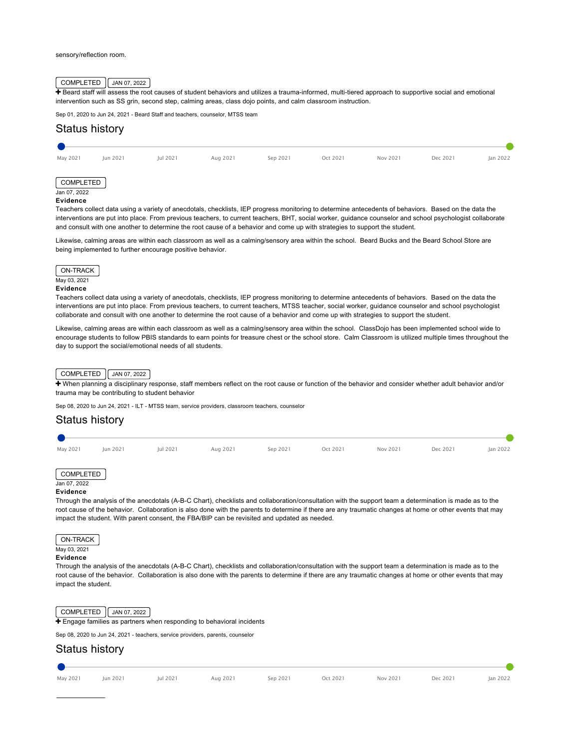### sensory/reflection room.

# COMPLETED JAN 07, 2022

+ [Beard staff will assess the root causes of student behaviors and utilizes a trauma-informed, multi-tiered approach to supportive social and emotional](https://ciwp.cps.edu/plan/pdfContent/2707?id=2707&actionPlanOnly=False&accessKey=hca339838bs46#) intervention such as SS grin, second step, calming areas, class dojo points, and calm classroom instruction.

Sep 01, 2020 to Jun 24, 2021 - Beard Staff and teachers, counselor, MTSS team

# Status history

| May 2021                  | Jun 2021 | Jul 2021 | Aug 2021 | Sep 2021 | Oct 2021 | Nov 2021 | Dec 2021 | Jan 2022 |
|---------------------------|----------|----------|----------|----------|----------|----------|----------|----------|
|                           |          |          |          |          |          |          |          |          |
| COMPLETED<br>Jan 07, 2022 |          |          |          |          |          |          |          |          |

### **Evidence**

Teachers collect data using a variety of anecdotals, checklists, IEP progress monitoring to determine antecedents of behaviors. Based on the data the interventions are put into place. From previous teachers, to current teachers, BHT, social worker, guidance counselor and school psychologist collaborate and consult with one another to determine the root cause of a behavior and come up with strategies to support the student.

Likewise, calming areas are within each classroom as well as a calming/sensory area within the school. Beard Bucks and the Beard School Store are being implemented to further encourage positive behavior.



### **Evidence**

Teachers collect data using a variety of anecdotals, checklists, IEP progress monitoring to determine antecedents of behaviors. Based on the data the interventions are put into place. From previous teachers, to current teachers, MTSS teacher, social worker, guidance counselor and school psychologist collaborate and consult with one another to determine the root cause of a behavior and come up with strategies to support the student.

Likewise, calming areas are within each classroom as well as a calming/sensory area within the school. ClassDojo has been implemented school wide to encourage students to follow PBIS standards to earn points for treasure chest or the school store. Calm Classroom is utilized multiple times throughout the day to support the social/emotional needs of all students.

### COMPLETED JAN 07, 2022

Twhen planning a disciplinary response, staff members reflect on the root cause or function of the behavior and consider whether adult behavior and/or trauma may be contributing to student behavior

Sep 08, 2020 to Jun 24, 2021 - ILT - MTSS team, service providers, classroom teachers, counselor

# Status history



COMPLETED  $\sqrt{JAN 07, 2022}$ 

 $\div$  [Engage families as partners when responding to behavioral incidents](https://ciwp.cps.edu/plan/pdfContent/2707?id=2707&actionPlanOnly=False&accessKey=hca339838bs46#)

Sep 08, 2020 to Jun 24, 2021 - teachers, service providers, parents, counselor

# Status history

| $14 - 2001$ | 1.1.2 2021 |  |
|-------------|------------|--|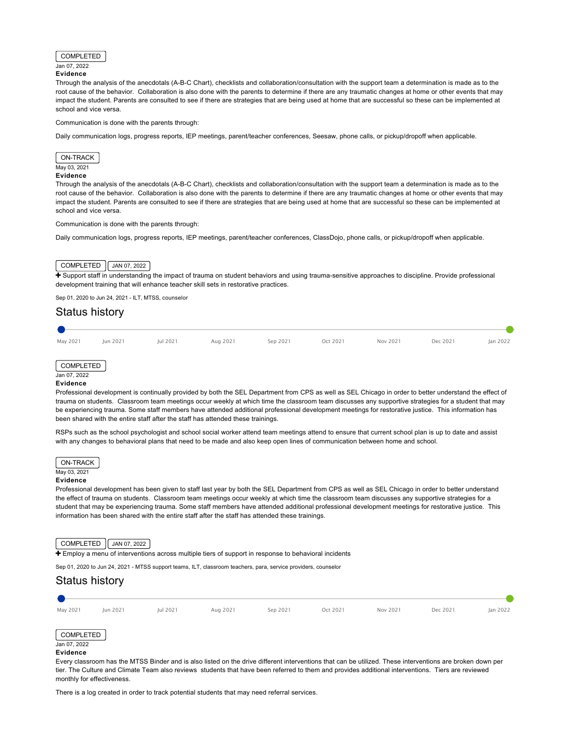# COMPLETED

### Jan 07, 2022 **Evidence**

Through the analysis of the anecdotals (A-B-C Chart), checklists and collaboration/consultation with the support team a determination is made as to the root cause of the behavior. Collaboration is also done with the parents to determine if there are any traumatic changes at home or other events that may impact the student. Parents are consulted to see if there are strategies that are being used at home that are successful so these can be implemented at school and vice versa.

### Communication is done with the parents through:

Daily communication logs, progress reports, IEP meetings, parent/teacher conferences, Seesaw, phone calls, or pickup/dropoff when applicable.

# ON-TRACK May 03, 2021

### **Evidence**

Through the analysis of the anecdotals (A-B-C Chart), checklists and collaboration/consultation with the support team a determination is made as to the root cause of the behavior. Collaboration is also done with the parents to determine if there are any traumatic changes at home or other events that may impact the student. Parents are consulted to see if there are strategies that are being used at home that are successful so these can be implemented at school and vice versa.

### Communication is done with the parents through:

Daily communication logs, progress reports, IEP meetings, parent/teacher conferences, ClassDojo, phone calls, or pickup/dropoff when applicable.

# COMPLETED | JAN 07, 2022

F [Support staff in understanding the impact of trauma on student behaviors and using trauma-sensitive approaches to discipline. Provide professional](https://ciwp.cps.edu/plan/pdfContent/2707?id=2707&actionPlanOnly=False&accessKey=hca339838bs46#) development training that will enhance teacher skill sets in restorative practices.

Sep 01, 2020 to Jun 24, 2021 - ILT, MTSS, counselor

# Status history





### Jan 07, 2022 **Evidence**

Professional development is continually provided by both the SEL Department from CPS as well as SEL Chicago in order to better understand the effect of trauma on students. Classroom team meetings occur weekly at which time the classroom team discusses any supportive strategies for a student that may be experiencing trauma. Some staff members have attended additional professional development meetings for restorative justice. This information has been shared with the entire staff after the staff has attended these trainings.

RSPs such as the school psychologist and school social worker attend team meetings attend to ensure that current school plan is up to date and assist with any changes to behavioral plans that need to be made and also keep open lines of communication between home and school.



### May 03, 2021

### **Evidence**

Professional development has been given to staff last year by both the SEL Department from CPS as well as SEL Chicago in order to better understand the effect of trauma on students. Classroom team meetings occur weekly at which time the classroom team discusses any supportive strategies for a student that may be experiencing trauma. Some staff members have attended additional professional development meetings for restorative justice. This information has been shared with the entire staff after the staff has attended these trainings.

### COMPLETED  $\sqrt{$  JAN 07, 2022

**+** [Employ a menu of interventions across multiple tiers of support in response to behavioral incidents](https://ciwp.cps.edu/plan/pdfContent/2707?id=2707&actionPlanOnly=False&accessKey=hca339838bs46#)

Sep 01, 2020 to Jun 24, 2021 - MTSS support teams, ILT, classroom teachers, para, service providers, counselor

# Status history



tier. The Culture and Climate Team also reviews students that have been referred to them and provides additional interventions. Tiers are reviewed monthly for effectiveness.

There is a log created in order to track potential students that may need referral services.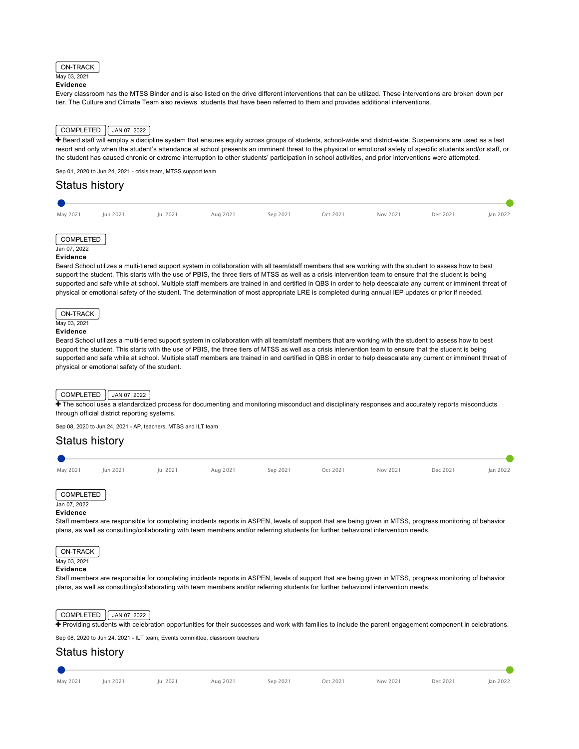### ON-TRACK

### May 03, 2021 **Evidence**

Every classroom has the MTSS Binder and is also listed on the drive different interventions that can be utilized. These interventions are broken down per tier. The Culture and Climate Team also reviews students that have been referred to them and provides additional interventions.

# COMPLETED | JAN 07, 2022

F Beard staff will employ a discipline system that ensures equity across groups of students, school-wide and district-wide. Suspensions are used as a last [resort and only when the student's attendance at school presents an imminent threat to the physical or emotional safety of specific students and/or staff, or](https://ciwp.cps.edu/plan/pdfContent/2707?id=2707&actionPlanOnly=False&accessKey=hca339838bs46#) the student has caused chronic or extreme interruption to other students' participation in school activities, and prior interventions were attempted.

Sep 01, 2020 to Jun 24, 2021 - crisis team, MTSS support team

# Status history May 2021 Jun 2021 Jul 2021 Aug 2021 Sep 2021 Oct 2021 Nov 2021 Dec 2021 Jan 2022

### COMPLETED Jan 07, 2022

# **Evidence**

Beard School utilizes a multi-tiered support system in collaboration with all team/staff members that are working with the student to assess how to best support the student. This starts with the use of PBIS, the three tiers of MTSS as well as a crisis intervention team to ensure that the student is being supported and safe while at school. Multiple staff members are trained in and certified in QBS in order to help deescalate any current or imminent threat of physical or emotional safety of the student. The determination of most appropriate LRE is completed during annual IEP updates or prior if needed.



# **Evidence**

Beard School utilizes a multi-tiered support system in collaboration with all team/staff members that are working with the student to assess how to best support the student. This starts with the use of PBIS, the three tiers of MTSS as well as a crisis intervention team to ensure that the student is being supported and safe while at school. Multiple staff members are trained in and certified in QBS in order to help deescalate any current or imminent threat of physical or emotional safety of the student.

# $COMPLETED$   $\boxed{\begin{bmatrix}$  JAN 07, 2022

[The school uses a standardized process for documenting and monitoring misconduct and disciplinary responses and accurately reports misconducts](https://ciwp.cps.edu/plan/pdfContent/2707?id=2707&actionPlanOnly=False&accessKey=hca339838bs46#) through official district reporting systems.

Sep 08, 2020 to Jun 24, 2021 - AP, teachers, MTSS and ILT team

# Status history

- May 2021 Jun 2021 Jul 2021 Aug 2021 Sep 2021 Oct 2021 Nov 2021 Dec 2021 Jan 2022
- 

# COMPLETED

### Jan 07, 2022 **Evidence**

Staff members are responsible for completing incidents reports in ASPEN, levels of support that are being given in MTSS, progress monitoring of behavior plans, as well as consulting/collaborating with team members and/or referring students for further behavioral intervention needs.



Staff members are responsible for completing incidents reports in ASPEN, levels of support that are being given in MTSS, progress monitoring of behavior plans, as well as consulting/collaborating with team members and/or referring students for further behavioral intervention needs.



[Providing students with celebration opportunities for their successes and work with families to include the parent engagement component in celebrations.](https://ciwp.cps.edu/plan/pdfContent/2707?id=2707&actionPlanOnly=False&accessKey=hca339838bs46#)

Sep 08, 2020 to Jun 24, 2021 - ILT team, Events committee, classroom teachers

# Status history

| May 2021 | Jun 2021 | Jul 2021 | Aug 2021 | Sep 2021 | Oct 2021 | Nov 2021 | Dec 2021 | Jan 2022 |
|----------|----------|----------|----------|----------|----------|----------|----------|----------|

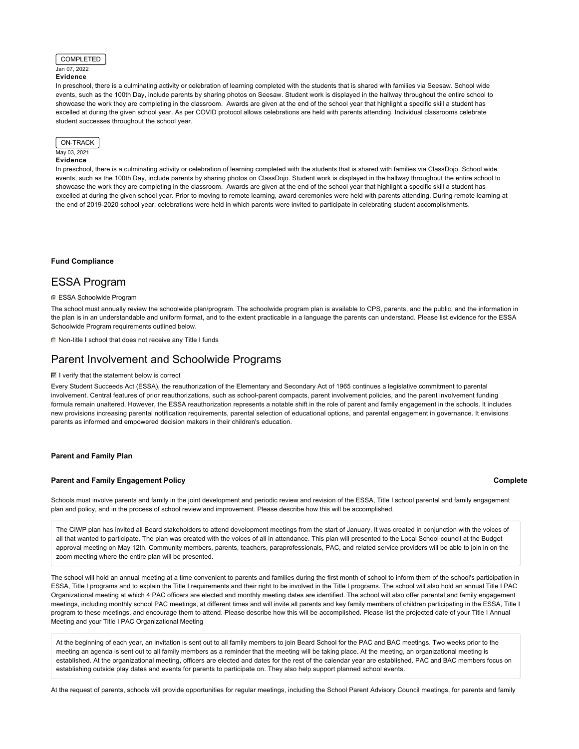

## **Evidence**

In preschool, there is a culminating activity or celebration of learning completed with the students that is shared with families via Seesaw. School wide events, such as the 100th Day, include parents by sharing photos on Seesaw. Student work is displayed in the hallway throughout the entire school to showcase the work they are completing in the classroom. Awards are given at the end of the school year that highlight a specific skill a student has excelled at during the given school year. As per COVID protocol allows celebrations are held with parents attending. Individual classrooms celebrate student successes throughout the school year.



### May 03, 2021 **Evidence**

In preschool, there is a culminating activity or celebration of learning completed with the students that is shared with families via ClassDojo. School wide events, such as the 100th Day, include parents by sharing photos on ClassDojo. Student work is displayed in the hallway throughout the entire school to showcase the work they are completing in the classroom. Awards are given at the end of the school year that highlight a specific skill a student has excelled at during the given school year. Prior to moving to remote learning, award ceremonies were held with parents attending. During remote learning at the end of 2019-2020 school year, celebrations were held in which parents were invited to participate in celebrating student accomplishments.

**[Fund Compliance](#page-37-0)**

# <span id="page-37-0"></span>ESSA Program

### **ESSA Schoolwide Program**

The school must annually review the schoolwide plan/program. The schoolwide program plan is available to CPS, parents, and the public, and the information in the plan is in an understandable and uniform format, and to the extent practicable in a language the parents can understand. Please list evidence for the ESSA Schoolwide Program requirements outlined below.

Non-title I school that does not receive any Title I funds

# Parent Involvement and Schoolwide Programs

### $\blacksquare$  I verify that the statement below is correct

Every Student Succeeds Act (ESSA), the reauthorization of the Elementary and Secondary Act of 1965 continues a legislative commitment to parental involvement. Central features of prior reauthorizations, such as school-parent compacts, parent involvement policies, and the parent involvement funding formula remain unaltered. However, the ESSA reauthorization represents a notable shift in the role of parent and family engagement in the schools. It includes new provisions increasing parental notification requirements, parental selection of educational options, and parental engagement in governance. It envisions parents as informed and empowered decision makers in their children's education.

### **[Parent and Family Plan](#page-37-1)**

### <span id="page-37-1"></span>**[Parent and Family Engagement Policy](#page-37-2)**

### **Complete**

<span id="page-37-2"></span>Schools must involve parents and family in the joint development and periodic review and revision of the ESSA, Title I school parental and family engagement plan and policy, and in the process of school review and improvement. Please describe how this will be accomplished.

The CIWP plan has invited all Beard stakeholders to attend development meetings from the start of January. It was created in conjunction with the voices of all that wanted to participate. The plan was created with the voices of all in attendance. This plan will presented to the Local School council at the Budget approval meeting on May 12th. Community members, parents, teachers, paraprofessionals, PAC, and related service providers will be able to join in on the zoom meeting where the entire plan will be presented.

The school will hold an annual meeting at a time convenient to parents and families during the first month of school to inform them of the school's participation in ESSA, Title I programs and to explain the Title I requirements and their right to be involved in the Title I programs. The school will also hold an annual Title I PAC Organizational meeting at which 4 PAC officers are elected and monthly meeting dates are identified. The school will also offer parental and family engagement meetings, including monthly school PAC meetings, at different times and will invite all parents and key family members of children participating in the ESSA, Title I program to these meetings, and encourage them to attend. Please describe how this will be accomplished. Please list the projected date of your Title I Annual Meeting and your Title I PAC Organizational Meeting

At the beginning of each year, an invitation is sent out to all family members to join Beard School for the PAC and BAC meetings. Two weeks prior to the meeting an agenda is sent out to all family members as a reminder that the meeting will be taking place. At the meeting, an organizational meeting is established. At the organizational meeting, officers are elected and dates for the rest of the calendar year are established. PAC and BAC members focus on establishing outside play dates and events for parents to participate on. They also help support planned school events.

At the request of parents, schools will provide opportunities for regular meetings, including the School Parent Advisory Council meetings, for parents and family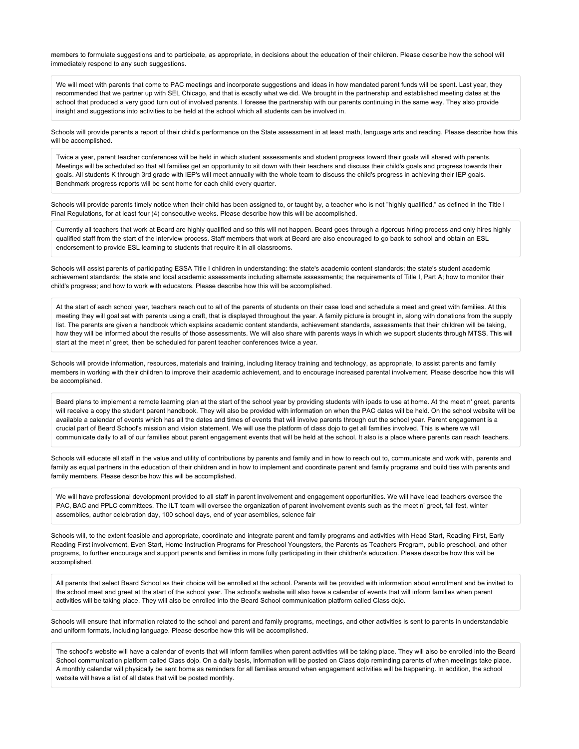members to formulate suggestions and to participate, as appropriate, in decisions about the education of their children. Please describe how the school will immediately respond to any such suggestions.

We will meet with parents that come to PAC meetings and incorporate suggestions and ideas in how mandated parent funds will be spent. Last year, they recommended that we partner up with SEL Chicago, and that is exactly what we did. We brought in the partnership and established meeting dates at the school that produced a very good turn out of involved parents. I foresee the partnership with our parents continuing in the same way. They also provide insight and suggestions into activities to be held at the school which all students can be involved in.

Schools will provide parents a report of their child's performance on the State assessment in at least math, language arts and reading. Please describe how this will be accomplished.

Twice a year, parent teacher conferences will be held in which student assessments and student progress toward their goals will shared with parents. Meetings will be scheduled so that all families get an opportunity to sit down with their teachers and discuss their child's goals and progress towards their goals. All students K through 3rd grade with IEP's will meet annually with the whole team to discuss the child's progress in achieving their IEP goals. Benchmark progress reports will be sent home for each child every quarter.

Schools will provide parents timely notice when their child has been assigned to, or taught by, a teacher who is not "highly qualified," as defined in the Title I Final Regulations, for at least four (4) consecutive weeks. Please describe how this will be accomplished.

Currently all teachers that work at Beard are highly qualified and so this will not happen. Beard goes through a rigorous hiring process and only hires highly qualified staff from the start of the interview process. Staff members that work at Beard are also encouraged to go back to school and obtain an ESL endorsement to provide ESL learning to students that require it in all classrooms.

Schools will assist parents of participating ESSA Title I children in understanding: the state's academic content standards; the state's student academic achievement standards; the state and local academic assessments including alternate assessments; the requirements of Title I, Part A; how to monitor their child's progress; and how to work with educators. Please describe how this will be accomplished.

At the start of each school year, teachers reach out to all of the parents of students on their case load and schedule a meet and greet with families. At this meeting they will goal set with parents using a craft, that is displayed throughout the year. A family picture is brought in, along with donations from the supply list. The parents are given a handbook which explains academic content standards, achievement standards, assessments that their children will be taking, how they will be informed about the results of those assessments. We will also share with parents ways in which we support students through MTSS. This will start at the meet n' greet, then be scheduled for parent teacher conferences twice a year.

Schools will provide information, resources, materials and training, including literacy training and technology, as appropriate, to assist parents and family members in working with their children to improve their academic achievement, and to encourage increased parental involvement. Please describe how this will be accomplished.

Beard plans to implement a remote learning plan at the start of the school year by providing students with ipads to use at home. At the meet n' greet, parents will receive a copy the student parent handbook. They will also be provided with information on when the PAC dates will be held. On the school website will be available a calendar of events which has all the dates and times of events that will involve parents through out the school year. Parent engagement is a crucial part of Beard School's mission and vision statement. We will use the platform of class dojo to get all families involved. This is where we will communicate daily to all of our families about parent engagement events that will be held at the school. It also is a place where parents can reach teachers.

Schools will educate all staff in the value and utility of contributions by parents and family and in how to reach out to, communicate and work with, parents and family as equal partners in the education of their children and in how to implement and coordinate parent and family programs and build ties with parents and family members. Please describe how this will be accomplished.

We will have professional development provided to all staff in parent involvement and engagement opportunities. We will have lead teachers oversee the PAC, BAC and PPLC committees. The ILT team will oversee the organization of parent involvement events such as the meet n' greet, fall fest, winter assemblies, author celebration day, 100 school days, end of year asemblies, science fair

Schools will, to the extent feasible and appropriate, coordinate and integrate parent and family programs and activities with Head Start, Reading First, Early Reading First involvement, Even Start, Home Instruction Programs for Preschool Youngsters, the Parents as Teachers Program, public preschool, and other programs, to further encourage and support parents and families in more fully participating in their children's education. Please describe how this will be accomplished.

All parents that select Beard School as their choice will be enrolled at the school. Parents will be provided with information about enrollment and be invited to the school meet and greet at the start of the school year. The school's website will also have a calendar of events that will inform families when parent activities will be taking place. They will also be enrolled into the Beard School communication platform called Class dojo.

Schools will ensure that information related to the school and parent and family programs, meetings, and other activities is sent to parents in understandable and uniform formats, including language. Please describe how this will be accomplished.

The school's website will have a calendar of events that will inform families when parent activities will be taking place. They will also be enrolled into the Beard School communication platform called Class dojo. On a daily basis, information will be posted on Class dojo reminding parents of when meetings take place. A monthly calendar will physically be sent home as reminders for all families around when engagement activities will be happening. In addition, the school website will have a list of all dates that will be posted monthly.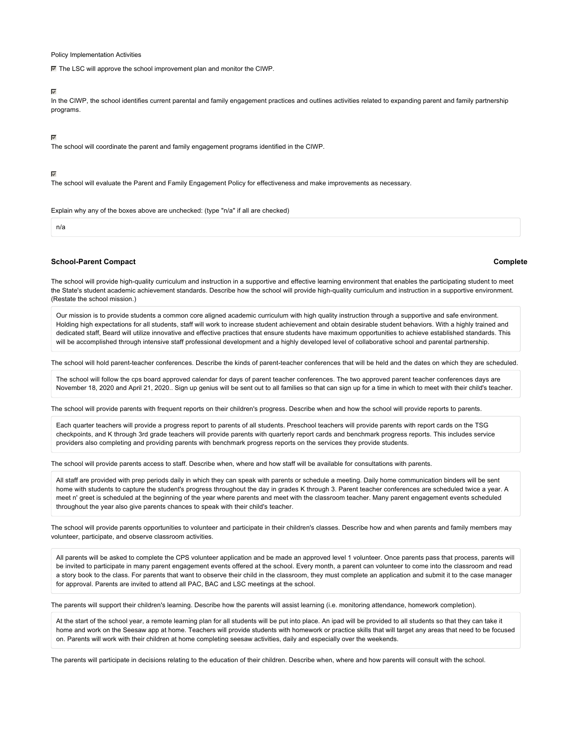Policy Implementation Activities

■ The LSC will approve the school improvement plan and monitor the CIWP.

### ⊽

In the CIWP, the school identifies current parental and family engagement practices and outlines activities related to expanding parent and family partnership programs.

### $\overline{\mathscr{C}}$

The school will coordinate the parent and family engagement programs identified in the CIWP.

### $\overline{\mathscr{S}}$

The school will evaluate the Parent and Family Engagement Policy for effectiveness and make improvements as necessary.

Explain why any of the boxes above are unchecked: (type "n/a" if all are checked)

n/a

### **[School-Parent Compact](#page-39-0)**

### **Complete**

<span id="page-39-0"></span>The school will provide high-quality curriculum and instruction in a supportive and effective learning environment that enables the participating student to meet the State's student academic achievement standards. Describe how the school will provide high-quality curriculum and instruction in a supportive environment. (Restate the school mission.)

Our mission is to provide students a common core aligned academic curriculum with high quality instruction through a supportive and safe environment. Holding high expectations for all students, staff will work to increase student achievement and obtain desirable student behaviors. With a highly trained and dedicated staff, Beard will utilize innovative and effective practices that ensure students have maximum opportunities to achieve established standards. This will be accomplished through intensive staff professional development and a highly developed level of collaborative school and parental partnership.

The school will hold parent-teacher conferences. Describe the kinds of parent-teacher conferences that will be held and the dates on which they are scheduled.

The school will follow the cps board approved calendar for days of parent teacher conferences. The two approved parent teacher conferences days are November 18, 2020 and April 21, 2020.. Sign up genius will be sent out to all families so that can sign up for a time in which to meet with their child's teacher.

The school will provide parents with frequent reports on their children's progress. Describe when and how the school will provide reports to parents.

Each quarter teachers will provide a progress report to parents of all students. Preschool teachers will provide parents with report cards on the TSG checkpoints, and K through 3rd grade teachers will provide parents with quarterly report cards and benchmark progress reports. This includes service providers also completing and providing parents with benchmark progress reports on the services they provide students.

The school will provide parents access to staff. Describe when, where and how staff will be available for consultations with parents.

All staff are provided with prep periods daily in which they can speak with parents or schedule a meeting. Daily home communication binders will be sent home with students to capture the student's progress throughout the day in grades K through 3. Parent teacher conferences are scheduled twice a year. A meet n' greet is scheduled at the beginning of the year where parents and meet with the classroom teacher. Many parent engagement events scheduled throughout the year also give parents chances to speak with their child's teacher.

The school will provide parents opportunities to volunteer and participate in their children's classes. Describe how and when parents and family members may volunteer, participate, and observe classroom activities.

All parents will be asked to complete the CPS volunteer application and be made an approved level 1 volunteer. Once parents pass that process, parents will be invited to participate in many parent engagement events offered at the school. Every month, a parent can volunteer to come into the classroom and read a story book to the class. For parents that want to observe their child in the classroom, they must complete an application and submit it to the case manager for approval. Parents are invited to attend all PAC, BAC and LSC meetings at the school.

The parents will support their children's learning. Describe how the parents will assist learning (i.e. monitoring attendance, homework completion).

At the start of the school year, a remote learning plan for all students will be put into place. An ipad will be provided to all students so that they can take it home and work on the Seesaw app at home. Teachers will provide students with homework or practice skills that will target any areas that need to be focused on. Parents will work with their children at home completing seesaw activities, daily and especially over the weekends.

The parents will participate in decisions relating to the education of their children. Describe when, where and how parents will consult with the school.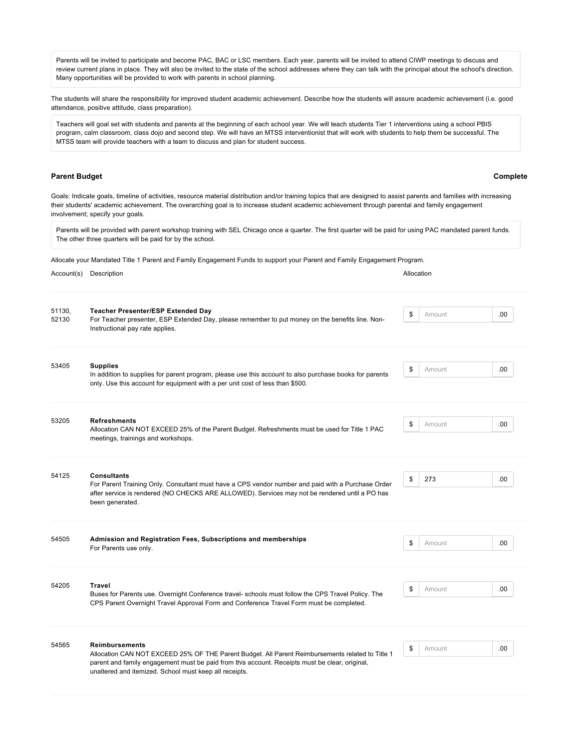Parents will be invited to participate and become PAC, BAC or LSC members. Each year, parents will be invited to attend CIWP meetings to discuss and review current plans in place. They will also be invited to the state of the school addresses where they can talk with the principal about the school's direction. Many opportunities will be provided to work with parents in school planning.

The students will share the responsibility for improved student academic achievement. Describe how the students will assure academic achievement (i.e. good attendance, positive attitude, class preparation).

Teachers will goal set with students and parents at the beginning of each school year. We will teach students Tier 1 interventions using a school PBIS program, calm classroom, class dojo and second step. We will have an MTSS interventionist that will work with students to help them be successful. The MTSS team will provide teachers with a team to discuss and plan for student success.

# **[Parent Budget](#page-40-0) Complete**

<span id="page-40-0"></span>Goals: Indicate goals, timeline of activities, resource material distribution and/or training topics that are designed to assist parents and families with increasing their students' academic achievement. The overarching goal is to increase student academic achievement through parental and family engagement involvement; specify your goals.

Parents will be provided with parent workshop training with SEL Chicago once a quarter. The first quarter will be paid for using PAC mandated parent funds. The other three quarters will be paid for by the school.

Allocate your Mandated Title 1 Parent and Family Engagement Funds to support your Parent and Family Engagement Program.

### Account(s) Description **Allocation Allocation Allocation**

| 51130,<br>52130 | <b>Teacher Presenter/ESP Extended Day</b><br>For Teacher presenter, ESP Extended Day, please remember to put money on the benefits line. Non-                                                                          | \$<br>Amount | .00. |
|-----------------|------------------------------------------------------------------------------------------------------------------------------------------------------------------------------------------------------------------------|--------------|------|
|                 | Instructional pay rate applies.                                                                                                                                                                                        |              |      |
| 53405           | <b>Supplies</b><br>In addition to supplies for parent program, please use this account to also purchase books for parents                                                                                              | \$<br>Amount | .00. |
|                 | only. Use this account for equipment with a per unit cost of less than \$500.                                                                                                                                          |              |      |
| 53205           | <b>Refreshments</b>                                                                                                                                                                                                    | \$<br>Amount | .00. |
|                 | Allocation CAN NOT EXCEED 25% of the Parent Budget. Refreshments must be used for Title 1 PAC<br>meetings, trainings and workshops.                                                                                    |              |      |
| 54125           | <b>Consultants</b>                                                                                                                                                                                                     | \$<br>273    | .00. |
|                 | For Parent Training Only. Consultant must have a CPS vendor number and paid with a Purchase Order<br>after service is rendered (NO CHECKS ARE ALLOWED). Services may not be rendered until a PO has<br>been generated. |              |      |
| 54505           | Admission and Registration Fees, Subscriptions and memberships<br>For Parents use only.                                                                                                                                | \$<br>Amount | .00. |
|                 |                                                                                                                                                                                                                        |              |      |
| 54205           | <b>Travel</b><br>Buses for Parents use. Overnight Conference travel- schools must follow the CPS Travel Policy. The                                                                                                    | \$<br>Amount | .00. |
|                 | CPS Parent Overnight Travel Approval Form and Conference Travel Form must be completed.                                                                                                                                |              |      |

54565 **Reimbursements** Allocation CAN NOT EXCEED 25% OF THE Parent Budget. All Parent Reimbursements related to Title 1 parent and family engagement must be paid from this account. Receipts must be clear, original, unaltered and itemized. School must keep all receipts.  $\$\;$  Amount .00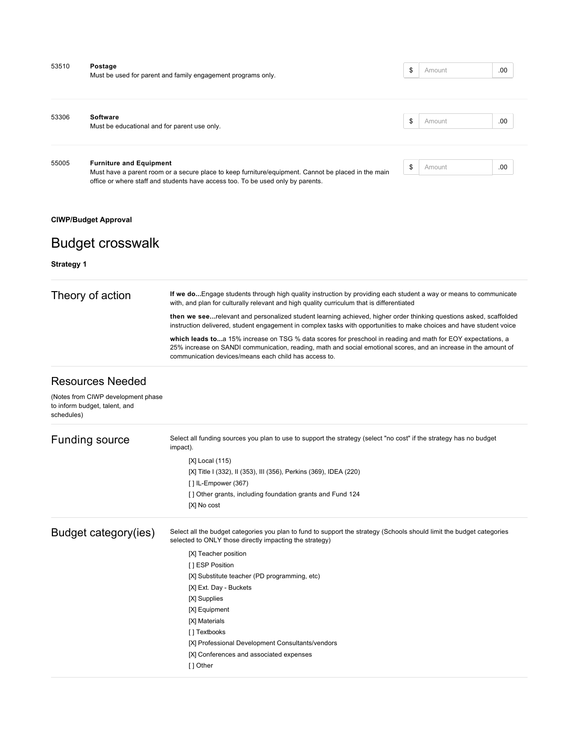| 53510 | Postage<br>Must be used for parent and family engagement programs only.                                                                                                                | \$<br>Amount | .00  |
|-------|----------------------------------------------------------------------------------------------------------------------------------------------------------------------------------------|--------------|------|
|       |                                                                                                                                                                                        |              |      |
| 53306 | Software                                                                                                                                                                               | \$<br>Amount | .00  |
|       | Must be educational and for parent use only.                                                                                                                                           |              |      |
| 55005 | <b>Furniture and Equipment</b>                                                                                                                                                         | \$<br>Amount | .00. |
|       | Must have a parent room or a secure place to keep furniture/equipment. Cannot be placed in the main<br>office or where staff and students have access too. To be used only by parents. |              |      |

# **[CIWP/Budget Approval](#page-41-0)**

# <span id="page-41-0"></span>Budget crosswalk

# **[Strategy 1](#page-41-1)**

<span id="page-41-1"></span>

| Theory of action | If we doEngage students through high quality instruction by providing each student a way or means to communicate<br>with, and plan for culturally relevant and high quality curriculum that is differentiated                                                                            |
|------------------|------------------------------------------------------------------------------------------------------------------------------------------------------------------------------------------------------------------------------------------------------------------------------------------|
|                  | then we seerelevant and personalized student learning achieved, higher order thinking questions asked, scaffolded<br>instruction delivered, student engagement in complex tasks with opportunities to make choices and have student voice                                                |
|                  | which leads toa 15% increase on TSG % data scores for preschool in reading and math for EOY expectations, a<br>25% increase on SANDI communication, reading, math and social emotional scores, and an increase in the amount of<br>communication devices/means each child has access to. |

# Resources Needed

| (Notes from CIWP development phase<br>to inform budget, talent, and<br>schedules) |                                                                                                                                                                                  |
|-----------------------------------------------------------------------------------|----------------------------------------------------------------------------------------------------------------------------------------------------------------------------------|
| Funding source                                                                    | Select all funding sources you plan to use to support the strategy (select "no cost" if the strategy has no budget<br>impact).                                                   |
|                                                                                   | $[X]$ Local $(115)$                                                                                                                                                              |
|                                                                                   | [X] Title I (332), II (353), III (356), Perkins (369), IDEA (220)                                                                                                                |
|                                                                                   | $[ ]$ IL-Empower (367)                                                                                                                                                           |
|                                                                                   | [] Other grants, including foundation grants and Fund 124                                                                                                                        |
|                                                                                   | [X] No cost                                                                                                                                                                      |
| Budget category(ies)                                                              | Select all the budget categories you plan to fund to support the strategy (Schools should limit the budget categories<br>selected to ONLY those directly impacting the strategy) |
|                                                                                   | [X] Teacher position                                                                                                                                                             |
|                                                                                   | [ ] ESP Position                                                                                                                                                                 |
|                                                                                   | [X] Substitute teacher (PD programming, etc)                                                                                                                                     |
|                                                                                   | [X] Ext. Day - Buckets                                                                                                                                                           |
|                                                                                   | [X] Supplies                                                                                                                                                                     |
|                                                                                   | [X] Equipment                                                                                                                                                                    |
|                                                                                   | [X] Materials                                                                                                                                                                    |
|                                                                                   | [ ] Textbooks                                                                                                                                                                    |
|                                                                                   | [X] Professional Development Consultants/vendors                                                                                                                                 |
|                                                                                   | [X] Conferences and associated expenses                                                                                                                                          |
|                                                                                   | [] Other                                                                                                                                                                         |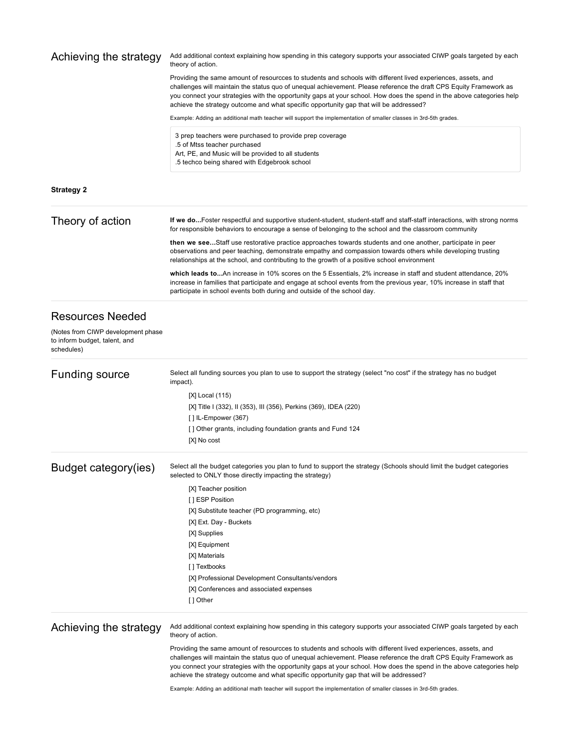<span id="page-42-0"></span>

| Achieving the strategy                                                            | Add additional context explaining how spending in this category supports your associated CIWP goals targeted by each<br>theory of action.                                                                                                                                                                                                                                                                                                              |
|-----------------------------------------------------------------------------------|--------------------------------------------------------------------------------------------------------------------------------------------------------------------------------------------------------------------------------------------------------------------------------------------------------------------------------------------------------------------------------------------------------------------------------------------------------|
|                                                                                   | Providing the same amount of resourcces to students and schools with different lived experiences, assets, and<br>challenges will maintain the status quo of unequal achievement. Please reference the draft CPS Equity Framework as<br>you connect your strategies with the opportunity gaps at your school. How does the spend in the above categories help<br>achieve the strategy outcome and what specific opportunity gap that will be addressed? |
|                                                                                   | Example: Adding an additional math teacher will support the implementation of smaller classes in 3rd-5th grades.                                                                                                                                                                                                                                                                                                                                       |
|                                                                                   | 3 prep teachers were purchased to provide prep coverage<br>.5 of Mtss teacher purchased<br>Art, PE, and Music will be provided to all students<br>.5 techco being shared with Edgebrook school                                                                                                                                                                                                                                                         |
| <b>Strategy 2</b>                                                                 |                                                                                                                                                                                                                                                                                                                                                                                                                                                        |
| Theory of action                                                                  | If we doFoster respectful and supportive student-student, student-staff and staff-staff interactions, with strong norms<br>for responsible behaviors to encourage a sense of belonging to the school and the classroom community                                                                                                                                                                                                                       |
|                                                                                   | then we seeStaff use restorative practice approaches towards students and one another, participate in peer<br>observations and peer teaching, demonstrate empathy and compassion towards others while developing trusting<br>relationships at the school, and contributing to the growth of a positive school environment                                                                                                                              |
|                                                                                   | which leads toAn increase in 10% scores on the 5 Essentials, 2% increase in staff and student attendance, 20%<br>increase in families that participate and engage at school events from the previous year, 10% increase in staff that<br>participate in school events both during and outside of the school day.                                                                                                                                       |
| <b>Resources Needed</b>                                                           |                                                                                                                                                                                                                                                                                                                                                                                                                                                        |
| (Notes from CIWP development phase<br>to inform budget, talent, and<br>schedules) |                                                                                                                                                                                                                                                                                                                                                                                                                                                        |
| <b>Funding source</b>                                                             | Select all funding sources you plan to use to support the strategy (select "no cost" if the strategy has no budget<br>impact).                                                                                                                                                                                                                                                                                                                         |
|                                                                                   | [X] Local (115)                                                                                                                                                                                                                                                                                                                                                                                                                                        |
|                                                                                   | [X] Title I (332), II (353), III (356), Perkins (369), IDEA (220)<br>$[ ]$ IL-Empower (367)                                                                                                                                                                                                                                                                                                                                                            |
|                                                                                   | [] Other grants, including foundation grants and Fund 124<br>[X] No cost                                                                                                                                                                                                                                                                                                                                                                               |
| Budget category(ies)                                                              | Select all the budget categories you plan to fund to support the strategy (Schools should limit the budget categories<br>selected to ONLY those directly impacting the strategy)                                                                                                                                                                                                                                                                       |
|                                                                                   | [X] Teacher position                                                                                                                                                                                                                                                                                                                                                                                                                                   |
|                                                                                   | [ ] ESP Position                                                                                                                                                                                                                                                                                                                                                                                                                                       |
|                                                                                   | [X] Substitute teacher (PD programming, etc)<br>[X] Ext. Day - Buckets                                                                                                                                                                                                                                                                                                                                                                                 |
|                                                                                   | [X] Supplies                                                                                                                                                                                                                                                                                                                                                                                                                                           |
|                                                                                   | [X] Equipment                                                                                                                                                                                                                                                                                                                                                                                                                                          |
|                                                                                   | [X] Materials                                                                                                                                                                                                                                                                                                                                                                                                                                          |
|                                                                                   | [ ] Textbooks                                                                                                                                                                                                                                                                                                                                                                                                                                          |
|                                                                                   | [X] Professional Development Consultants/vendors                                                                                                                                                                                                                                                                                                                                                                                                       |
|                                                                                   | [X] Conferences and associated expenses<br>[] Other                                                                                                                                                                                                                                                                                                                                                                                                    |
| Achieving the strategy                                                            | Add additional context explaining how spending in this category supports your associated CIWP goals targeted by each<br>theory of action.                                                                                                                                                                                                                                                                                                              |
|                                                                                   | Providing the same amount of resourcces to students and schools with different lived experiences, assets, and<br>challenges will maintain the status quo of unequal achievement. Please reference the draft CPS Equity Framework as<br>you connect your strategies with the opportunity gaps at your school. How does the spend in the above categories help<br>achieve the strategy outcome and what specific opportunity gap that will be addressed? |
|                                                                                   | Example: Adding an additional math teacher will support the implementation of smaller classes in 3rd-5th grades.                                                                                                                                                                                                                                                                                                                                       |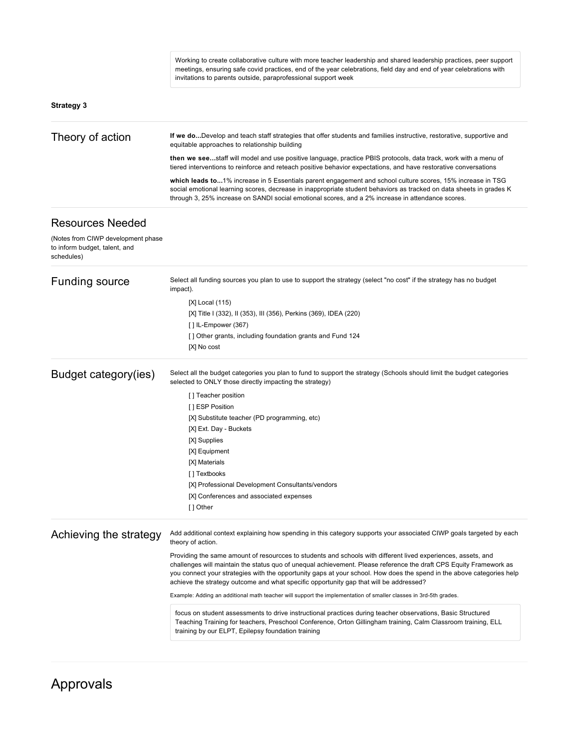<span id="page-43-0"></span>

|                                                                                   | Working to create collaborative culture with more teacher leadership and shared leadership practices, peer support<br>meetings, ensuring safe covid practices, end of the year celebrations, field day and end of year celebrations with<br>invitations to parents outside, paraprofessional support week                                                                                                                                              |
|-----------------------------------------------------------------------------------|--------------------------------------------------------------------------------------------------------------------------------------------------------------------------------------------------------------------------------------------------------------------------------------------------------------------------------------------------------------------------------------------------------------------------------------------------------|
| <b>Strategy 3</b>                                                                 |                                                                                                                                                                                                                                                                                                                                                                                                                                                        |
| Theory of action                                                                  | If we doDevelop and teach staff strategies that offer students and families instructive, restorative, supportive and<br>equitable approaches to relationship building                                                                                                                                                                                                                                                                                  |
|                                                                                   | then we seestaff will model and use positive language, practice PBIS protocols, data track, work with a menu of<br>tiered interventions to reinforce and reteach positive behavior expectations, and have restorative conversations                                                                                                                                                                                                                    |
|                                                                                   | which leads to1% increase in 5 Essentials parent engagement and school culture scores, 15% increase in TSG<br>social emotional learning scores, decrease in inappropriate student behaviors as tracked on data sheets in grades K<br>through 3, 25% increase on SANDI social emotional scores, and a 2% increase in attendance scores.                                                                                                                 |
| <b>Resources Needed</b>                                                           |                                                                                                                                                                                                                                                                                                                                                                                                                                                        |
| (Notes from CIWP development phase<br>to inform budget, talent, and<br>schedules) |                                                                                                                                                                                                                                                                                                                                                                                                                                                        |
| <b>Funding source</b>                                                             | Select all funding sources you plan to use to support the strategy (select "no cost" if the strategy has no budget<br>impact).                                                                                                                                                                                                                                                                                                                         |
|                                                                                   | [X] Local (115)                                                                                                                                                                                                                                                                                                                                                                                                                                        |
|                                                                                   | [X] Title I (332), II (353), III (356), Perkins (369), IDEA (220)                                                                                                                                                                                                                                                                                                                                                                                      |
|                                                                                   | $[$ ] IL-Empower $(367)$                                                                                                                                                                                                                                                                                                                                                                                                                               |
|                                                                                   | [] Other grants, including foundation grants and Fund 124<br>[X] No cost                                                                                                                                                                                                                                                                                                                                                                               |
| Budget category(ies)                                                              | Select all the budget categories you plan to fund to support the strategy (Schools should limit the budget categories<br>selected to ONLY those directly impacting the strategy)                                                                                                                                                                                                                                                                       |
|                                                                                   | [] Teacher position                                                                                                                                                                                                                                                                                                                                                                                                                                    |
|                                                                                   | [] ESP Position                                                                                                                                                                                                                                                                                                                                                                                                                                        |
|                                                                                   | [X] Substitute teacher (PD programming, etc)                                                                                                                                                                                                                                                                                                                                                                                                           |
|                                                                                   | [X] Ext. Day - Buckets                                                                                                                                                                                                                                                                                                                                                                                                                                 |
|                                                                                   | [X] Supplies                                                                                                                                                                                                                                                                                                                                                                                                                                           |
|                                                                                   | [X] Equipment                                                                                                                                                                                                                                                                                                                                                                                                                                          |
|                                                                                   | [X] Materials                                                                                                                                                                                                                                                                                                                                                                                                                                          |
|                                                                                   | [] Textbooks                                                                                                                                                                                                                                                                                                                                                                                                                                           |
|                                                                                   | [X] Professional Development Consultants/vendors                                                                                                                                                                                                                                                                                                                                                                                                       |
|                                                                                   | [X] Conferences and associated expenses<br>[ ] Other                                                                                                                                                                                                                                                                                                                                                                                                   |
| Achieving the strategy                                                            | Add additional context explaining how spending in this category supports your associated CIWP goals targeted by each<br>theory of action.                                                                                                                                                                                                                                                                                                              |
|                                                                                   | Providing the same amount of resourcces to students and schools with different lived experiences, assets, and<br>challenges will maintain the status quo of unequal achievement. Please reference the draft CPS Equity Framework as<br>you connect your strategies with the opportunity gaps at your school. How does the spend in the above categories help<br>achieve the strategy outcome and what specific opportunity gap that will be addressed? |
|                                                                                   | Example: Adding an additional math teacher will support the implementation of smaller classes in 3rd-5th grades.                                                                                                                                                                                                                                                                                                                                       |
|                                                                                   | focus on student assessments to drive instructional practices during teacher observations, Basic Structured<br>Teaching Training for teachers, Preschool Conference, Orton Gillingham training, Calm Classroom training, ELL<br>training by our ELPT, Epilepsy foundation training                                                                                                                                                                     |